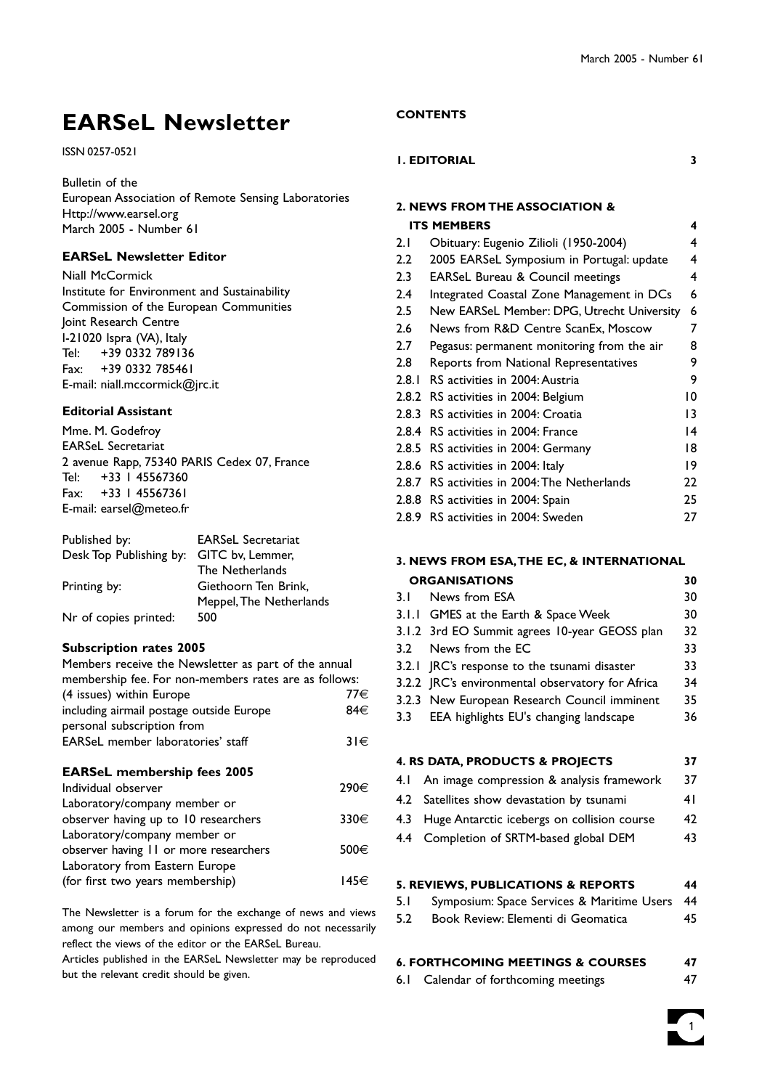# **EARSeL Newsletter**

#### ISSN 0257-0521

Bulletin of the

European Association of Remote Sensing Laboratories Http://www.earsel.org March 2005 - Number 61

#### **EARSeL Newsletter Editor**

Niall McCormick Institute for Environment and Sustainability Commission of the European Communities Joint Research Centre I-21020 Ispra (VA), Italy Tel: +39 0332 789136 Fax: +39 0332 785461 E-mail: niall.mccormick@jrc.it

#### **Editorial Assistant**

Mme. M. Godefroy EARSeL Secretariat 2 avenue Rapp, 75340 PARIS Cedex 07, France Tel: +33 1 45567360 Fax: +33 1 45567361 E-mail: earsel@meteo.fr

| Published by:                            | <b>EARSeL Secretariat</b> |
|------------------------------------------|---------------------------|
| Desk Top Publishing by: GITC bv, Lemmer, |                           |
|                                          | The Netherlands           |
| Printing by:                             | Giethoorn Ten Brink,      |
|                                          | Meppel, The Netherlands   |
| Nr of copies printed:                    | 500                       |

#### **Subscription rates 2005**

| Members receive the Newsletter as part of the annual  |          |
|-------------------------------------------------------|----------|
| membership fee. For non-members rates are as follows: |          |
| (4 issues) within Europe                              | 77€      |
| including airmail postage outside Europe              | 84€      |
| personal subscription from                            |          |
| <b>EARSeL</b> member laboratories' staff              | $31 \in$ |
| <b>EARSeL membership fees 2005</b>                    |          |
| Individual observer                                   | 290€     |
| Laboratory/company member or                          |          |
| observer having up to 10 researchers                  | 330€     |
| Laboratory/company member or                          |          |
| observer having 11 or more researchers                | 500€     |
| Laboratory from Eastern Europe                        |          |
| (for first two years membership)                      | 145€     |

The Newsletter is a forum for the exchange of news and views among our members and opinions expressed do not necessarily reflect the views of the editor or the EARSeL Bureau.

Articles published in the EARSeL Newsletter may be reproduced but the relevant credit should be given.

#### **CONTENTS**

#### **1. EDITORIAL 3**

| 2. NEWS FROM THE ASSOCIATION & |                                              |    |  |
|--------------------------------|----------------------------------------------|----|--|
|                                | <b>ITS MEMBERS</b>                           | 4  |  |
| 2.1                            | Obituary: Eugenio Zilioli (1950-2004)        | 4  |  |
| 2.2                            | 2005 EARSeL Symposium in Portugal: update    | 4  |  |
| 2.3                            | <b>EARSeL Bureau &amp; Council meetings</b>  | 4  |  |
| 2.4                            | Integrated Coastal Zone Management in DCs    | 6  |  |
| 2.5                            | New EARSeL Member: DPG, Utrecht University   | 6  |  |
| 2.6                            | News from R&D Centre ScanEx, Moscow          | 7  |  |
| 2.7                            | Pegasus: permanent monitoring from the air   | 8  |  |
| 2.8                            | Reports from National Representatives        | 9  |  |
| 2.8.1                          | RS activities in 2004: Austria               | 9  |  |
|                                | 2.8.2 RS activities in 2004: Belgium         | 10 |  |
| 2.8.3                          | RS activities in 2004: Croatia               | 13 |  |
| 2.8.4                          | RS activities in 2004: France                | 14 |  |
| 2.8.5                          | RS activities in 2004: Germany               | 18 |  |
| 2.8.6                          | RS activities in 2004: Italy                 | 19 |  |
|                                | 2.8.7 RS activities in 2004: The Netherlands | 22 |  |
|                                | 2.8.8 RS activities in 2004: Spain           | 25 |  |
| 2.8.9                          | RS activities in 2004: Sweden                | 27 |  |

### **3. NEWS FROM ESA,THE EC, & INTERNATIONAL**

| <b>ORGANISATIONS</b> |                                                  | 30 |
|----------------------|--------------------------------------------------|----|
| 3. I                 | News from ESA                                    | 30 |
|                      | 3.1.1 GMES at the Earth & Space Week             | 30 |
|                      | 3.1.2 3rd EO Summit agrees 10-year GEOSS plan    | 32 |
|                      | 3.2 News from the EC                             | 33 |
|                      | 3.2.1 JRC's response to the tsunami disaster     | 33 |
|                      | 3.2.2 JRC's environmental observatory for Africa | 34 |
|                      | 3.2.3 New European Research Council imminent     | 35 |
|                      | 3.3 EEA highlights EU's changing landscape       | 36 |
|                      |                                                  |    |
|                      | <b>A RE DATA PRODUCTS &amp; PROJECTS</b>         | 27 |
|                      |                                                  |    |

|  | 4.1 An image compression & analysis framework   | 37 |
|--|-------------------------------------------------|----|
|  | 4.2 Satellites show devastation by tsunami      | 41 |
|  | 4.3 Huge Antarctic icebergs on collision course | 42 |

4.4 Completion of SRTM-based global DEM 43

#### **5. REVIEWS, PUBLICATIONS & REPORTS 44**

- 5.1 Symposium: Space Services & Maritime Users 44
- 5.2 Book Review: Elementi di Geomatica 45

#### **6. FORTHCOMING MEETINGS & COURSES 47**

6.1 Calendar of forthcoming meetings 47

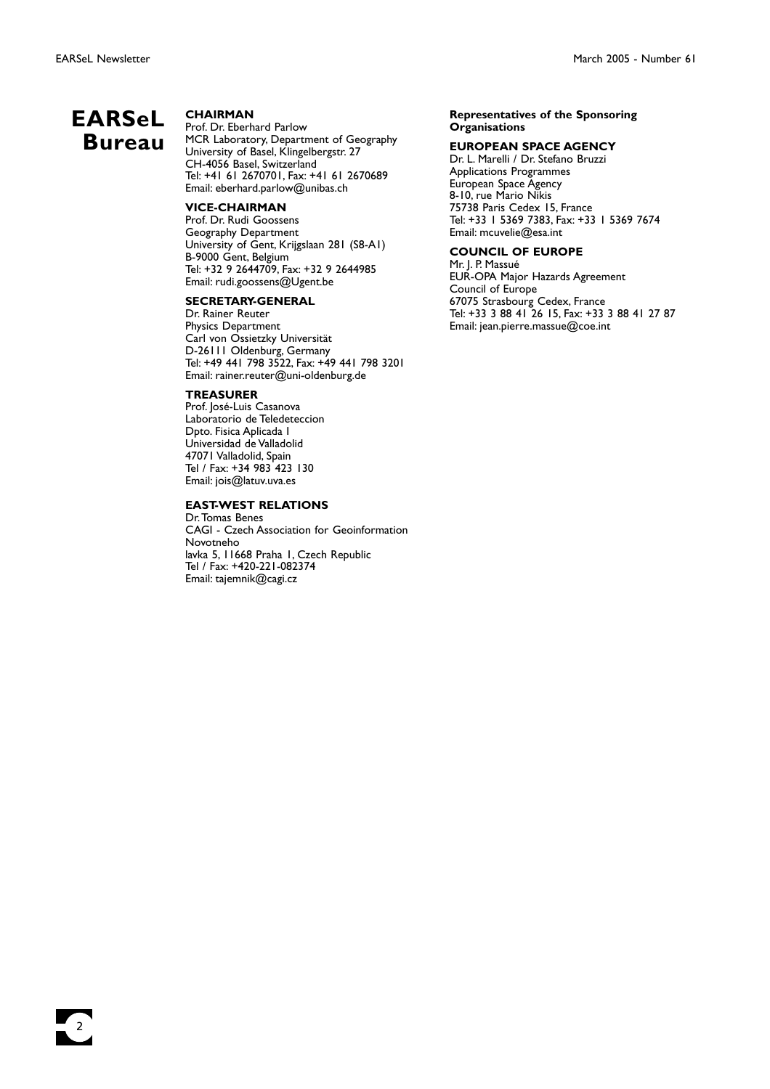$\frac{1}{2}$ 

## **EARSeL Bureau**

#### **CHAIRMAN**

Prof. Dr. Eberhard Parlow MCR Laboratory, Department of Geography University of Basel, Klingelbergstr. 27 CH-4056 Basel, Switzerland Tel: +41 61 2670701, Fax: +41 61 2670689 Email: eberhard.parlow@unibas.ch

#### **VICE-CHAIRMAN**

Prof. Dr. Rudi Goossens Geography Department University of Gent, Krijgslaan 281 (S8-A1) B-9000 Gent, Belgium Tel: +32 9 2644709, Fax: +32 9 2644985 Email: rudi.goossens@Ugent.be

#### **SECRETARY-GENERAL**

Dr. Rainer Reuter Physics Department Carl von Ossietzky Universität D-26111 Oldenburg, Germany Tel: +49 441 798 3522, Fax: +49 441 798 3201 Email: rainer.reuter@uni-oldenburg.de

#### **TREASURER**

Prof. José-Luis Casanova Laboratorio de Teledeteccion Dpto. Fisica Aplicada I Universidad de Valladolid 47071 Valladolid, Spain Tel / Fax: +34 983 423 130 Email: jois@latuv.uva.es

#### **EAST-WEST RELATIONS**

Dr.Tomas Benes CAGI - Czech Association for Geoinformation Novotneho lavka 5, 11668 Praha 1, Czech Republic Tel / Fax: +420-221-082374 Email: tajemnik@cagi.cz

#### **Representatives of the Sponsoring Organisations**

#### **EUROPEAN SPACE AGENCY**

Dr. L. Marelli / Dr. Stefano Bruzzi Applications Programmes European Space Agency 8-10, rue Mario Nikis 75738 Paris Cedex 15, France Tel: +33 1 5369 7383, Fax: +33 1 5369 7674 Email: mcuvelie@esa.int

#### **COUNCIL OF EUROPE**

Mr. J. P. Massué EUR-OPA Major Hazards Agreement Council of Europe 67075 Strasbourg Cedex, France Tel: +33 3 88 41 26 15, Fax: +33 3 88 41 27 87 Email: jean.pierre.massue@coe.int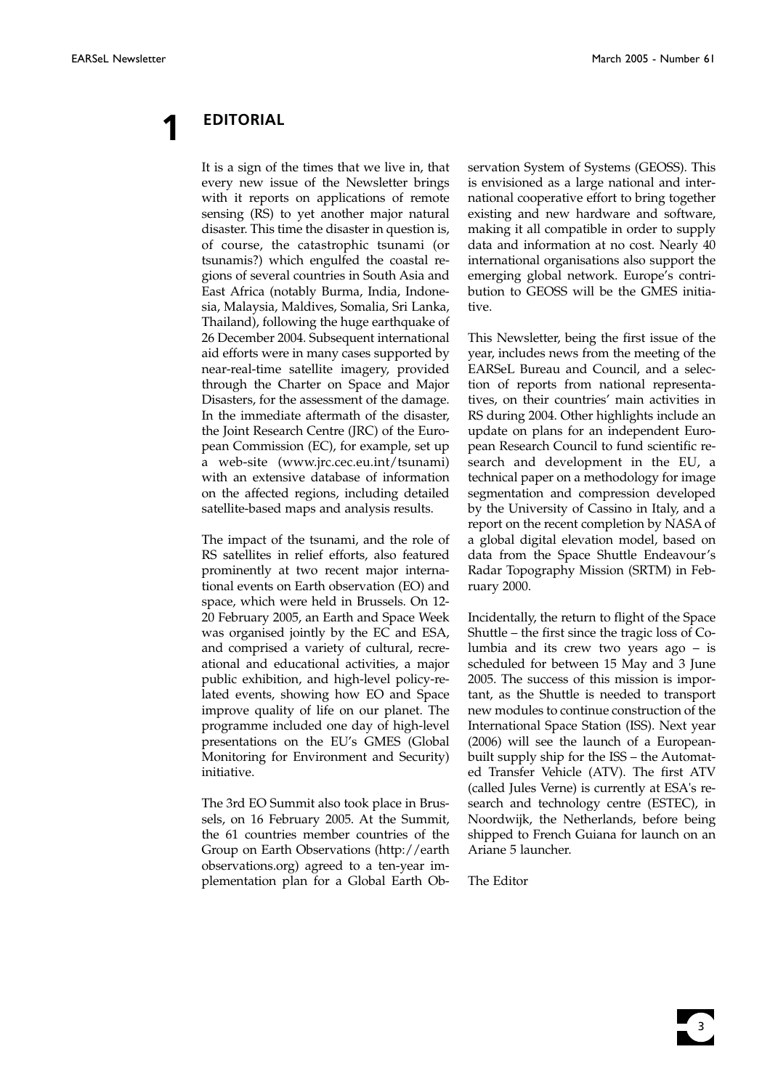**1 EDITORIAL**

It is a sign of the times that we live in, that every new issue of the Newsletter brings with it reports on applications of remote sensing (RS) to yet another major natural disaster. This time the disaster in question is, of course, the catastrophic tsunami (or tsunamis?) which engulfed the coastal regions of several countries in South Asia and East Africa (notably Burma, India, Indonesia, Malaysia, Maldives, Somalia, Sri Lanka, Thailand), following the huge earthquake of 26 December 2004. Subsequent international aid efforts were in many cases supported by near-real-time satellite imagery, provided through the Charter on Space and Major Disasters, for the assessment of the damage. In the immediate aftermath of the disaster, the Joint Research Centre (JRC) of the European Commission (EC), for example, set up a web-site (www.jrc.cec.eu.int/tsunami) with an extensive database of information on the affected regions, including detailed satellite-based maps and analysis results.

The impact of the tsunami, and the role of RS satellites in relief efforts, also featured prominently at two recent major international events on Earth observation (EO) and space, which were held in Brussels. On 12- 20 February 2005, an Earth and Space Week was organised jointly by the EC and ESA, and comprised a variety of cultural, recreational and educational activities, a major public exhibition, and high-level policy-related events, showing how EO and Space improve quality of life on our planet. The programme included one day of high-level presentations on the EU's GMES (Global Monitoring for Environment and Security) initiative.

The 3rd EO Summit also took place in Brussels, on 16 February 2005. At the Summit, the 61 countries member countries of the Group on Earth Observations (http://earth observations.org) agreed to a ten-year implementation plan for a Global Earth Ob-

servation System of Systems (GEOSS). This is envisioned as a large national and international cooperative effort to bring together existing and new hardware and software, making it all compatible in order to supply data and information at no cost. Nearly 40 international organisations also support the emerging global network. Europe's contribution to GEOSS will be the GMES initiative.

This Newsletter, being the first issue of the year, includes news from the meeting of the EARSeL Bureau and Council, and a selection of reports from national representatives, on their countries' main activities in RS during 2004. Other highlights include an update on plans for an independent European Research Council to fund scientific research and development in the EU, a technical paper on a methodology for image segmentation and compression developed by the University of Cassino in Italy, and a report on the recent completion by NASA of a global digital elevation model, based on data from the Space Shuttle Endeavour's Radar Topography Mission (SRTM) in February 2000.

Incidentally, the return to flight of the Space Shuttle – the first since the tragic loss of Columbia and its crew two years ago – is scheduled for between 15 May and 3 June 2005. The success of this mission is important, as the Shuttle is needed to transport new modules to continue construction of the International Space Station (ISS). Next year (2006) will see the launch of a Europeanbuilt supply ship for the ISS – the Automated Transfer Vehicle (ATV). The first ATV (called Jules Verne) is currently at ESA's research and technology centre (ESTEC), in Noordwijk, the Netherlands, before being shipped to French Guiana for launch on an Ariane 5 launcher.

The Editor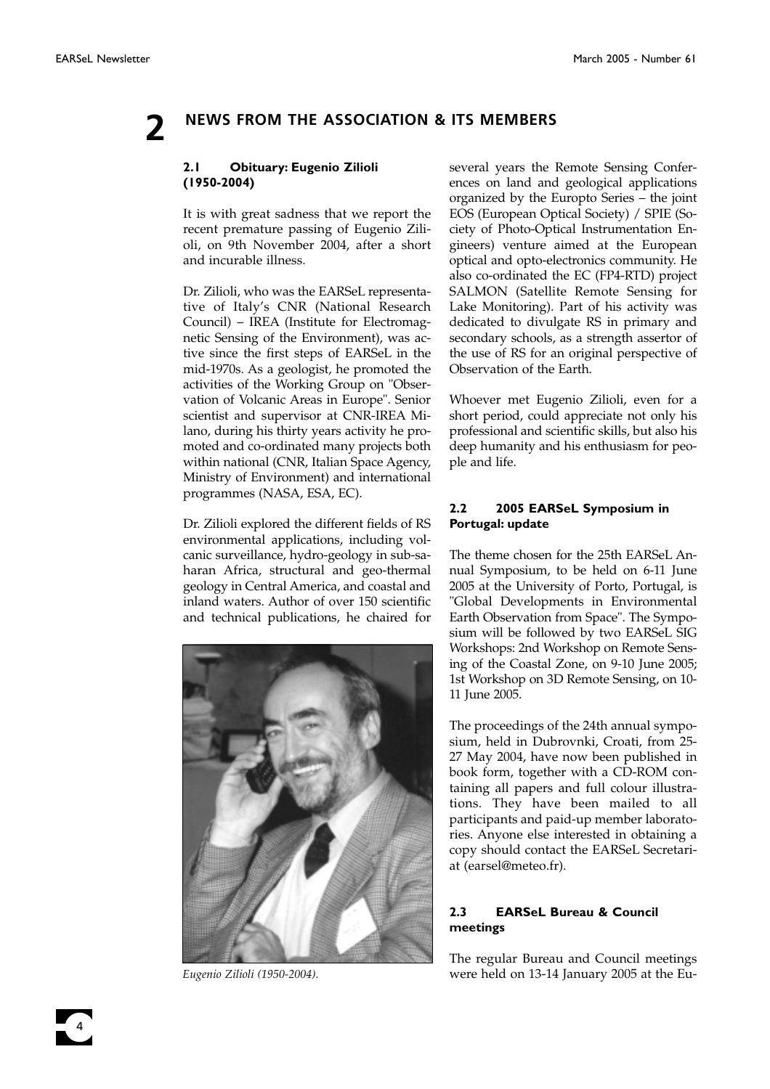## **2 NEWS FROM THE ASSOCIATION & ITS MEMBERS**

### **2.1 Obituary: Eugenio Zilioli (1950-2004)**

It is with great sadness that we report the recent premature passing of Eugenio Zilioli, on 9th November 2004, after a short and incurable illness.

Dr. Zilioli, who was the EARSeL representative of Italy's CNR (National Research Council) – IREA (Institute for Electromagnetic Sensing of the Environment), was active since the first steps of EARSeL in the mid-1970s. As a geologist, he promoted the activities of the Working Group on "Observation of Volcanic Areas in Europe". Senior scientist and supervisor at CNR-IREA Milano, during his thirty years activity he promoted and co-ordinated many projects both within national (CNR, Italian Space Agency, Ministry of Environment) and international programmes (NASA, ESA, EC).

Dr. Zilioli explored the different fields of RS environmental applications, including volcanic surveillance, hydro-geology in sub-saharan Africa, structural and geo-thermal geology in Central America, and coastal and inland waters. Author of over 150 scientific and technical publications, he chaired for



several years the Remote Sensing Conferences on land and geological applications organized by the Europto Series – the joint EOS (European Optical Society) / SPIE (Society of Photo-Optical Instrumentation Engineers) venture aimed at the European optical and opto-electronics community. He also co-ordinated the EC (FP4-RTD) project SALMON (Satellite Remote Sensing for Lake Monitoring). Part of his activity was dedicated to divulgate RS in primary and secondary schools, as a strength assertor of the use of RS for an original perspective of Observation of the Earth.

Whoever met Eugenio Zilioli, even for a short period, could appreciate not only his professional and scientific skills, but also his deep humanity and his enthusiasm for people and life.

### **2.2 2005 EARSeL Symposium in Portugal: update**

The theme chosen for the 25th EARSeL Annual Symposium, to be held on 6-11 June 2005 at the University of Porto, Portugal, is "Global Developments in Environmental Earth Observation from Space". The Symposium will be followed by two EARSeL SIG Workshops: 2nd Workshop on Remote Sensing of the Coastal Zone, on 9-10 June 2005; 1st Workshop on 3D Remote Sensing, on 10- 11 June 2005.

The proceedings of the 24th annual symposium, held in Dubrovnki, Croati, from 25- 27 May 2004, have now been published in book form, together with a CD-ROM containing all papers and full colour illustrations. They have been mailed to all participants and paid-up member laboratories. Anyone else interested in obtaining a copy should contact the EARSeL Secretariat (earsel@meteo.fr).

### **2.3 EARSeL Bureau & Council meetings**

The regular Bureau and Council meetings *Eugenio Zilioli (1950-2004).* were held on 13-14 January 2005 at the Eu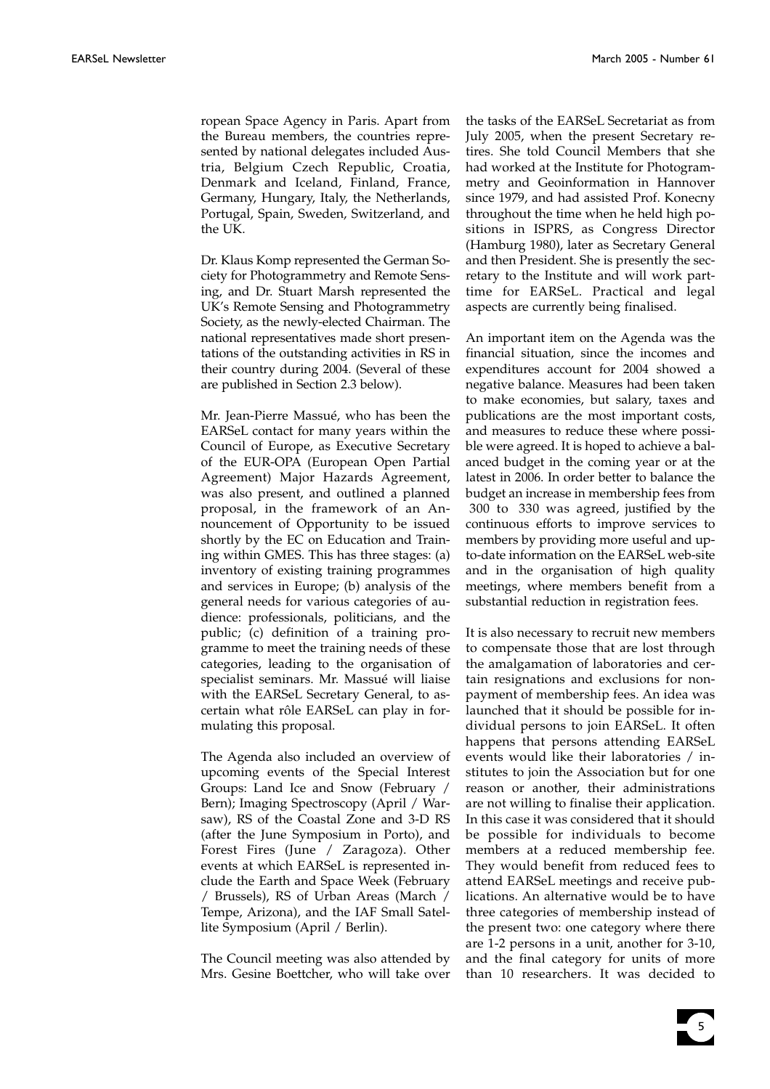ropean Space Agency in Paris. Apart from the Bureau members, the countries represented by national delegates included Austria, Belgium Czech Republic, Croatia, Denmark and Iceland, Finland, France, Germany, Hungary, Italy, the Netherlands, Portugal, Spain, Sweden, Switzerland, and the UK.

Dr. Klaus Komp represented the German Society for Photogrammetry and Remote Sensing, and Dr. Stuart Marsh represented the UK's Remote Sensing and Photogrammetry Society, as the newly-elected Chairman. The national representatives made short presentations of the outstanding activities in RS in their country during 2004. (Several of these are published in Section 2.3 below).

Mr. Jean-Pierre Massué, who has been the EARSeL contact for many years within the Council of Europe, as Executive Secretary of the EUR-OPA (European Open Partial Agreement) Major Hazards Agreement, was also present, and outlined a planned proposal, in the framework of an Announcement of Opportunity to be issued shortly by the EC on Education and Training within GMES. This has three stages: (a) inventory of existing training programmes and services in Europe; (b) analysis of the general needs for various categories of audience: professionals, politicians, and the public; (c) definition of a training programme to meet the training needs of these categories, leading to the organisation of specialist seminars. Mr. Massué will liaise with the EARSeL Secretary General, to ascertain what rôle EARSeL can play in formulating this proposal.

The Agenda also included an overview of upcoming events of the Special Interest Groups: Land Ice and Snow (February / Bern); Imaging Spectroscopy (April / Warsaw), RS of the Coastal Zone and 3-D RS (after the June Symposium in Porto), and Forest Fires (June / Zaragoza). Other events at which EARSeL is represented include the Earth and Space Week (February / Brussels), RS of Urban Areas (March / Tempe, Arizona), and the IAF Small Satellite Symposium (April / Berlin).

The Council meeting was also attended by Mrs. Gesine Boettcher, who will take over the tasks of the EARSeL Secretariat as from July 2005, when the present Secretary retires. She told Council Members that she had worked at the Institute for Photogrammetry and Geoinformation in Hannover since 1979, and had assisted Prof. Konecny throughout the time when he held high positions in ISPRS, as Congress Director (Hamburg 1980), later as Secretary General and then President. She is presently the secretary to the Institute and will work parttime for EARSeL. Practical and legal aspects are currently being finalised.

An important item on the Agenda was the financial situation, since the incomes and expenditures account for 2004 showed a negative balance. Measures had been taken to make economies, but salary, taxes and publications are the most important costs, and measures to reduce these where possible were agreed. It is hoped to achieve a balanced budget in the coming year or at the latest in 2006. In order better to balance the budget an increase in membership fees from 300 to 330 was agreed, justified by the continuous efforts to improve services to members by providing more useful and upto-date information on the EARSeL web-site and in the organisation of high quality meetings, where members benefit from a substantial reduction in registration fees.

It is also necessary to recruit new members to compensate those that are lost through the amalgamation of laboratories and certain resignations and exclusions for nonpayment of membership fees. An idea was launched that it should be possible for individual persons to join EARSeL. It often happens that persons attending EARSeL events would like their laboratories / institutes to join the Association but for one reason or another, their administrations are not willing to finalise their application. In this case it was considered that it should be possible for individuals to become members at a reduced membership fee. They would benefit from reduced fees to attend EARSeL meetings and receive publications. An alternative would be to have three categories of membership instead of the present two: one category where there are 1-2 persons in a unit, another for 3-10, and the final category for units of more than 10 researchers. It was decided to

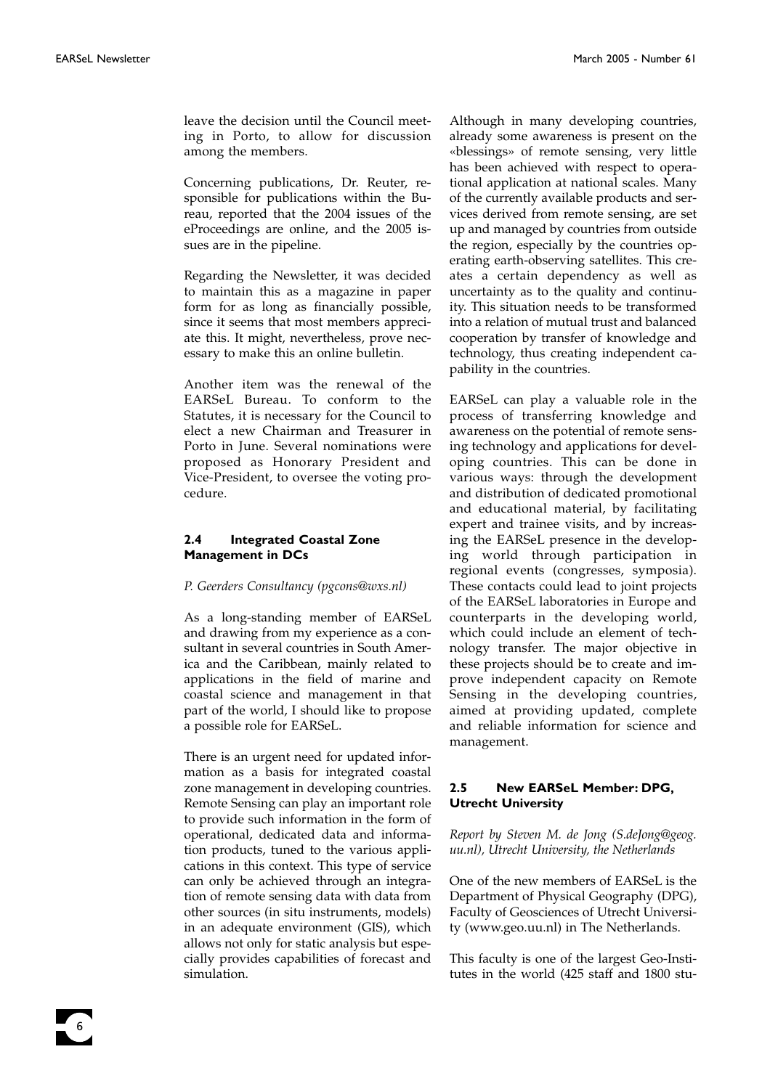6

leave the decision until the Council meeting in Porto, to allow for discussion among the members.

Concerning publications, Dr. Reuter, responsible for publications within the Bureau, reported that the 2004 issues of the eProceedings are online, and the 2005 issues are in the pipeline.

Regarding the Newsletter, it was decided to maintain this as a magazine in paper form for as long as financially possible, since it seems that most members appreciate this. It might, nevertheless, prove necessary to make this an online bulletin.

Another item was the renewal of the EARSeL Bureau. To conform to the Statutes, it is necessary for the Council to elect a new Chairman and Treasurer in Porto in June. Several nominations were proposed as Honorary President and Vice-President, to oversee the voting procedure.

#### **2.4 Integrated Coastal Zone Management in DCs**

#### *P. Geerders Consultancy (pgcons@wxs.nl)*

As a long-standing member of EARSeL and drawing from my experience as a consultant in several countries in South America and the Caribbean, mainly related to applications in the field of marine and coastal science and management in that part of the world, I should like to propose a possible role for EARSeL.

There is an urgent need for updated information as a basis for integrated coastal zone management in developing countries. Remote Sensing can play an important role to provide such information in the form of operational, dedicated data and information products, tuned to the various applications in this context. This type of service can only be achieved through an integration of remote sensing data with data from other sources (in situ instruments, models) in an adequate environment (GIS), which allows not only for static analysis but especially provides capabilities of forecast and simulation.

Although in many developing countries, already some awareness is present on the «blessings» of remote sensing, very little has been achieved with respect to operational application at national scales. Many of the currently available products and services derived from remote sensing, are set up and managed by countries from outside the region, especially by the countries operating earth-observing satellites. This creates a certain dependency as well as uncertainty as to the quality and continuity. This situation needs to be transformed into a relation of mutual trust and balanced cooperation by transfer of knowledge and technology, thus creating independent capability in the countries.

EARSeL can play a valuable role in the process of transferring knowledge and awareness on the potential of remote sensing technology and applications for developing countries. This can be done in various ways: through the development and distribution of dedicated promotional and educational material, by facilitating expert and trainee visits, and by increasing the EARSeL presence in the developing world through participation in regional events (congresses, symposia). These contacts could lead to joint projects of the EARSeL laboratories in Europe and counterparts in the developing world, which could include an element of technology transfer. The major objective in these projects should be to create and improve independent capacity on Remote Sensing in the developing countries, aimed at providing updated, complete and reliable information for science and management.

#### **2.5 New EARSeL Member: DPG, Utrecht University**

*Report by Steven M. de Jong (S.deJong@geog. uu.nl), Utrecht University, the Netherlands*

One of the new members of EARSeL is the Department of Physical Geography (DPG), Faculty of Geosciences of Utrecht University (www.geo.uu.nl) in The Netherlands.

This faculty is one of the largest Geo-Institutes in the world (425 staff and 1800 stu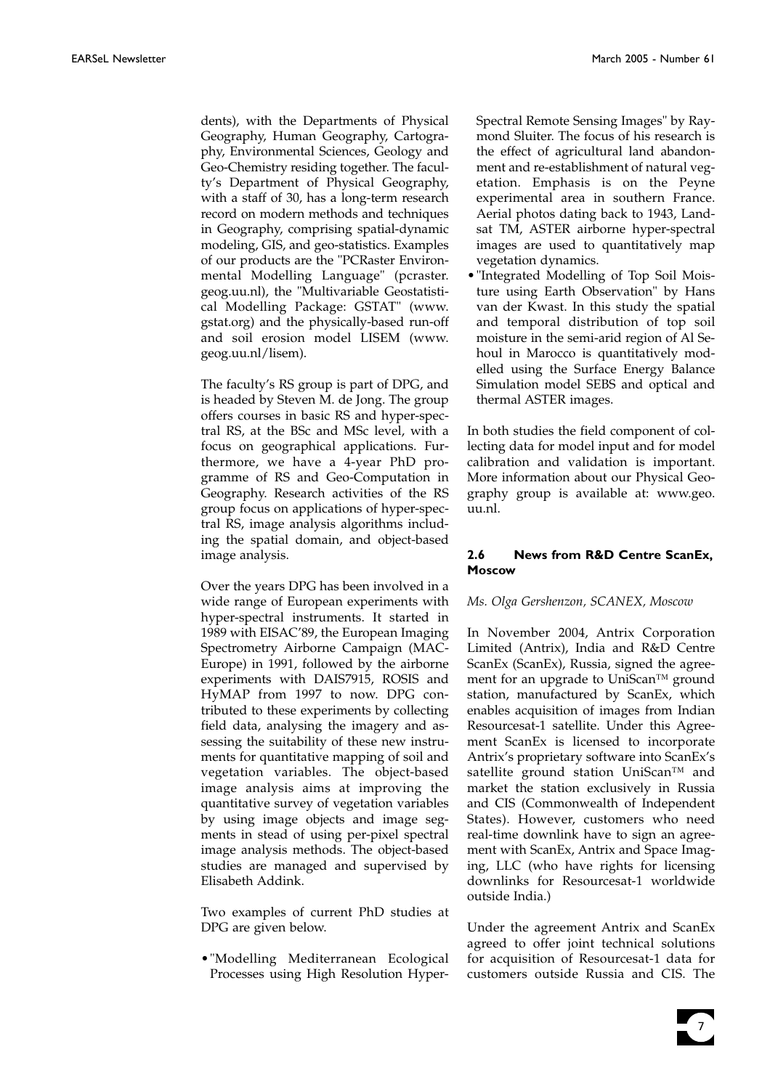dents), with the Departments of Physical Geography, Human Geography, Cartography, Environmental Sciences, Geology and Geo-Chemistry residing together. The faculty's Department of Physical Geography, with a staff of 30, has a long-term research record on modern methods and techniques in Geography, comprising spatial-dynamic modeling, GIS, and geo-statistics. Examples of our products are the "PCRaster Environmental Modelling Language" (pcraster. geog.uu.nl), the "Multivariable Geostatistical Modelling Package: GSTAT" (www. gstat.org) and the physically-based run-off and soil erosion model LISEM (www. geog.uu.nl/lisem).

The faculty's RS group is part of DPG, and is headed by Steven M. de Jong. The group offers courses in basic RS and hyper-spectral RS, at the BSc and MSc level, with a focus on geographical applications. Furthermore, we have a 4-year PhD programme of RS and Geo-Computation in Geography. Research activities of the RS group focus on applications of hyper-spectral RS, image analysis algorithms including the spatial domain, and object-based image analysis.

Over the years DPG has been involved in a wide range of European experiments with hyper-spectral instruments. It started in 1989 with EISAC'89, the European Imaging Spectrometry Airborne Campaign (MAC-Europe) in 1991, followed by the airborne experiments with DAIS7915, ROSIS and HyMAP from 1997 to now. DPG contributed to these experiments by collecting field data, analysing the imagery and assessing the suitability of these new instruments for quantitative mapping of soil and vegetation variables. The object-based image analysis aims at improving the quantitative survey of vegetation variables by using image objects and image segments in stead of using per-pixel spectral image analysis methods. The object-based studies are managed and supervised by Elisabeth Addink.

Two examples of current PhD studies at DPG are given below.

•"Modelling Mediterranean Ecological Processes using High Resolution HyperSpectral Remote Sensing Images" by Raymond Sluiter. The focus of his research is the effect of agricultural land abandonment and re-establishment of natural vegetation. Emphasis is on the Peyne experimental area in southern France. Aerial photos dating back to 1943, Landsat TM, ASTER airborne hyper-spectral images are used to quantitatively map vegetation dynamics.

•"Integrated Modelling of Top Soil Moisture using Earth Observation" by Hans van der Kwast. In this study the spatial and temporal distribution of top soil moisture in the semi-arid region of Al Sehoul in Marocco is quantitatively modelled using the Surface Energy Balance Simulation model SEBS and optical and thermal ASTER images.

In both studies the field component of collecting data for model input and for model calibration and validation is important. More information about our Physical Geography group is available at: www.geo. uu.nl.

### **2.6 News from R&D Centre ScanEx, Moscow**

#### *Ms. Olga Gershenzon, SCANEX, Moscow*

In November 2004, Antrix Corporation Limited (Antrix), India and R&D Centre ScanEx (ScanEx), Russia, signed the agreement for an upgrade to UniScan™ ground station, manufactured by ScanEx, which enables acquisition of images from Indian Resourcesat-1 satellite. Under this Agreement ScanEx is licensed to incorporate Antrix's proprietary software into ScanEx's satellite ground station UniScan™ and market the station exclusively in Russia and CIS (Commonwealth of Independent States). However, customers who need real-time downlink have to sign an agreement with ScanEx, Antrix and Space Imaging, LLC (who have rights for licensing downlinks for Resourcesat-1 worldwide outside India.)

Under the agreement Antrix and ScanEx agreed to offer joint technical solutions for acquisition of Resourcesat-1 data for customers outside Russia and CIS. The

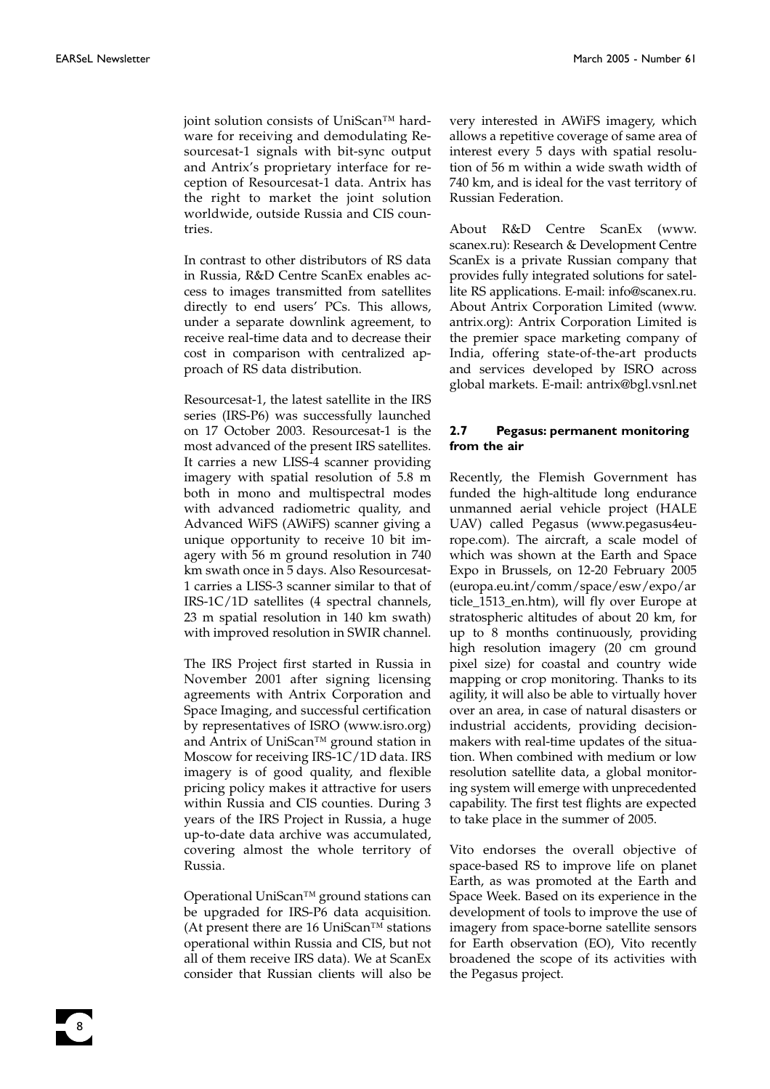joint solution consists of UniScan™ hardware for receiving and demodulating Resourcesat-1 signals with bit-sync output and Antrix's proprietary interface for reception of Resourcesat-1 data. Antrix has the right to market the joint solution worldwide, outside Russia and CIS countries.

In contrast to other distributors of RS data in Russia, R&D Centre ScanEx enables access to images transmitted from satellites directly to end users' PCs. This allows, under a separate downlink agreement, to receive real-time data and to decrease their cost in comparison with centralized approach of RS data distribution.

Resourcesat-1, the latest satellite in the IRS series (IRS-P6) was successfully launched on 17 October 2003. Resourcesat-1 is the most advanced of the present IRS satellites. It carries a new LISS-4 scanner providing imagery with spatial resolution of 5.8 m both in mono and multispectral modes with advanced radiometric quality, and Advanced WiFS (AWiFS) scanner giving a unique opportunity to receive 10 bit imagery with 56 m ground resolution in 740 km swath once in 5 days. Also Resourcesat-1 carries a LISS-3 scanner similar to that of IRS-1C/1D satellites (4 spectral channels, 23 m spatial resolution in 140 km swath) with improved resolution in SWIR channel.

The IRS Project first started in Russia in November 2001 after signing licensing agreements with Antrix Corporation and Space Imaging, and successful certification by representatives of ISRO (www.isro.org) and Antrix of UniScan™ ground station in Moscow for receiving IRS-1C/1D data. IRS imagery is of good quality, and flexible pricing policy makes it attractive for users within Russia and CIS counties. During 3 years of the IRS Project in Russia, a huge up-to-date data archive was accumulated, covering almost the whole territory of Russia.

Operational UniScan™ ground stations can be upgraded for IRS-P6 data acquisition. (At present there are 16 UniScan<sup>TM</sup> stations operational within Russia and CIS, but not all of them receive IRS data). We at ScanEx consider that Russian clients will also be very interested in AWiFS imagery, which allows a repetitive coverage of same area of interest every 5 days with spatial resolution of 56 m within a wide swath width of 740 km, and is ideal for the vast territory of Russian Federation.

About R&D Centre ScanEx (www. scanex.ru): Research & Development Centre ScanEx is a private Russian company that provides fully integrated solutions for satellite RS applications. E-mail: info@scanex.ru. About Antrix Corporation Limited (www. antrix.org): Antrix Corporation Limited is the premier space marketing company of India, offering state-of-the-art products and services developed by ISRO across global markets. E-mail: antrix@bgl.vsnl.net

#### **2.7 Pegasus: permanent monitoring from the air**

Recently, the Flemish Government has funded the high-altitude long endurance unmanned aerial vehicle project (HALE UAV) called Pegasus (www.pegasus4europe.com). The aircraft, a scale model of which was shown at the Earth and Space Expo in Brussels, on 12-20 February 2005 (europa.eu.int/comm/space/esw/expo/ar ticle\_1513\_en.htm), will fly over Europe at stratospheric altitudes of about 20 km, for up to 8 months continuously, providing high resolution imagery (20 cm ground pixel size) for coastal and country wide mapping or crop monitoring. Thanks to its agility, it will also be able to virtually hover over an area, in case of natural disasters or industrial accidents, providing decisionmakers with real-time updates of the situation. When combined with medium or low resolution satellite data, a global monitoring system will emerge with unprecedented capability. The first test flights are expected to take place in the summer of 2005.

Vito endorses the overall objective of space-based RS to improve life on planet Earth, as was promoted at the Earth and Space Week. Based on its experience in the development of tools to improve the use of imagery from space-borne satellite sensors for Earth observation (EO), Vito recently broadened the scope of its activities with the Pegasus project.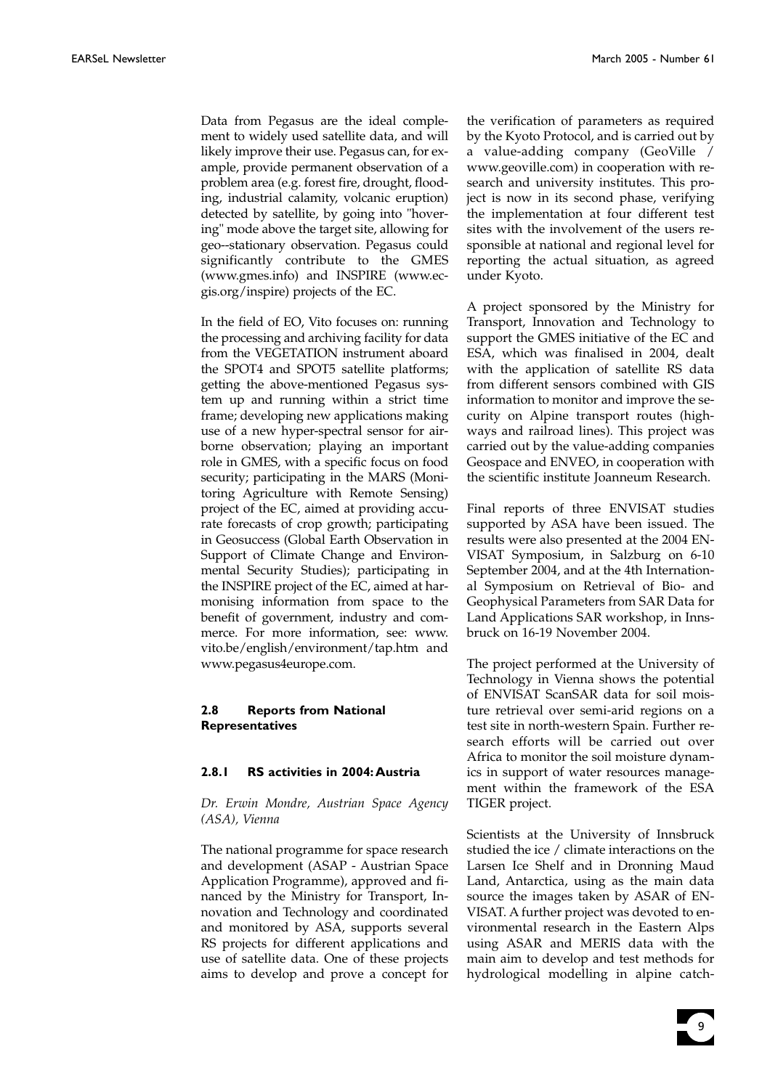Data from Pegasus are the ideal complement to widely used satellite data, and will likely improve their use. Pegasus can, for example, provide permanent observation of a problem area (e.g. forest fire, drought, flooding, industrial calamity, volcanic eruption) detected by satellite, by going into "hovering" mode above the target site, allowing for geo--stationary observation. Pegasus could significantly contribute to the GMES (www.gmes.info) and INSPIRE (www.ecgis.org/inspire) projects of the EC.

In the field of EO, Vito focuses on: running the processing and archiving facility for data from the VEGETATION instrument aboard the SPOT4 and SPOT5 satellite platforms; getting the above-mentioned Pegasus system up and running within a strict time frame; developing new applications making use of a new hyper-spectral sensor for airborne observation; playing an important role in GMES, with a specific focus on food security; participating in the MARS (Monitoring Agriculture with Remote Sensing) project of the EC, aimed at providing accurate forecasts of crop growth; participating in Geosuccess (Global Earth Observation in Support of Climate Change and Environmental Security Studies); participating in the INSPIRE project of the EC, aimed at harmonising information from space to the benefit of government, industry and commerce. For more information, see: www. vito.be/english/environment/tap.htm and www.pegasus4europe.com.

#### **2.8 Reports from National Representatives**

### **2.8.1 RS activities in 2004:Austria**

*Dr. Erwin Mondre, Austrian Space Agency (ASA), Vienna*

The national programme for space research and development (ASAP - Austrian Space Application Programme), approved and financed by the Ministry for Transport, Innovation and Technology and coordinated and monitored by ASA, supports several RS projects for different applications and use of satellite data. One of these projects aims to develop and prove a concept for

the verification of parameters as required by the Kyoto Protocol, and is carried out by a value-adding company (GeoVille / www.geoville.com) in cooperation with research and university institutes. This project is now in its second phase, verifying the implementation at four different test sites with the involvement of the users responsible at national and regional level for reporting the actual situation, as agreed under Kyoto.

A project sponsored by the Ministry for Transport, Innovation and Technology to support the GMES initiative of the EC and ESA, which was finalised in 2004, dealt with the application of satellite RS data from different sensors combined with GIS information to monitor and improve the security on Alpine transport routes (highways and railroad lines). This project was carried out by the value-adding companies Geospace and ENVEO, in cooperation with the scientific institute Joanneum Research.

Final reports of three ENVISAT studies supported by ASA have been issued. The results were also presented at the 2004 EN-VISAT Symposium, in Salzburg on 6-10 September 2004, and at the 4th International Symposium on Retrieval of Bio- and Geophysical Parameters from SAR Data for Land Applications SAR workshop, in Innsbruck on 16-19 November 2004.

The project performed at the University of Technology in Vienna shows the potential of ENVISAT ScanSAR data for soil moisture retrieval over semi-arid regions on a test site in north-western Spain. Further research efforts will be carried out over Africa to monitor the soil moisture dynamics in support of water resources management within the framework of the ESA TIGER project.

Scientists at the University of Innsbruck studied the ice / climate interactions on the Larsen Ice Shelf and in Dronning Maud Land, Antarctica, using as the main data source the images taken by ASAR of EN-VISAT. A further project was devoted to environmental research in the Eastern Alps using ASAR and MERIS data with the main aim to develop and test methods for hydrological modelling in alpine catch-

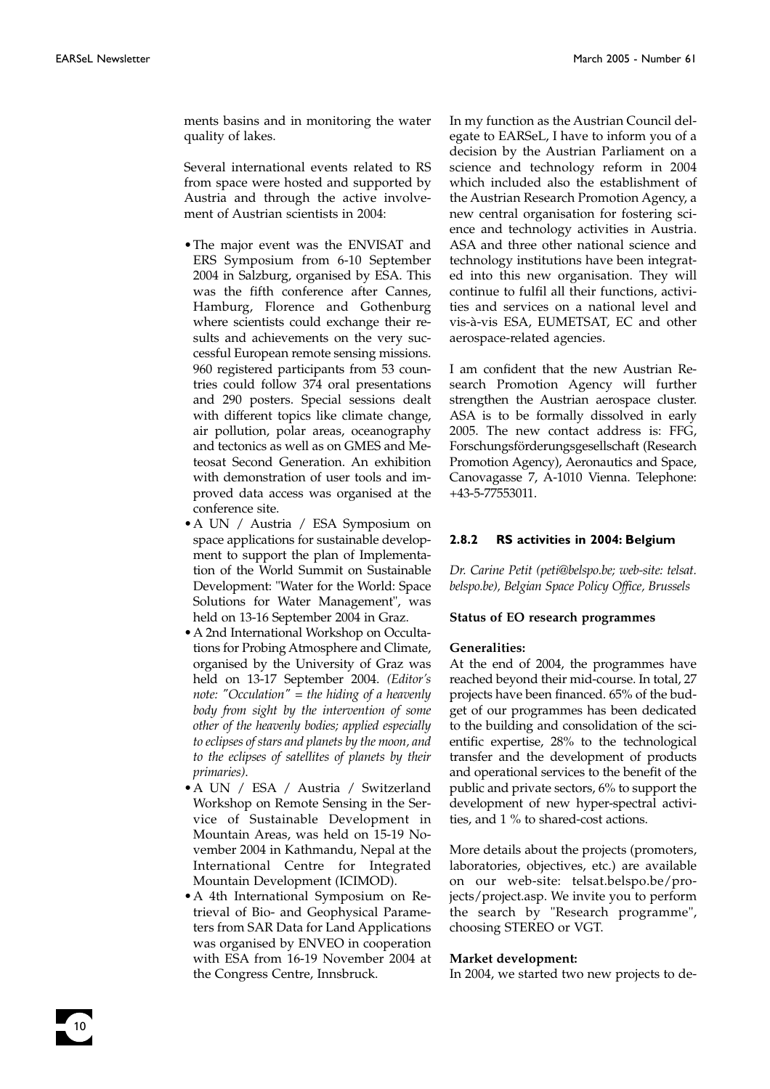10

ments basins and in monitoring the water quality of lakes.

Several international events related to RS from space were hosted and supported by Austria and through the active involvement of Austrian scientists in 2004:

- •The major event was the ENVISAT and ERS Symposium from 6-10 September 2004 in Salzburg, organised by ESA. This was the fifth conference after Cannes, Hamburg, Florence and Gothenburg where scientists could exchange their results and achievements on the very successful European remote sensing missions. 960 registered participants from 53 countries could follow 374 oral presentations and 290 posters. Special sessions dealt with different topics like climate change, air pollution, polar areas, oceanography and tectonics as well as on GMES and Meteosat Second Generation. An exhibition with demonstration of user tools and improved data access was organised at the conference site.
- •A UN / Austria / ESA Symposium on space applications for sustainable development to support the plan of Implementation of the World Summit on Sustainable Development: "Water for the World: Space Solutions for Water Management", was held on 13-16 September 2004 in Graz.
- •A 2nd International Workshop on Occultations for Probing Atmosphere and Climate, organised by the University of Graz was held on 13-17 September 2004. *(Editor's note: "Occulation" = the hiding of a heavenly body from sight by the intervention of some other of the heavenly bodies; applied especially to eclipses of stars and planets by the moon, and to the eclipses of satellites of planets by their primaries)*.
- •A UN / ESA / Austria / Switzerland Workshop on Remote Sensing in the Service of Sustainable Development in Mountain Areas, was held on 15-19 November 2004 in Kathmandu, Nepal at the International Centre for Integrated Mountain Development (ICIMOD).
- •A 4th International Symposium on Retrieval of Bio- and Geophysical Parameters from SAR Data for Land Applications was organised by ENVEO in cooperation with ESA from 16-19 November 2004 at the Congress Centre, Innsbruck.

In my function as the Austrian Council delegate to EARSeL, I have to inform you of a decision by the Austrian Parliament on a science and technology reform in 2004 which included also the establishment of the Austrian Research Promotion Agency, a new central organisation for fostering science and technology activities in Austria. ASA and three other national science and technology institutions have been integrated into this new organisation. They will continue to fulfil all their functions, activities and services on a national level and vis-à-vis ESA, EUMETSAT, EC and other aerospace-related agencies.

I am confident that the new Austrian Research Promotion Agency will further strengthen the Austrian aerospace cluster. ASA is to be formally dissolved in early 2005. The new contact address is: FFG, Forschungsförderungsgesellschaft (Research Promotion Agency), Aeronautics and Space, Canovagasse 7, A-1010 Vienna. Telephone: +43-5-77553011.

#### **2.8.2 RS activities in 2004: Belgium**

*Dr. Carine Petit (peti@belspo.be; web-site: telsat. belspo.be), Belgian Space Policy Office, Brussels*

#### **Status of EO research programmes**

#### **Generalities:**

At the end of 2004, the programmes have reached beyond their mid-course. In total, 27 projects have been financed. 65% of the budget of our programmes has been dedicated to the building and consolidation of the scientific expertise, 28% to the technological transfer and the development of products and operational services to the benefit of the public and private sectors, 6% to support the development of new hyper-spectral activities, and 1 % to shared-cost actions.

More details about the projects (promoters, laboratories, objectives, etc.) are available on our web-site: telsat.belspo.be/projects/project.asp. We invite you to perform the search by "Research programme", choosing STEREO or VGT.

#### **Market development:**

In 2004, we started two new projects to de-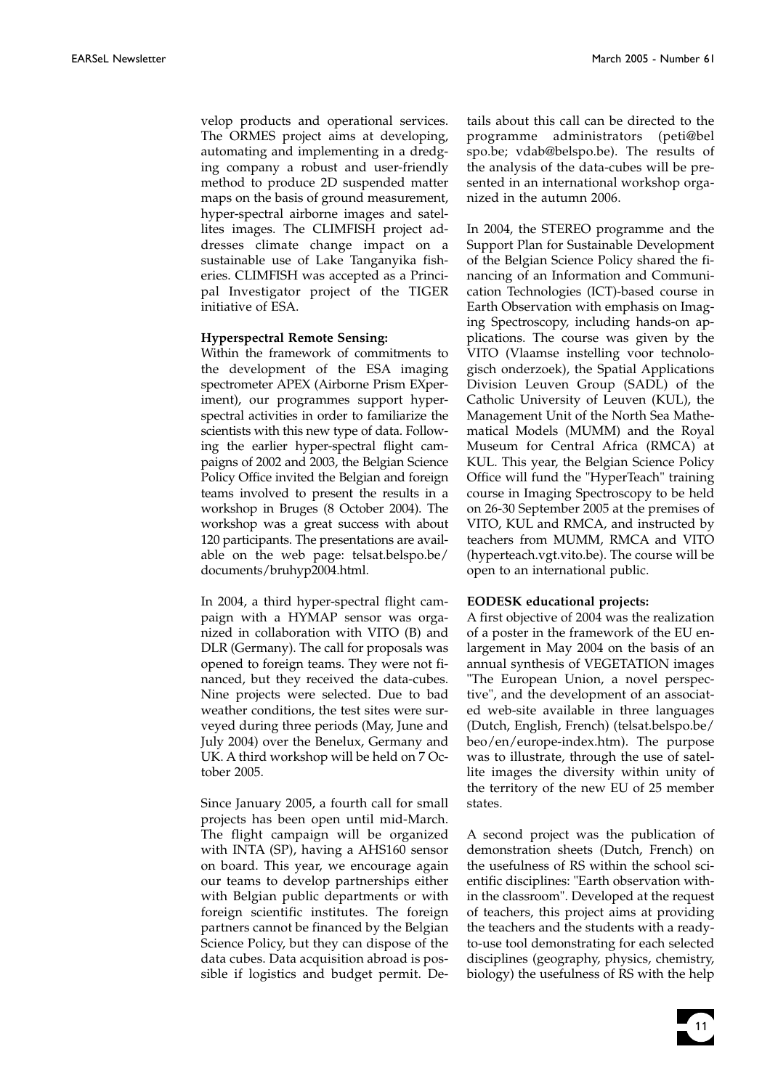velop products and operational services. The ORMES project aims at developing, automating and implementing in a dredging company a robust and user-friendly method to produce 2D suspended matter maps on the basis of ground measurement, hyper-spectral airborne images and satellites images. The CLIMFISH project addresses climate change impact on a sustainable use of Lake Tanganyika fisheries. CLIMFISH was accepted as a Principal Investigator project of the TIGER initiative of ESA.

#### **Hyperspectral Remote Sensing:**

Within the framework of commitments to the development of the ESA imaging spectrometer APEX (Airborne Prism EXperiment), our programmes support hyperspectral activities in order to familiarize the scientists with this new type of data. Following the earlier hyper-spectral flight campaigns of 2002 and 2003, the Belgian Science Policy Office invited the Belgian and foreign teams involved to present the results in a workshop in Bruges (8 October 2004). The workshop was a great success with about 120 participants. The presentations are available on the web page: telsat.belspo.be/ documents/bruhyp2004.html.

In 2004, a third hyper-spectral flight campaign with a HYMAP sensor was organized in collaboration with VITO (B) and DLR (Germany). The call for proposals was opened to foreign teams. They were not financed, but they received the data-cubes. Nine projects were selected. Due to bad weather conditions, the test sites were surveyed during three periods (May, June and July 2004) over the Benelux, Germany and UK. A third workshop will be held on 7 October 2005.

Since January 2005, a fourth call for small projects has been open until mid-March. The flight campaign will be organized with INTA (SP), having a AHS160 sensor on board. This year, we encourage again our teams to develop partnerships either with Belgian public departments or with foreign scientific institutes. The foreign partners cannot be financed by the Belgian Science Policy, but they can dispose of the data cubes. Data acquisition abroad is possible if logistics and budget permit. De-

tails about this call can be directed to the programme administrators (peti@bel spo.be; vdab@belspo.be). The results of the analysis of the data-cubes will be presented in an international workshop organized in the autumn 2006.

In 2004, the STEREO programme and the Support Plan for Sustainable Development of the Belgian Science Policy shared the financing of an Information and Communication Technologies (ICT)-based course in Earth Observation with emphasis on Imaging Spectroscopy, including hands-on applications. The course was given by the VITO (Vlaamse instelling voor technologisch onderzoek), the Spatial Applications Division Leuven Group (SADL) of the Catholic University of Leuven (KUL), the Management Unit of the North Sea Mathematical Models (MUMM) and the Royal Museum for Central Africa (RMCA) at KUL. This year, the Belgian Science Policy Office will fund the "HyperTeach" training course in Imaging Spectroscopy to be held on 26-30 September 2005 at the premises of VITO, KUL and RMCA, and instructed by teachers from MUMM, RMCA and VITO (hyperteach.vgt.vito.be). The course will be open to an international public.

#### **EODESK educational projects:**

A first objective of 2004 was the realization of a poster in the framework of the EU enlargement in May 2004 on the basis of an annual synthesis of VEGETATION images "The European Union, a novel perspective", and the development of an associated web-site available in three languages (Dutch, English, French) (telsat.belspo.be/ beo/en/europe-index.htm). The purpose was to illustrate, through the use of satellite images the diversity within unity of the territory of the new EU of 25 member states.

A second project was the publication of demonstration sheets (Dutch, French) on the usefulness of RS within the school scientific disciplines: "Earth observation within the classroom". Developed at the request of teachers, this project aims at providing the teachers and the students with a readyto-use tool demonstrating for each selected disciplines (geography, physics, chemistry, biology) the usefulness of RS with the help

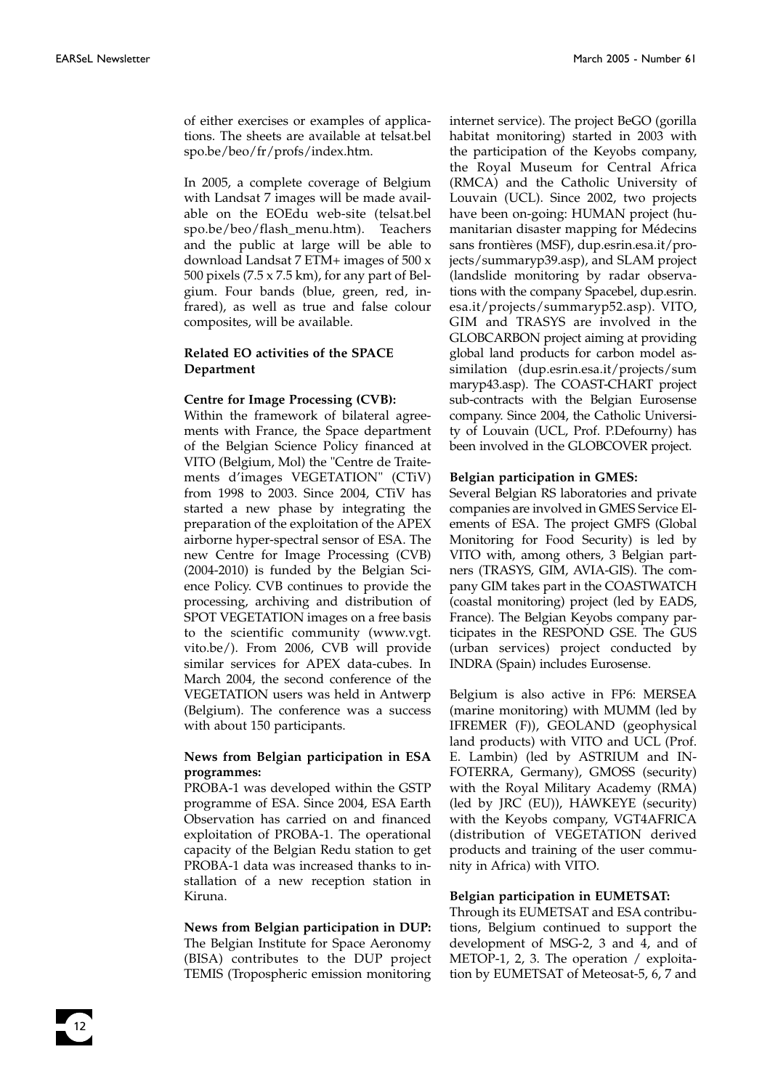of either exercises or examples of applications. The sheets are available at telsat.bel spo.be/beo/fr/profs/index.htm.

In 2005, a complete coverage of Belgium with Landsat 7 images will be made available on the EOEdu web-site (telsat.bel spo.be/beo/flash\_menu.htm). Teachers and the public at large will be able to download Landsat 7 ETM+ images of 500 x 500 pixels  $(7.5 \times 7.5 \text{ km})$ , for any part of Belgium. Four bands (blue, green, red, infrared), as well as true and false colour composites, will be available.

#### **Related EO activities of the SPACE Department**

#### **Centre for Image Processing (CVB):**

Within the framework of bilateral agreements with France, the Space department of the Belgian Science Policy financed at VITO (Belgium, Mol) the "Centre de Traitements d'images VEGETATION" (CTiV) from 1998 to 2003. Since 2004, CTiV has started a new phase by integrating the preparation of the exploitation of the APEX airborne hyper-spectral sensor of ESA. The new Centre for Image Processing (CVB) (2004-2010) is funded by the Belgian Science Policy. CVB continues to provide the processing, archiving and distribution of SPOT VEGETATION images on a free basis to the scientific community (www.vgt. vito.be/). From 2006, CVB will provide similar services for APEX data-cubes. In March 2004, the second conference of the VEGETATION users was held in Antwerp (Belgium). The conference was a success with about 150 participants.

#### **News from Belgian participation in ESA programmes:**

PROBA-1 was developed within the GSTP programme of ESA. Since 2004, ESA Earth Observation has carried on and financed exploitation of PROBA-1. The operational capacity of the Belgian Redu station to get PROBA-1 data was increased thanks to installation of a new reception station in Kiruna.

#### **News from Belgian participation in DUP:** The Belgian Institute for Space Aeronomy (BISA) contributes to the DUP project TEMIS (Tropospheric emission monitoring

internet service). The project BeGO (gorilla habitat monitoring) started in 2003 with the participation of the Keyobs company, the Royal Museum for Central Africa (RMCA) and the Catholic University of Louvain (UCL). Since 2002, two projects have been on-going: HUMAN project (humanitarian disaster mapping for Médecins sans frontières (MSF), dup.esrin.esa.it/projects/summaryp39.asp), and SLAM project (landslide monitoring by radar observations with the company Spacebel, dup.esrin. esa.it/projects/summaryp52.asp). VITO, GIM and TRASYS are involved in the GLOBCARBON project aiming at providing global land products for carbon model assimilation (dup.esrin.esa.it/projects/sum maryp43.asp). The COAST-CHART project sub-contracts with the Belgian Eurosense company. Since 2004, the Catholic University of Louvain (UCL, Prof. P.Defourny) has been involved in the GLOBCOVER project.

#### **Belgian participation in GMES:**

Several Belgian RS laboratories and private companies are involved in GMES Service Elements of ESA. The project GMFS (Global Monitoring for Food Security) is led by VITO with, among others, 3 Belgian partners (TRASYS, GIM, AVIA-GIS). The company GIM takes part in the COASTWATCH (coastal monitoring) project (led by EADS, France). The Belgian Keyobs company participates in the RESPOND GSE. The GUS (urban services) project conducted by INDRA (Spain) includes Eurosense.

Belgium is also active in FP6: MERSEA (marine monitoring) with MUMM (led by IFREMER (F)), GEOLAND (geophysical land products) with VITO and UCL (Prof. E. Lambin) (led by ASTRIUM and IN-FOTERRA, Germany), GMOSS (security) with the Royal Military Academy (RMA) (led by JRC (EU)), HAWKEYE (security) with the Keyobs company, VGT4AFRICA (distribution of VEGETATION derived products and training of the user community in Africa) with VITO.

#### **Belgian participation in EUMETSAT:**

Through its EUMETSAT and ESA contributions, Belgium continued to support the development of MSG-2, 3 and 4, and of METOP-1, 2, 3. The operation / exploitation by EUMETSAT of Meteosat-5, 6, 7 and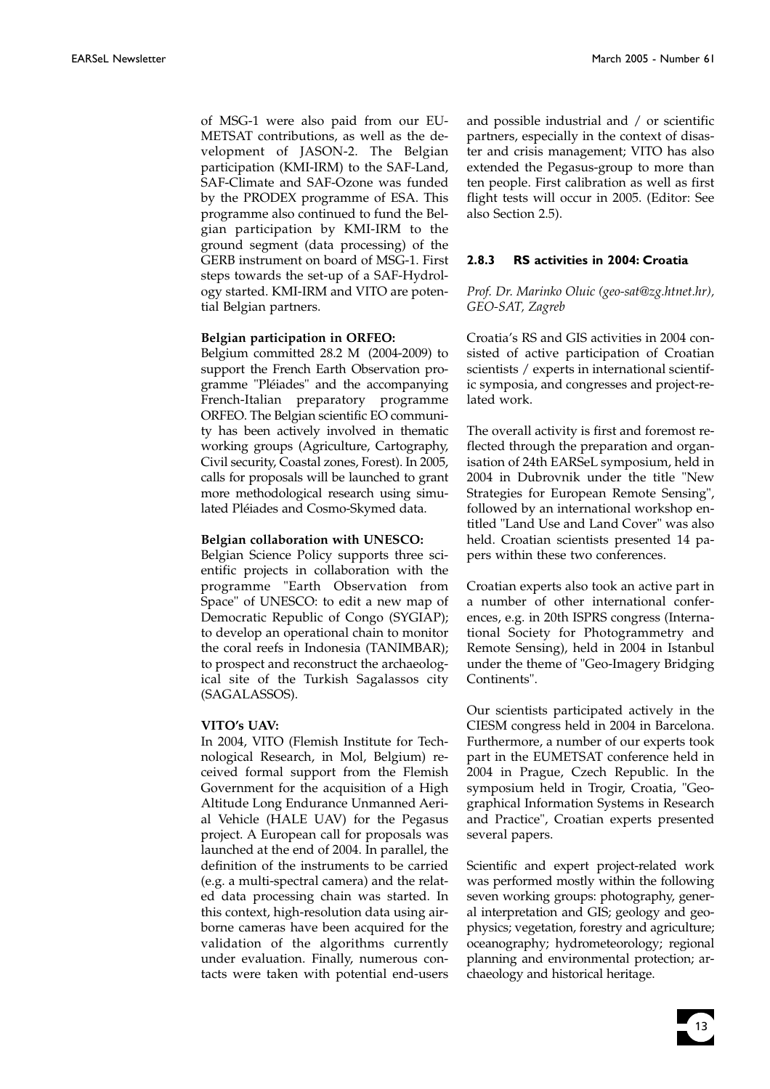of MSG-1 were also paid from our EU-METSAT contributions, as well as the development of JASON-2. The Belgian participation (KMI-IRM) to the SAF-Land, SAF-Climate and SAF-Ozone was funded by the PRODEX programme of ESA. This programme also continued to fund the Belgian participation by KMI-IRM to the ground segment (data processing) of the GERB instrument on board of MSG-1. First steps towards the set-up of a SAF-Hydrology started. KMI-IRM and VITO are potential Belgian partners.

#### **Belgian participation in ORFEO:**

Belgium committed 28.2 M (2004-2009) to support the French Earth Observation programme "Pléiades" and the accompanying French-Italian preparatory programme ORFEO. The Belgian scientific EO community has been actively involved in thematic working groups (Agriculture, Cartography, Civil security, Coastal zones, Forest). In 2005, calls for proposals will be launched to grant more methodological research using simulated Pléiades and Cosmo-Skymed data.

#### **Belgian collaboration with UNESCO:**

Belgian Science Policy supports three scientific projects in collaboration with the programme "Earth Observation from Space" of UNESCO: to edit a new map of Democratic Republic of Congo (SYGIAP); to develop an operational chain to monitor the coral reefs in Indonesia (TANIMBAR); to prospect and reconstruct the archaeological site of the Turkish Sagalassos city (SAGALASSOS).

#### **VITO's UAV:**

In 2004, VITO (Flemish Institute for Technological Research, in Mol, Belgium) received formal support from the Flemish Government for the acquisition of a High Altitude Long Endurance Unmanned Aerial Vehicle (HALE UAV) for the Pegasus project. A European call for proposals was launched at the end of 2004. In parallel, the definition of the instruments to be carried (e.g. a multi-spectral camera) and the related data processing chain was started. In this context, high-resolution data using airborne cameras have been acquired for the validation of the algorithms currently under evaluation. Finally, numerous contacts were taken with potential end-users

and possible industrial and / or scientific partners, especially in the context of disaster and crisis management; VITO has also extended the Pegasus-group to more than ten people. First calibration as well as first flight tests will occur in 2005. (Editor: See also Section 2.5).

#### **2.8.3 RS activities in 2004: Croatia**

#### *Prof. Dr. Marinko Oluic (geo-sat@zg.htnet.hr), GEO-SAT, Zagreb*

Croatia's RS and GIS activities in 2004 consisted of active participation of Croatian scientists / experts in international scientific symposia, and congresses and project-related work.

The overall activity is first and foremost reflected through the preparation and organisation of 24th EARSeL symposium, held in 2004 in Dubrovnik under the title "New Strategies for European Remote Sensing", followed by an international workshop entitled "Land Use and Land Cover" was also held. Croatian scientists presented 14 papers within these two conferences.

Croatian experts also took an active part in a number of other international conferences, e.g. in 20th ISPRS congress (International Society for Photogrammetry and Remote Sensing), held in 2004 in Istanbul under the theme of "Geo-Imagery Bridging Continents".

Our scientists participated actively in the CIESM congress held in 2004 in Barcelona. Furthermore, a number of our experts took part in the EUMETSAT conference held in 2004 in Prague, Czech Republic. In the symposium held in Trogir, Croatia, "Geographical Information Systems in Research and Practice", Croatian experts presented several papers.

Scientific and expert project-related work was performed mostly within the following seven working groups: photography, general interpretation and GIS; geology and geophysics; vegetation, forestry and agriculture; oceanography; hydrometeorology; regional planning and environmental protection; archaeology and historical heritage.

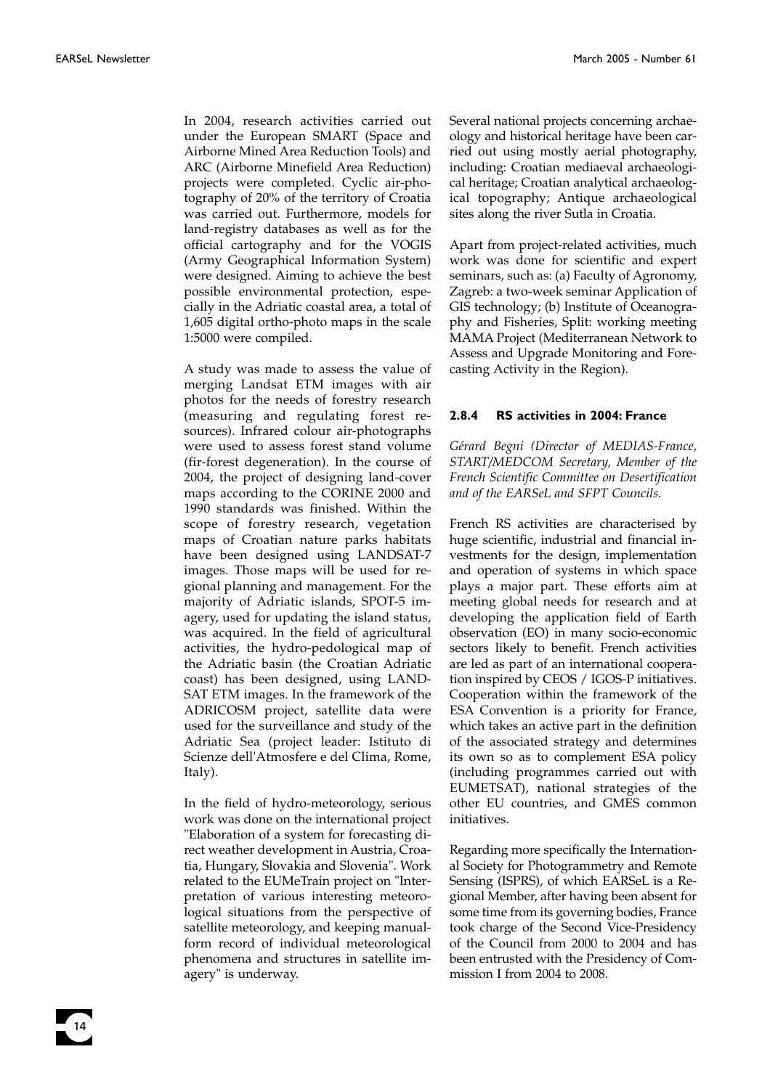In 2004, research activities carried out under the European SMART (Space and Airborne Mined Area Reduction Tools) and ARC (Airborne Minefield Area Reduction) projects were completed. Cyclic air-photography of 20% of the territory of Croatia was carried out. Furthermore, models for land-registry databases as well as for the official cartography and for the VOGIS (Army Geographical Information System) were designed. Aiming to achieve the best possible environmental protection, especially in the Adriatic coastal area, a total of 1,605 digital ortho-photo maps in the scale 1:5000 were compiled.

A study was made to assess the value of merging Landsat ETM images with air photos for the needs of forestry research (measuring and regulating forest resources). Infrared colour air-photographs were used to assess forest stand volume (fir-forest degeneration). In the course of 2004, the project of designing land-cover maps according to the CORINE 2000 and 1990 standards was finished. Within the scope of forestry research, vegetation maps of Croatian nature parks habitats have been designed using LANDSAT-7 images. Those maps will be used for regional planning and management. For the majority of Adriatic islands, SPOT-5 imagery, used for updating the island status, was acquired. In the field of agricultural activities, the hydro-pedological map of the Adriatic basin (the Croatian Adriatic coast) has been designed, using LAND-SAT ETM images. In the framework of the ADRICOSM project, satellite data were used for the surveillance and study of the Adriatic Sea (project leader: Istituto di Scienze dell'Atmosfere e del Clima, Rome, Italy).

In the field of hydro-meteorology, serious work was done on the international project "Elaboration of a system for forecasting direct weather development in Austria, Croatia, Hungary, Slovakia and Slovenia". Work related to the EUMeTrain project on "Interpretation of various interesting meteorological situations from the perspective of satellite meteorology, and keeping manualform record of individual meteorological phenomena and structures in satellite imagery" is underway.

Several national projects concerning archaeology and historical heritage have been carried out using mostly aerial photography, including: Croatian mediaeval archaeological heritage; Croatian analytical archaeological topography; Antique archaeological sites along the river Sutla in Croatia.

Apart from project-related activities, much work was done for scientific and expert seminars, such as: (a) Faculty of Agronomy, Zagreb: a two-week seminar Application of GIS technology; (b) Institute of Oceanography and Fisheries, Split: working meeting MAMA Project (Mediterranean Network to Assess and Upgrade Monitoring and Forecasting Activity in the Region).

#### **2.8.4 RS activities in 2004: France**

*Gérard Begni (Director of MEDIAS-France, START/MEDCOM Secretary, Member of the French Scientific Committee on Desertification and of the EARSeL and SFPT Councils.*

French RS activities are characterised by huge scientific, industrial and financial investments for the design, implementation and operation of systems in which space plays a major part. These efforts aim at meeting global needs for research and at developing the application field of Earth observation (EO) in many socio-economic sectors likely to benefit. French activities are led as part of an international cooperation inspired by CEOS / IGOS-P initiatives. Cooperation within the framework of the ESA Convention is a priority for France, which takes an active part in the definition of the associated strategy and determines its own so as to complement ESA policy (including programmes carried out with EUMETSAT), national strategies of the other EU countries, and GMES common initiatives.

Regarding more specifically the International Society for Photogrammetry and Remote Sensing (ISPRS), of which EARSeL is a Regional Member, after having been absent for some time from its governing bodies, France took charge of the Second Vice-Presidency of the Council from 2000 to 2004 and has been entrusted with the Presidency of Commission I from 2004 to 2008.

14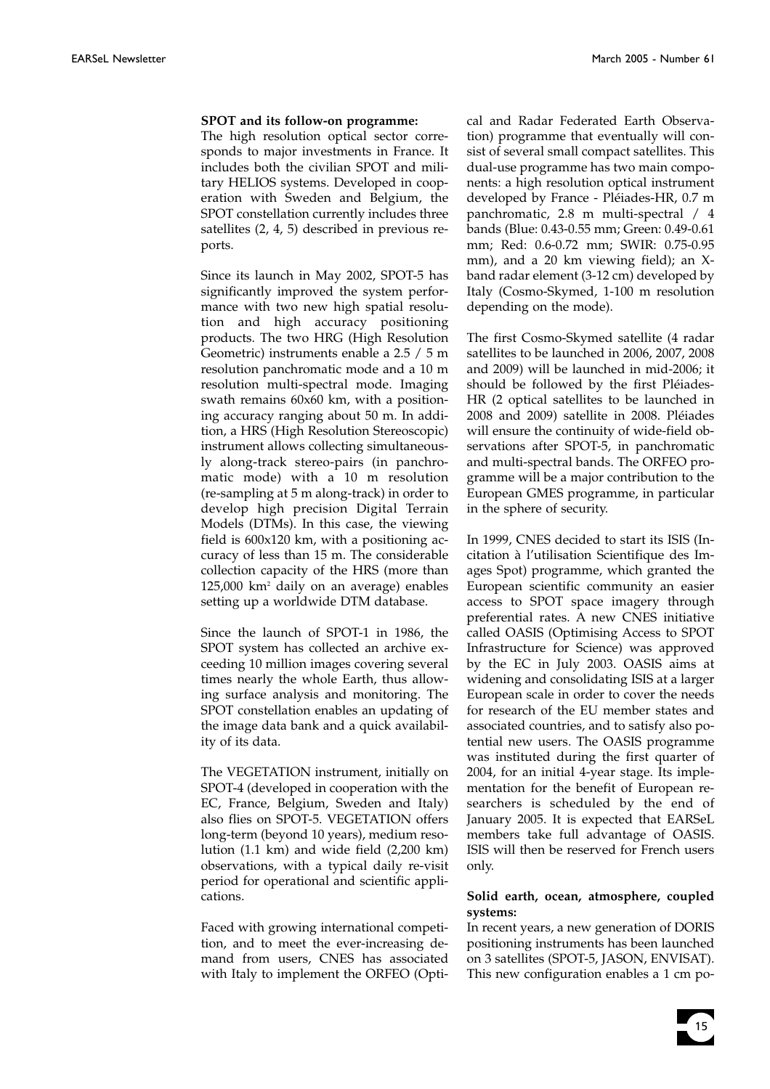#### **SPOT and its follow-on programme:**

The high resolution optical sector corresponds to major investments in France. It includes both the civilian SPOT and military HELIOS systems. Developed in cooperation with Sweden and Belgium, the SPOT constellation currently includes three satellites (2, 4, 5) described in previous reports.

Since its launch in May 2002, SPOT-5 has significantly improved the system performance with two new high spatial resolution and high accuracy positioning products. The two HRG (High Resolution Geometric) instruments enable a 2.5 / 5 m resolution panchromatic mode and a 10 m resolution multi-spectral mode. Imaging swath remains 60x60 km, with a positioning accuracy ranging about 50 m. In addition, a HRS (High Resolution Stereoscopic) instrument allows collecting simultaneously along-track stereo-pairs (in panchromatic mode) with a 10 m resolution (re-sampling at 5 m along-track) in order to develop high precision Digital Terrain Models (DTMs). In this case, the viewing field is 600x120 km, with a positioning accuracy of less than 15 m. The considerable collection capacity of the HRS (more than 125,000 km2 daily on an average) enables setting up a worldwide DTM database.

Since the launch of SPOT-1 in 1986, the SPOT system has collected an archive exceeding 10 million images covering several times nearly the whole Earth, thus allowing surface analysis and monitoring. The SPOT constellation enables an updating of the image data bank and a quick availability of its data.

The VEGETATION instrument, initially on SPOT-4 (developed in cooperation with the EC, France, Belgium, Sweden and Italy) also flies on SPOT-5. VEGETATION offers long-term (beyond 10 years), medium resolution (1.1 km) and wide field (2,200 km) observations, with a typical daily re-visit period for operational and scientific applications.

Faced with growing international competition, and to meet the ever-increasing demand from users, CNES has associated with Italy to implement the ORFEO (Optical and Radar Federated Earth Observation) programme that eventually will consist of several small compact satellites. This dual-use programme has two main components: a high resolution optical instrument developed by France - Pléiades-HR, 0.7 m panchromatic, 2.8 m multi-spectral / 4 bands (Blue: 0.43-0.55 mm; Green: 0.49-0.61 mm; Red: 0.6-0.72 mm; SWIR: 0.75-0.95 mm), and a 20 km viewing field); an Xband radar element (3-12 cm) developed by Italy (Cosmo-Skymed, 1-100 m resolution depending on the mode).

The first Cosmo-Skymed satellite (4 radar satellites to be launched in 2006, 2007, 2008 and 2009) will be launched in mid-2006; it should be followed by the first Pléiades-HR (2 optical satellites to be launched in 2008 and 2009) satellite in 2008. Pléiades will ensure the continuity of wide-field observations after SPOT-5, in panchromatic and multi-spectral bands. The ORFEO programme will be a major contribution to the European GMES programme, in particular in the sphere of security.

In 1999, CNES decided to start its ISIS (Incitation à l'utilisation Scientifique des Images Spot) programme, which granted the European scientific community an easier access to SPOT space imagery through preferential rates. A new CNES initiative called OASIS (Optimising Access to SPOT Infrastructure for Science) was approved by the EC in July 2003. OASIS aims at widening and consolidating ISIS at a larger European scale in order to cover the needs for research of the EU member states and associated countries, and to satisfy also potential new users. The OASIS programme was instituted during the first quarter of 2004, for an initial 4-year stage. Its implementation for the benefit of European researchers is scheduled by the end of January 2005. It is expected that EARSeL members take full advantage of OASIS. ISIS will then be reserved for French users only.

#### **Solid earth, ocean, atmosphere, coupled systems:**

In recent years, a new generation of DORIS positioning instruments has been launched on 3 satellites (SPOT-5, JASON, ENVISAT). This new configuration enables a 1 cm po-

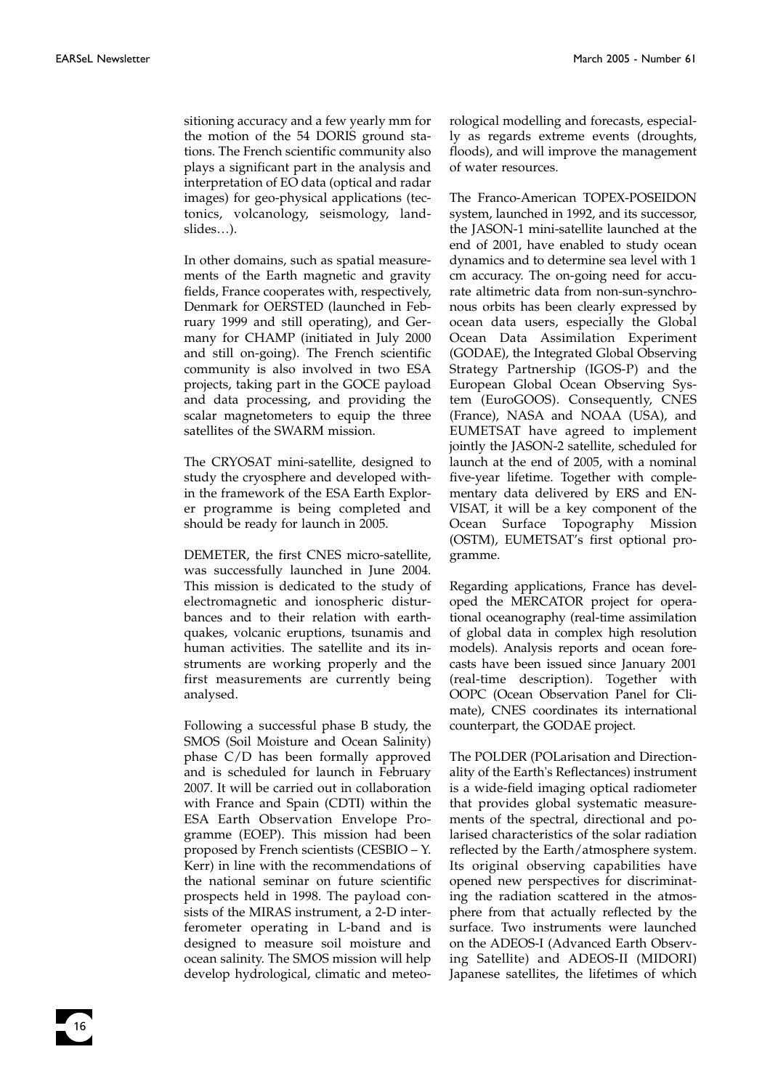sitioning accuracy and a few yearly mm for the motion of the 54 DORIS ground stations. The French scientific community also plays a significant part in the analysis and interpretation of EO data (optical and radar images) for geo-physical applications (tectonics, volcanology, seismology, landslides…).

In other domains, such as spatial measurements of the Earth magnetic and gravity fields, France cooperates with, respectively, Denmark for OERSTED (launched in February 1999 and still operating), and Germany for CHAMP (initiated in July 2000 and still on-going). The French scientific community is also involved in two ESA projects, taking part in the GOCE payload and data processing, and providing the scalar magnetometers to equip the three satellites of the SWARM mission.

The CRYOSAT mini-satellite, designed to study the cryosphere and developed within the framework of the ESA Earth Explorer programme is being completed and should be ready for launch in 2005.

DEMETER, the first CNES micro-satellite, was successfully launched in June 2004. This mission is dedicated to the study of electromagnetic and ionospheric disturbances and to their relation with earthquakes, volcanic eruptions, tsunamis and human activities. The satellite and its instruments are working properly and the first measurements are currently being analysed.

Following a successful phase B study, the SMOS (Soil Moisture and Ocean Salinity) phase C/D has been formally approved and is scheduled for launch in February 2007. It will be carried out in collaboration with France and Spain (CDTI) within the ESA Earth Observation Envelope Programme (EOEP). This mission had been proposed by French scientists (CESBIO – Y. Kerr) in line with the recommendations of the national seminar on future scientific prospects held in 1998. The payload consists of the MIRAS instrument, a 2-D interferometer operating in L-band and is designed to measure soil moisture and ocean salinity. The SMOS mission will help develop hydrological, climatic and meteorological modelling and forecasts, especially as regards extreme events (droughts, floods), and will improve the management of water resources.

The Franco-American TOPEX-POSEIDON system, launched in 1992, and its successor, the JASON-1 mini-satellite launched at the end of 2001, have enabled to study ocean dynamics and to determine sea level with 1 cm accuracy. The on-going need for accurate altimetric data from non-sun-synchronous orbits has been clearly expressed by ocean data users, especially the Global Ocean Data Assimilation Experiment (GODAE), the Integrated Global Observing Strategy Partnership (IGOS-P) and the European Global Ocean Observing System (EuroGOOS). Consequently, CNES (France), NASA and NOAA (USA), and EUMETSAT have agreed to implement jointly the JASON-2 satellite, scheduled for launch at the end of 2005, with a nominal five-year lifetime. Together with complementary data delivered by ERS and EN-VISAT, it will be a key component of the Ocean Surface Topography Mission (OSTM), EUMETSAT's first optional programme.

Regarding applications, France has developed the MERCATOR project for operational oceanography (real-time assimilation of global data in complex high resolution models). Analysis reports and ocean forecasts have been issued since January 2001 (real-time description). Together with OOPC (Ocean Observation Panel for Climate), CNES coordinates its international counterpart, the GODAE project.

The POLDER (POLarisation and Directionality of the Earth's Reflectances) instrument is a wide-field imaging optical radiometer that provides global systematic measurements of the spectral, directional and polarised characteristics of the solar radiation reflected by the Earth/atmosphere system. Its original observing capabilities have opened new perspectives for discriminating the radiation scattered in the atmosphere from that actually reflected by the surface. Two instruments were launched on the ADEOS-I (Advanced Earth Observing Satellite) and ADEOS-II (MIDORI) Japanese satellites, the lifetimes of which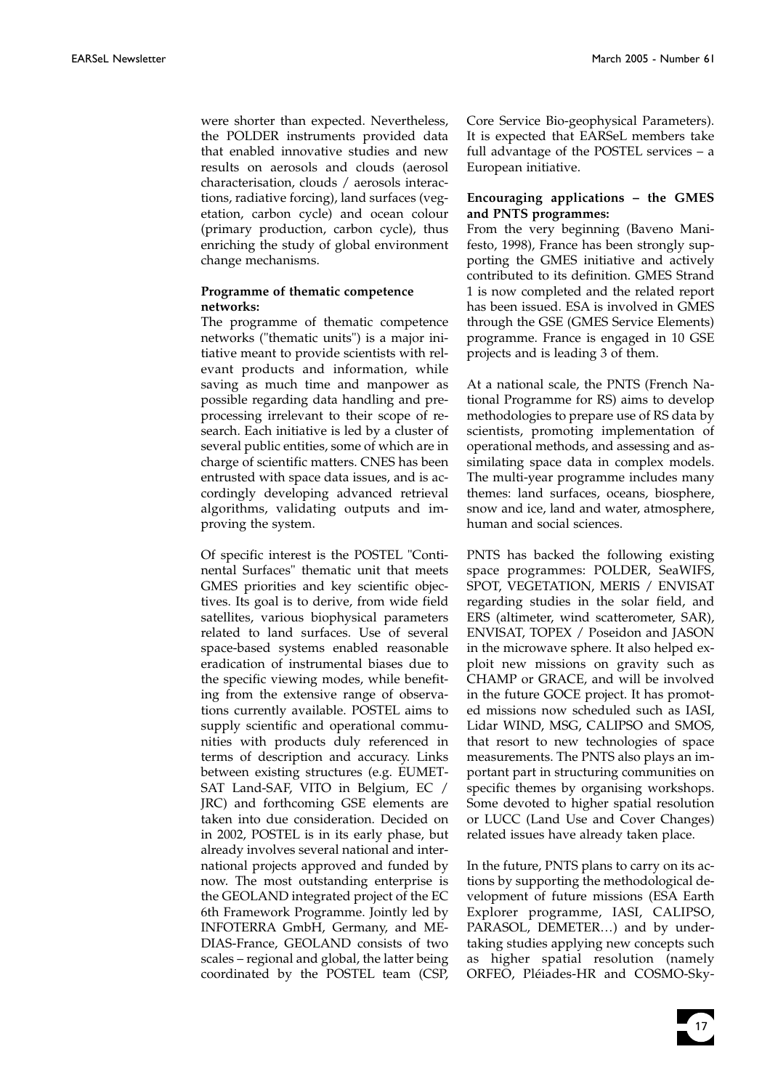were shorter than expected. Nevertheless, the POLDER instruments provided data that enabled innovative studies and new results on aerosols and clouds (aerosol characterisation, clouds / aerosols interactions, radiative forcing), land surfaces (vegetation, carbon cycle) and ocean colour (primary production, carbon cycle), thus enriching the study of global environment change mechanisms.

#### **Programme of thematic competence networks:**

The programme of thematic competence networks ("thematic units") is a major initiative meant to provide scientists with relevant products and information, while saving as much time and manpower as possible regarding data handling and preprocessing irrelevant to their scope of research. Each initiative is led by a cluster of several public entities, some of which are in charge of scientific matters. CNES has been entrusted with space data issues, and is accordingly developing advanced retrieval algorithms, validating outputs and improving the system.

Of specific interest is the POSTEL "Continental Surfaces" thematic unit that meets GMES priorities and key scientific objectives. Its goal is to derive, from wide field satellites, various biophysical parameters related to land surfaces. Use of several space-based systems enabled reasonable eradication of instrumental biases due to the specific viewing modes, while benefiting from the extensive range of observations currently available. POSTEL aims to supply scientific and operational communities with products duly referenced in terms of description and accuracy. Links between existing structures (e.g. EUMET-SAT Land-SAF, VITO in Belgium, EC / JRC) and forthcoming GSE elements are taken into due consideration. Decided on in 2002, POSTEL is in its early phase, but already involves several national and international projects approved and funded by now. The most outstanding enterprise is the GEOLAND integrated project of the EC 6th Framework Programme. Jointly led by INFOTERRA GmbH, Germany, and ME-DIAS-France, GEOLAND consists of two scales – regional and global, the latter being coordinated by the POSTEL team (CSP,

Core Service Bio-geophysical Parameters). It is expected that EARSeL members take full advantage of the POSTEL services – a European initiative.

#### **Encouraging applications – the GMES and PNTS programmes:**

From the very beginning (Baveno Manifesto, 1998), France has been strongly supporting the GMES initiative and actively contributed to its definition. GMES Strand 1 is now completed and the related report has been issued. ESA is involved in GMES through the GSE (GMES Service Elements) programme. France is engaged in 10 GSE projects and is leading 3 of them.

At a national scale, the PNTS (French National Programme for RS) aims to develop methodologies to prepare use of RS data by scientists, promoting implementation of operational methods, and assessing and assimilating space data in complex models. The multi-year programme includes many themes: land surfaces, oceans, biosphere, snow and ice, land and water, atmosphere, human and social sciences.

PNTS has backed the following existing space programmes: POLDER, SeaWIFS, SPOT, VEGETATION, MERIS / ENVISAT regarding studies in the solar field, and ERS (altimeter, wind scatterometer, SAR), ENVISAT, TOPEX / Poseidon and JASON in the microwave sphere. It also helped exploit new missions on gravity such as CHAMP or GRACE, and will be involved in the future GOCE project. It has promoted missions now scheduled such as IASI, Lidar WIND, MSG, CALIPSO and SMOS, that resort to new technologies of space measurements. The PNTS also plays an important part in structuring communities on specific themes by organising workshops. Some devoted to higher spatial resolution or LUCC (Land Use and Cover Changes) related issues have already taken place.

In the future, PNTS plans to carry on its actions by supporting the methodological development of future missions (ESA Earth Explorer programme, IASI, CALIPSO, PARASOL, DEMETER…) and by undertaking studies applying new concepts such as higher spatial resolution (namely ORFEO, Pléiades-HR and COSMO-Sky-

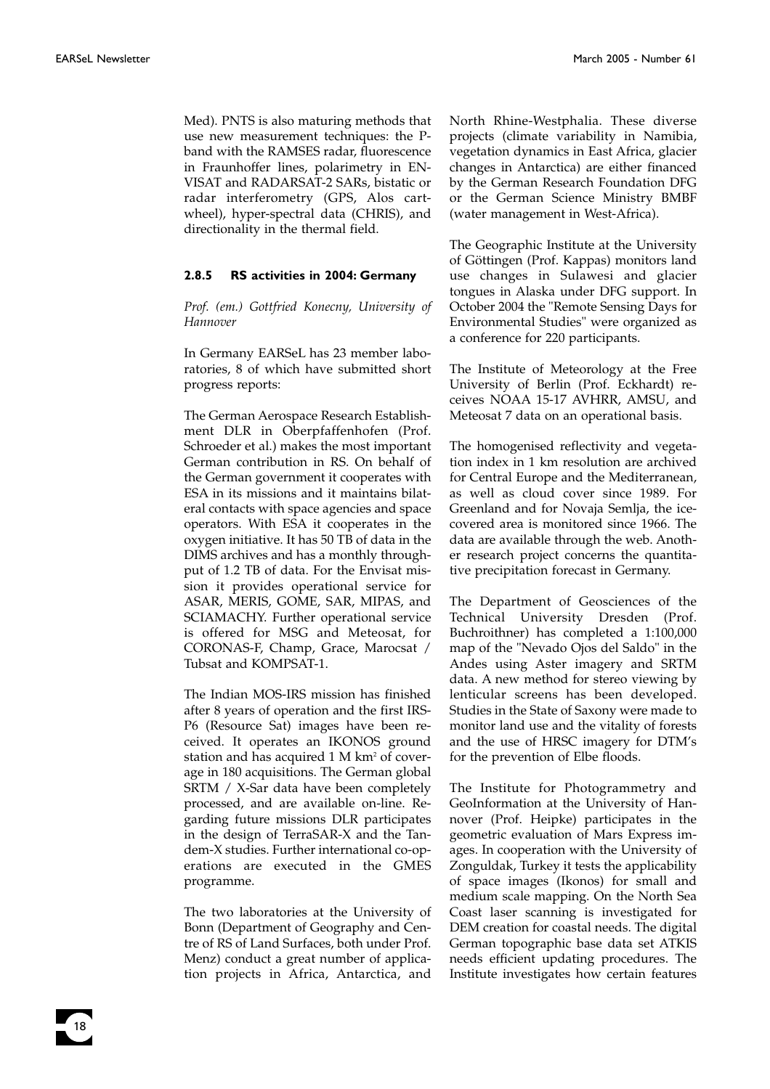Med). PNTS is also maturing methods that use new measurement techniques: the Pband with the RAMSES radar, fluorescence in Fraunhoffer lines, polarimetry in EN-VISAT and RADARSAT-2 SARs, bistatic or radar interferometry (GPS, Alos cartwheel), hyper-spectral data (CHRIS), and directionality in the thermal field.

#### **2.8.5 RS activities in 2004: Germany**

*Prof. (em.) Gottfried Konecny, University of Hannover*

In Germany EARSeL has 23 member laboratories, 8 of which have submitted short progress reports:

The German Aerospace Research Establishment DLR in Oberpfaffenhofen (Prof. Schroeder et al.) makes the most important German contribution in RS. On behalf of the German government it cooperates with ESA in its missions and it maintains bilateral contacts with space agencies and space operators. With ESA it cooperates in the oxygen initiative. It has 50 TB of data in the DIMS archives and has a monthly throughput of 1.2 TB of data. For the Envisat mission it provides operational service for ASAR, MERIS, GOME, SAR, MIPAS, and SCIAMACHY. Further operational service is offered for MSG and Meteosat, for CORONAS-F, Champ, Grace, Marocsat / Tubsat and KOMPSAT-1.

The Indian MOS-IRS mission has finished after 8 years of operation and the first IRS-P6 (Resource Sat) images have been received. It operates an IKONOS ground station and has acquired 1 M km<sup>2</sup> of coverage in 180 acquisitions. The German global SRTM / X-Sar data have been completely processed, and are available on-line. Regarding future missions DLR participates in the design of TerraSAR-X and the Tandem-X studies. Further international co-operations are executed in the GMES programme.

The two laboratories at the University of Bonn (Department of Geography and Centre of RS of Land Surfaces, both under Prof. Menz) conduct a great number of application projects in Africa, Antarctica, and

North Rhine-Westphalia. These diverse projects (climate variability in Namibia, vegetation dynamics in East Africa, glacier changes in Antarctica) are either financed by the German Research Foundation DFG or the German Science Ministry BMBF (water management in West-Africa).

The Geographic Institute at the University of Göttingen (Prof. Kappas) monitors land use changes in Sulawesi and glacier tongues in Alaska under DFG support. In October 2004 the "Remote Sensing Days for Environmental Studies" were organized as a conference for 220 participants.

The Institute of Meteorology at the Free University of Berlin (Prof. Eckhardt) receives NOAA 15-17 AVHRR, AMSU, and Meteosat 7 data on an operational basis.

The homogenised reflectivity and vegetation index in 1 km resolution are archived for Central Europe and the Mediterranean, as well as cloud cover since 1989. For Greenland and for Novaja Semlja, the icecovered area is monitored since 1966. The data are available through the web. Another research project concerns the quantitative precipitation forecast in Germany.

The Department of Geosciences of the Technical University Dresden (Prof. Buchroithner) has completed a 1:100,000 map of the "Nevado Ojos del Saldo" in the Andes using Aster imagery and SRTM data. A new method for stereo viewing by lenticular screens has been developed. Studies in the State of Saxony were made to monitor land use and the vitality of forests and the use of HRSC imagery for DTM's for the prevention of Elbe floods.

The Institute for Photogrammetry and GeoInformation at the University of Hannover (Prof. Heipke) participates in the geometric evaluation of Mars Express images. In cooperation with the University of Zonguldak, Turkey it tests the applicability of space images (Ikonos) for small and medium scale mapping. On the North Sea Coast laser scanning is investigated for DEM creation for coastal needs. The digital German topographic base data set ATKIS needs efficient updating procedures. The Institute investigates how certain features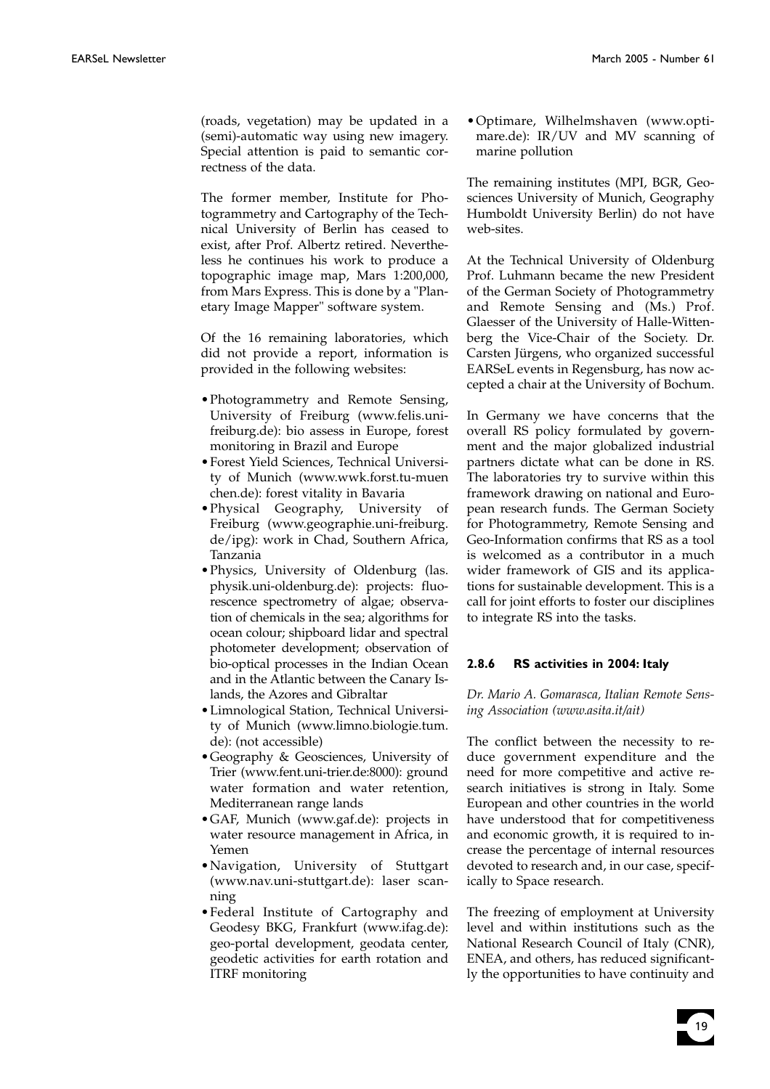(roads, vegetation) may be updated in a (semi)-automatic way using new imagery. Special attention is paid to semantic correctness of the data.

The former member, Institute for Photogrammetry and Cartography of the Technical University of Berlin has ceased to exist, after Prof. Albertz retired. Nevertheless he continues his work to produce a topographic image map, Mars 1:200,000, from Mars Express. This is done by a "Planetary Image Mapper" software system.

Of the 16 remaining laboratories, which did not provide a report, information is provided in the following websites:

- •Photogrammetry and Remote Sensing, University of Freiburg (www.felis.unifreiburg.de): bio assess in Europe, forest monitoring in Brazil and Europe
- •Forest Yield Sciences, Technical University of Munich (www.wwk.forst.tu-muen chen.de): forest vitality in Bavaria
- •Physical Geography, University of Freiburg (www.geographie.uni-freiburg. de/ipg): work in Chad, Southern Africa, Tanzania
- •Physics, University of Oldenburg (las. physik.uni-oldenburg.de): projects: fluorescence spectrometry of algae; observation of chemicals in the sea; algorithms for ocean colour; shipboard lidar and spectral photometer development; observation of bio-optical processes in the Indian Ocean and in the Atlantic between the Canary Islands, the Azores and Gibraltar
- •Limnological Station, Technical University of Munich (www.limno.biologie.tum. de): (not accessible)
- •Geography & Geosciences, University of Trier (www.fent.uni-trier.de:8000): ground water formation and water retention, Mediterranean range lands
- •GAF, Munich (www.gaf.de): projects in water resource management in Africa, in Yemen
- •Navigation, University of Stuttgart (www.nav.uni-stuttgart.de): laser scanning
- •Federal Institute of Cartography and Geodesy BKG, Frankfurt (www.ifag.de): geo-portal development, geodata center, geodetic activities for earth rotation and ITRF monitoring

•Optimare, Wilhelmshaven (www.optimare.de): IR/UV and MV scanning of marine pollution

The remaining institutes (MPI, BGR, Geosciences University of Munich, Geography Humboldt University Berlin) do not have web-sites.

At the Technical University of Oldenburg Prof. Luhmann became the new President of the German Society of Photogrammetry and Remote Sensing and (Ms.) Prof. Glaesser of the University of Halle-Wittenberg the Vice-Chair of the Society. Dr. Carsten Jürgens, who organized successful EARSeL events in Regensburg, has now accepted a chair at the University of Bochum.

In Germany we have concerns that the overall RS policy formulated by government and the major globalized industrial partners dictate what can be done in RS. The laboratories try to survive within this framework drawing on national and European research funds. The German Society for Photogrammetry, Remote Sensing and Geo-Information confirms that RS as a tool is welcomed as a contributor in a much wider framework of GIS and its applications for sustainable development. This is a call for joint efforts to foster our disciplines to integrate RS into the tasks.

#### **2.8.6 RS activities in 2004: Italy**

*Dr. Mario A. Gomarasca, Italian Remote Sensing Association (www.asita.it/ait)*

The conflict between the necessity to reduce government expenditure and the need for more competitive and active research initiatives is strong in Italy. Some European and other countries in the world have understood that for competitiveness and economic growth, it is required to increase the percentage of internal resources devoted to research and, in our case, specifically to Space research.

The freezing of employment at University level and within institutions such as the National Research Council of Italy (CNR), ENEA, and others, has reduced significantly the opportunities to have continuity and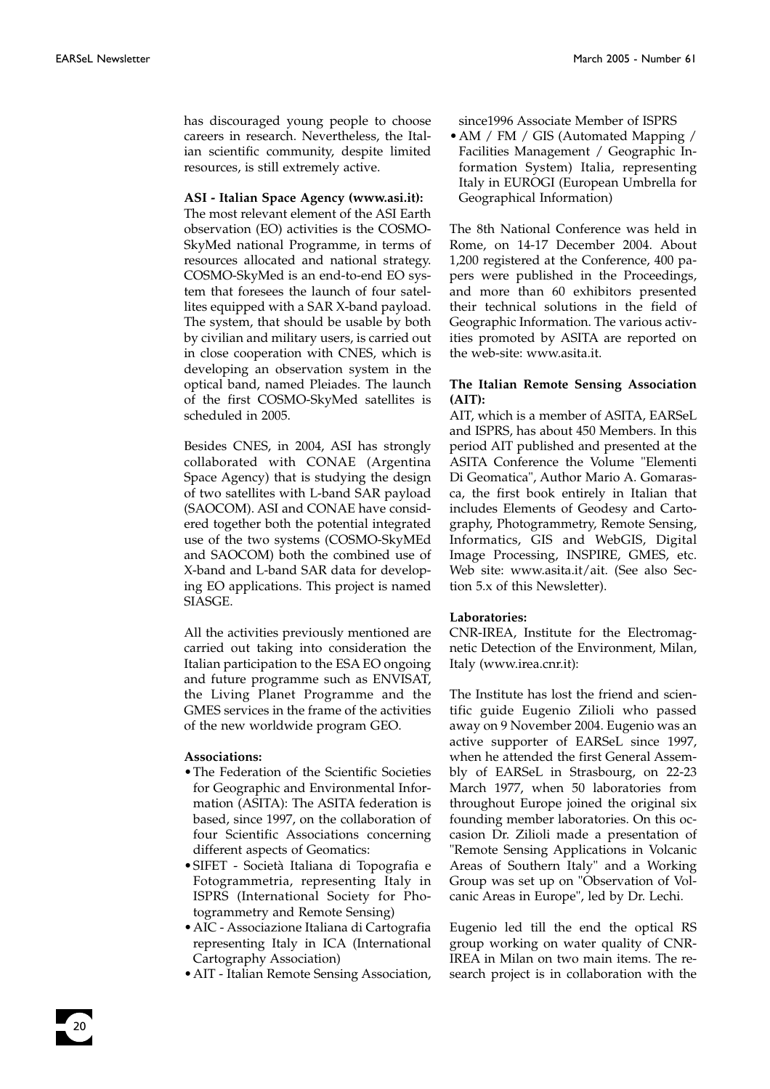has discouraged young people to choose careers in research. Nevertheless, the Italian scientific community, despite limited resources, is still extremely active.

#### **ASI - Italian Space Agency (www.asi.it):**

The most relevant element of the ASI Earth observation (EO) activities is the COSMO-SkyMed national Programme, in terms of resources allocated and national strategy. COSMO-SkyMed is an end-to-end EO system that foresees the launch of four satellites equipped with a SAR X-band payload. The system, that should be usable by both by civilian and military users, is carried out in close cooperation with CNES, which is developing an observation system in the optical band, named Pleiades. The launch of the first COSMO-SkyMed satellites is scheduled in 2005.

Besides CNES, in 2004, ASI has strongly collaborated with CONAE (Argentina Space Agency) that is studying the design of two satellites with L-band SAR payload (SAOCOM). ASI and CONAE have considered together both the potential integrated use of the two systems (COSMO-SkyMEd and SAOCOM) both the combined use of X-band and L-band SAR data for developing EO applications. This project is named SIASGE.

All the activities previously mentioned are carried out taking into consideration the Italian participation to the ESA EO ongoing and future programme such as ENVISAT, the Living Planet Programme and the GMES services in the frame of the activities of the new worldwide program GEO.

#### **Associations:**

- •The Federation of the Scientific Societies for Geographic and Environmental Information (ASITA): The ASITA federation is based, since 1997, on the collaboration of four Scientific Associations concerning different aspects of Geomatics:
- •SIFET Società Italiana di Topografia e Fotogrammetria, representing Italy in ISPRS (International Society for Photogrammetry and Remote Sensing)
- •AIC Associazione Italiana di Cartografia representing Italy in ICA (International Cartography Association)
- •AIT Italian Remote Sensing Association,

since1996 Associate Member of ISPRS

• AM / FM / GIS (Automated Mapping / Facilities Management / Geographic Information System) Italia, representing Italy in EUROGI (European Umbrella for Geographical Information)

The 8th National Conference was held in Rome, on 14-17 December 2004. About 1,200 registered at the Conference, 400 papers were published in the Proceedings, and more than 60 exhibitors presented their technical solutions in the field of Geographic Information. The various activities promoted by ASITA are reported on the web-site: www.asita.it.

#### **The Italian Remote Sensing Association (AIT):**

AIT, which is a member of ASITA, EARSeL and ISPRS, has about 450 Members. In this period AIT published and presented at the ASITA Conference the Volume "Elementi Di Geomatica", Author Mario A. Gomarasca, the first book entirely in Italian that includes Elements of Geodesy and Cartography, Photogrammetry, Remote Sensing, Informatics, GIS and WebGIS, Digital Image Processing, INSPIRE, GMES, etc. Web site: www.asita.it/ait. (See also Section 5.x of this Newsletter).

#### **Laboratories:**

CNR-IREA, Institute for the Electromagnetic Detection of the Environment, Milan, Italy (www.irea.cnr.it):

The Institute has lost the friend and scientific guide Eugenio Zilioli who passed away on 9 November 2004. Eugenio was an active supporter of EARSeL since 1997, when he attended the first General Assembly of EARSeL in Strasbourg, on 22-23 March 1977, when 50 laboratories from throughout Europe joined the original six founding member laboratories. On this occasion Dr. Zilioli made a presentation of "Remote Sensing Applications in Volcanic Areas of Southern Italy" and a Working Group was set up on "Observation of Volcanic Areas in Europe", led by Dr. Lechi.

Eugenio led till the end the optical RS group working on water quality of CNR-IREA in Milan on two main items. The research project is in collaboration with the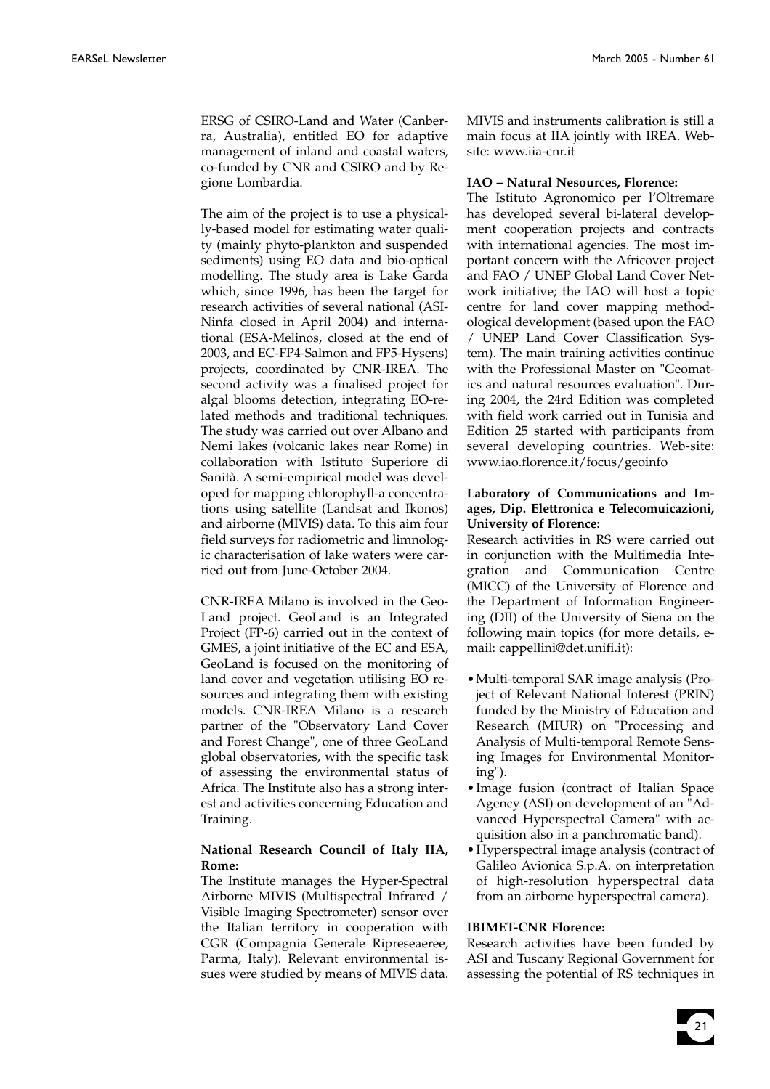ERSG of CSIRO-Land and Water (Canberra, Australia), entitled EO for adaptive management of inland and coastal waters, co-funded by CNR and CSIRO and by Regione Lombardia.

The aim of the project is to use a physically-based model for estimating water quality (mainly phyto-plankton and suspended sediments) using EO data and bio-optical modelling. The study area is Lake Garda which, since 1996, has been the target for research activities of several national (ASI-Ninfa closed in April 2004) and international (ESA-Melinos, closed at the end of 2003, and EC-FP4-Salmon and FP5-Hysens) projects, coordinated by CNR-IREA. The second activity was a finalised project for algal blooms detection, integrating EO-related methods and traditional techniques. The study was carried out over Albano and Nemi lakes (volcanic lakes near Rome) in collaboration with Istituto Superiore di Sanità. A semi-empirical model was developed for mapping chlorophyll-a concentrations using satellite (Landsat and Ikonos) and airborne (MIVIS) data. To this aim four field surveys for radiometric and limnologic characterisation of lake waters were carried out from June-October 2004.

CNR-IREA Milano is involved in the Geo-Land project. GeoLand is an Integrated Project (FP-6) carried out in the context of GMES, a joint initiative of the EC and ESA, GeoLand is focused on the monitoring of land cover and vegetation utilising EO resources and integrating them with existing models. CNR-IREA Milano is a research partner of the "Observatory Land Cover and Forest Change", one of three GeoLand global observatories, with the specific task of assessing the environmental status of Africa. The Institute also has a strong interest and activities concerning Education and Training.

### **National Research Council of Italy IIA, Rome:**

The Institute manages the Hyper-Spectral Airborne MIVIS (Multispectral Infrared / Visible Imaging Spectrometer) sensor over the Italian territory in cooperation with CGR (Compagnia Generale Ripreseaeree, Parma, Italy). Relevant environmental issues were studied by means of MIVIS data.

MIVIS and instruments calibration is still a main focus at IIA jointly with IREA. Website: www.iia-cnr.it

#### **IAO – Natural Nesources, Florence:**

The Istituto Agronomico per l'Oltremare has developed several bi-lateral development cooperation projects and contracts with international agencies. The most important concern with the Africover project and FAO / UNEP Global Land Cover Network initiative; the IAO will host a topic centre for land cover mapping methodological development (based upon the FAO / UNEP Land Cover Classification System). The main training activities continue with the Professional Master on "Geomatics and natural resources evaluation". During 2004, the 24rd Edition was completed with field work carried out in Tunisia and Edition 25 started with participants from several developing countries. Web-site: www.iao.florence.it/focus/geoinfo

#### **Laboratory of Communications and Images, Dip. Elettronica e Telecomuicazioni, University of Florence:**

Research activities in RS were carried out in conjunction with the Multimedia Integration and Communication Centre (MICC) of the University of Florence and the Department of Information Engineering (DII) of the University of Siena on the following main topics (for more details, email: cappellini@det.unifi.it):

- •Multi-temporal SAR image analysis (Project of Relevant National Interest (PRIN) funded by the Ministry of Education and Research (MIUR) on "Processing and Analysis of Multi-temporal Remote Sensing Images for Environmental Monitoring").
- •Image fusion (contract of Italian Space Agency (ASI) on development of an "Advanced Hyperspectral Camera" with acquisition also in a panchromatic band).
- •Hyperspectral image analysis (contract of Galileo Avionica S.p.A. on interpretation of high-resolution hyperspectral data from an airborne hyperspectral camera).

#### **IBIMET-CNR Florence:**

Research activities have been funded by ASI and Tuscany Regional Government for assessing the potential of RS techniques in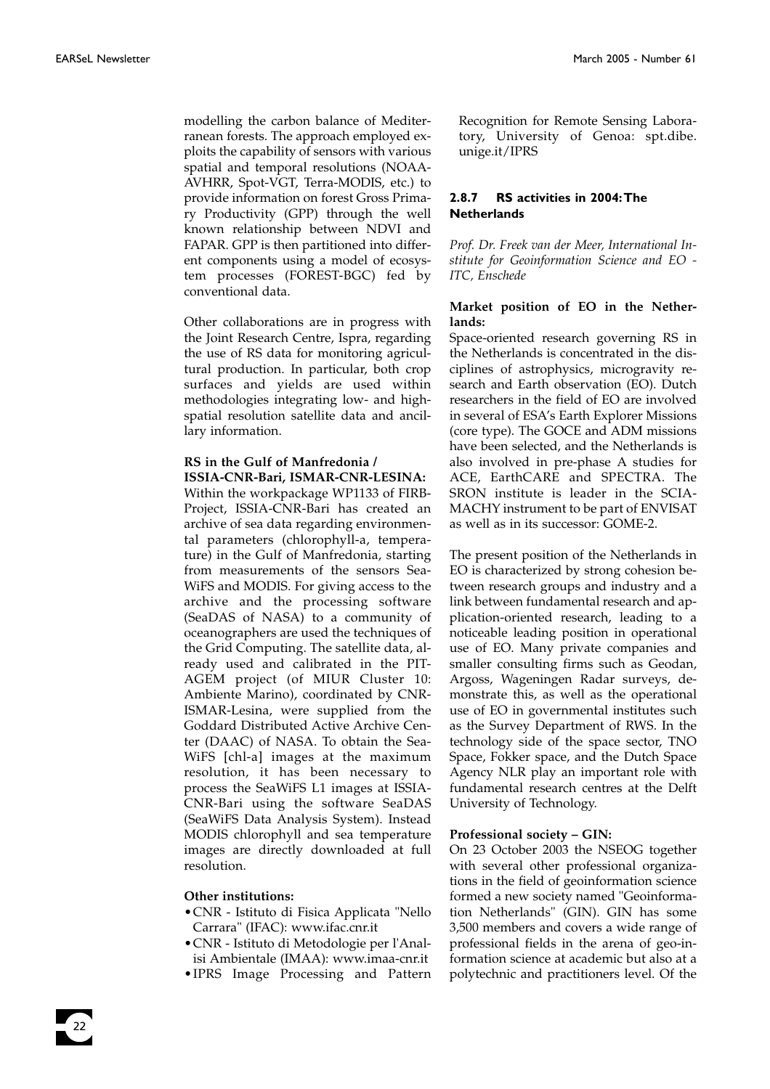modelling the carbon balance of Mediterranean forests. The approach employed exploits the capability of sensors with various spatial and temporal resolutions (NOAA-AVHRR, Spot-VGT, Terra-MODIS, etc.) to provide information on forest Gross Primary Productivity (GPP) through the well known relationship between NDVI and FAPAR. GPP is then partitioned into different components using a model of ecosystem processes (FOREST-BGC) fed by conventional data.

Other collaborations are in progress with the Joint Research Centre, Ispra, regarding the use of RS data for monitoring agricultural production. In particular, both crop surfaces and yields are used within methodologies integrating low- and highspatial resolution satellite data and ancillary information.

#### **RS in the Gulf of Manfredonia / ISSIA-CNR-Bari, ISMAR-CNR-LESINA:**

Within the workpackage WP1133 of FIRB-Project, ISSIA-CNR-Bari has created an archive of sea data regarding environmental parameters (chlorophyll-a, temperature) in the Gulf of Manfredonia, starting from measurements of the sensors Sea-WiFS and MODIS. For giving access to the archive and the processing software (SeaDAS of NASA) to a community of oceanographers are used the techniques of the Grid Computing. The satellite data, already used and calibrated in the PIT-AGEM project (of MIUR Cluster 10: Ambiente Marino), coordinated by CNR-ISMAR-Lesina, were supplied from the Goddard Distributed Active Archive Center (DAAC) of NASA. To obtain the Sea-WiFS [chl-a] images at the maximum resolution, it has been necessary to process the SeaWiFS L1 images at ISSIA-CNR-Bari using the software SeaDAS (SeaWiFS Data Analysis System). Instead MODIS chlorophyll and sea temperature images are directly downloaded at full resolution.

#### **Other institutions:**

22

- •CNR Istituto di Fisica Applicata "Nello Carrara" (IFAC): www.ifac.cnr.it
- •CNR Istituto di Metodologie per l'Analisi Ambientale (IMAA): www.imaa-cnr.it
- •IPRS Image Processing and Pattern

Recognition for Remote Sensing Laboratory, University of Genoa: spt.dibe. unige.it/IPRS

#### **2.8.7 RS activities in 2004:The Netherlands**

*Prof. Dr. Freek van der Meer, International Institute for Geoinformation Science and EO - ITC, Enschede*

#### **Market position of EO in the Netherlands:**

Space-oriented research governing RS in the Netherlands is concentrated in the disciplines of astrophysics, microgravity research and Earth observation (EO). Dutch researchers in the field of EO are involved in several of ESA's Earth Explorer Missions (core type). The GOCE and ADM missions have been selected, and the Netherlands is also involved in pre-phase A studies for ACE, EarthCARE and SPECTRA. The SRON institute is leader in the SCIA-MACHY instrument to be part of ENVISAT as well as in its successor: GOME-2.

The present position of the Netherlands in EO is characterized by strong cohesion between research groups and industry and a link between fundamental research and application-oriented research, leading to a noticeable leading position in operational use of EO. Many private companies and smaller consulting firms such as Geodan, Argoss, Wageningen Radar surveys, demonstrate this, as well as the operational use of EO in governmental institutes such as the Survey Department of RWS. In the technology side of the space sector, TNO Space, Fokker space, and the Dutch Space Agency NLR play an important role with fundamental research centres at the Delft University of Technology.

#### **Professional society – GIN:**

On 23 October 2003 the NSEOG together with several other professional organizations in the field of geoinformation science formed a new society named "Geoinformation Netherlands" (GIN). GIN has some 3,500 members and covers a wide range of professional fields in the arena of geo-information science at academic but also at a polytechnic and practitioners level. Of the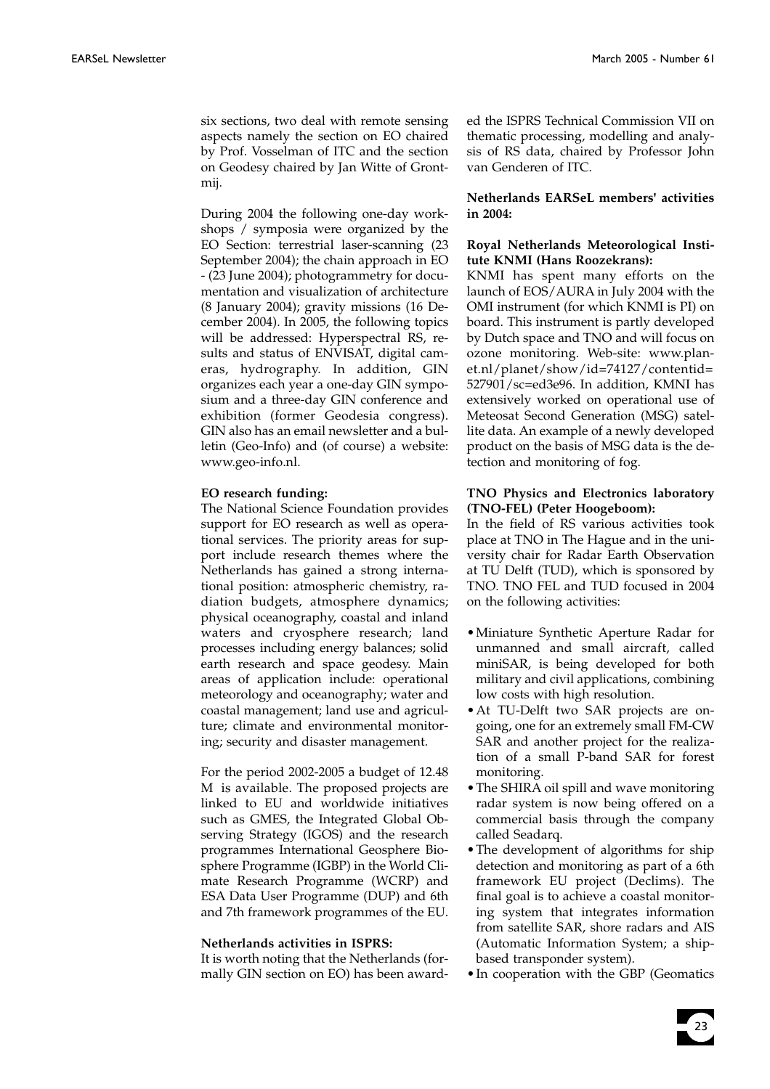six sections, two deal with remote sensing aspects namely the section on EO chaired by Prof. Vosselman of ITC and the section on Geodesy chaired by Jan Witte of Grontmij.

During 2004 the following one-day workshops / symposia were organized by the EO Section: terrestrial laser-scanning (23 September 2004); the chain approach in EO - (23 June 2004); photogrammetry for documentation and visualization of architecture (8 January 2004); gravity missions (16 December 2004). In 2005, the following topics will be addressed: Hyperspectral RS, results and status of ENVISAT, digital cameras, hydrography. In addition, GIN organizes each year a one-day GIN symposium and a three-day GIN conference and exhibition (former Geodesia congress). GIN also has an email newsletter and a bulletin (Geo-Info) and (of course) a website: www.geo-info.nl.

#### **EO research funding:**

The National Science Foundation provides support for EO research as well as operational services. The priority areas for support include research themes where the Netherlands has gained a strong international position: atmospheric chemistry, radiation budgets, atmosphere dynamics; physical oceanography, coastal and inland waters and cryosphere research; land processes including energy balances; solid earth research and space geodesy. Main areas of application include: operational meteorology and oceanography; water and coastal management; land use and agriculture; climate and environmental monitoring; security and disaster management.

For the period 2002-2005 a budget of 12.48 M is available. The proposed projects are linked to EU and worldwide initiatives such as GMES, the Integrated Global Observing Strategy (IGOS) and the research programmes International Geosphere Biosphere Programme (IGBP) in the World Climate Research Programme (WCRP) and ESA Data User Programme (DUP) and 6th and 7th framework programmes of the EU.

#### **Netherlands activities in ISPRS:**

It is worth noting that the Netherlands (formally GIN section on EO) has been awarded the ISPRS Technical Commission VII on thematic processing, modelling and analysis of RS data, chaired by Professor John van Genderen of ITC.

#### **Netherlands EARSeL members' activities in 2004:**

#### **Royal Netherlands Meteorological Institute KNMI (Hans Roozekrans):**

KNMI has spent many efforts on the launch of EOS/AURA in July 2004 with the OMI instrument (for which KNMI is PI) on board. This instrument is partly developed by Dutch space and TNO and will focus on ozone monitoring. Web-site: www.planet.nl/planet/show/id=74127/contentid= 527901/sc=ed3e96. In addition, KMNI has extensively worked on operational use of Meteosat Second Generation (MSG) satellite data. An example of a newly developed product on the basis of MSG data is the detection and monitoring of fog.

#### **TNO Physics and Electronics laboratory (TNO-FEL) (Peter Hoogeboom):**

In the field of RS various activities took place at TNO in The Hague and in the university chair for Radar Earth Observation at TU Delft (TUD), which is sponsored by TNO. TNO FEL and TUD focused in 2004 on the following activities:

- •Miniature Synthetic Aperture Radar for unmanned and small aircraft, called miniSAR, is being developed for both military and civil applications, combining low costs with high resolution.
- •At TU-Delft two SAR projects are ongoing, one for an extremely small FM-CW SAR and another project for the realization of a small P-band SAR for forest monitoring.
- •The SHIRA oil spill and wave monitoring radar system is now being offered on a commercial basis through the company called Seadarq.
- •The development of algorithms for ship detection and monitoring as part of a 6th framework EU project (Declims). The final goal is to achieve a coastal monitoring system that integrates information from satellite SAR, shore radars and AIS (Automatic Information System; a shipbased transponder system).
- •In cooperation with the GBP (Geomatics

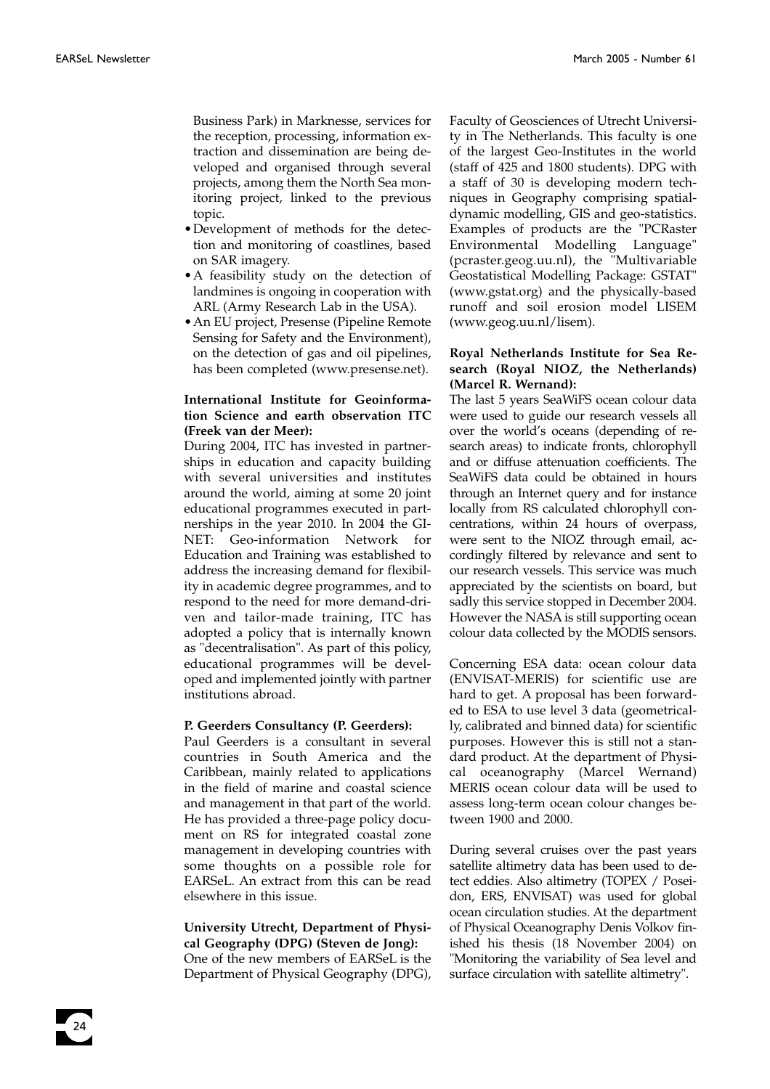Business Park) in Marknesse, services for the reception, processing, information extraction and dissemination are being developed and organised through several projects, among them the North Sea monitoring project, linked to the previous topic.

- •Development of methods for the detection and monitoring of coastlines, based on SAR imagery.
- •A feasibility study on the detection of landmines is ongoing in cooperation with ARL (Army Research Lab in the USA).
- •An EU project, Presense (Pipeline Remote Sensing for Safety and the Environment), on the detection of gas and oil pipelines, has been completed (www.presense.net).

#### **International Institute for Geoinformation Science and earth observation ITC (Freek van der Meer):**

During 2004, ITC has invested in partnerships in education and capacity building with several universities and institutes around the world, aiming at some 20 joint educational programmes executed in partnerships in the year 2010. In 2004 the GI-NET: Geo-information Network for Education and Training was established to address the increasing demand for flexibility in academic degree programmes, and to respond to the need for more demand-driven and tailor-made training, ITC has adopted a policy that is internally known as "decentralisation". As part of this policy, educational programmes will be developed and implemented jointly with partner institutions abroad.

#### **P. Geerders Consultancy (P. Geerders):**

Paul Geerders is a consultant in several countries in South America and the Caribbean, mainly related to applications in the field of marine and coastal science and management in that part of the world. He has provided a three-page policy document on RS for integrated coastal zone management in developing countries with some thoughts on a possible role for EARSeL. An extract from this can be read elsewhere in this issue.

#### **University Utrecht, Department of Physical Geography (DPG) (Steven de Jong):**

One of the new members of EARSeL is the Department of Physical Geography (DPG), Faculty of Geosciences of Utrecht University in The Netherlands. This faculty is one of the largest Geo-Institutes in the world (staff of 425 and 1800 students). DPG with a staff of 30 is developing modern techniques in Geography comprising spatialdynamic modelling, GIS and geo-statistics. Examples of products are the "PCRaster Environmental Modelling Language" (pcraster.geog.uu.nl), the "Multivariable Geostatistical Modelling Package: GSTAT" (www.gstat.org) and the physically-based runoff and soil erosion model LISEM (www.geog.uu.nl/lisem).

#### **Royal Netherlands Institute for Sea Research (Royal NIOZ, the Netherlands) (Marcel R. Wernand):**

The last 5 years SeaWiFS ocean colour data were used to guide our research vessels all over the world's oceans (depending of research areas) to indicate fronts, chlorophyll and or diffuse attenuation coefficients. The SeaWiFS data could be obtained in hours through an Internet query and for instance locally from RS calculated chlorophyll concentrations, within 24 hours of overpass, were sent to the NIOZ through email, accordingly filtered by relevance and sent to our research vessels. This service was much appreciated by the scientists on board, but sadly this service stopped in December 2004. However the NASA is still supporting ocean colour data collected by the MODIS sensors.

Concerning ESA data: ocean colour data (ENVISAT-MERIS) for scientific use are hard to get. A proposal has been forwarded to ESA to use level 3 data (geometrically, calibrated and binned data) for scientific purposes. However this is still not a standard product. At the department of Physical oceanography (Marcel Wernand) MERIS ocean colour data will be used to assess long-term ocean colour changes between 1900 and 2000.

During several cruises over the past years satellite altimetry data has been used to detect eddies. Also altimetry (TOPEX / Poseidon, ERS, ENVISAT) was used for global ocean circulation studies. At the department of Physical Oceanography Denis Volkov finished his thesis (18 November 2004) on "Monitoring the variability of Sea level and surface circulation with satellite altimetry".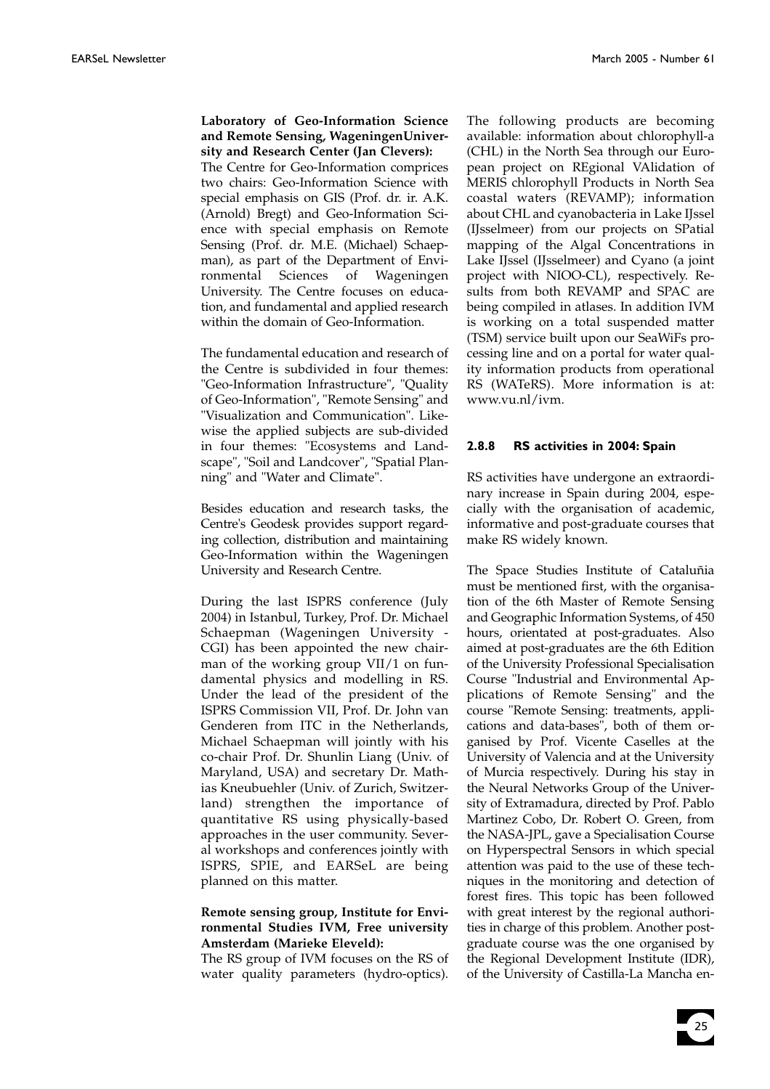#### **Laboratory of Geo-Information Science and Remote Sensing, WageningenUniversity and Research Center (Jan Clevers):**

The Centre for Geo-Information comprices two chairs: Geo-Information Science with special emphasis on GIS (Prof. dr. ir. A.K. (Arnold) Bregt) and Geo-Information Science with special emphasis on Remote Sensing (Prof. dr. M.E. (Michael) Schaepman), as part of the Department of Environmental Sciences of Wageningen University. The Centre focuses on education, and fundamental and applied research within the domain of Geo-Information.

The fundamental education and research of the Centre is subdivided in four themes: "Geo-Information Infrastructure", "Quality of Geo-Information", "Remote Sensing" and "Visualization and Communication". Likewise the applied subjects are sub-divided in four themes: "Ecosystems and Landscape", "Soil and Landcover", "Spatial Planning" and "Water and Climate".

Besides education and research tasks, the Centre's Geodesk provides support regarding collection, distribution and maintaining Geo-Information within the Wageningen University and Research Centre.

During the last ISPRS conference (July 2004) in Istanbul, Turkey, Prof. Dr. Michael Schaepman (Wageningen University - CGI) has been appointed the new chairman of the working group VII/1 on fundamental physics and modelling in RS. Under the lead of the president of the ISPRS Commission VII, Prof. Dr. John van Genderen from ITC in the Netherlands, Michael Schaepman will jointly with his co-chair Prof. Dr. Shunlin Liang (Univ. of Maryland, USA) and secretary Dr. Mathias Kneubuehler (Univ. of Zurich, Switzerland) strengthen the importance of quantitative RS using physically-based approaches in the user community. Several workshops and conferences jointly with ISPRS, SPIE, and EARSeL are being planned on this matter.

#### **Remote sensing group, Institute for Environmental Studies IVM, Free university Amsterdam (Marieke Eleveld):**

The RS group of IVM focuses on the RS of water quality parameters (hydro-optics).

The following products are becoming available: information about chlorophyll-a (CHL) in the North Sea through our European project on REgional VAlidation of MERIS chlorophyll Products in North Sea coastal waters (REVAMP); information about CHL and cyanobacteria in Lake IJssel (IJsselmeer) from our projects on SPatial mapping of the Algal Concentrations in Lake IJssel (IJsselmeer) and Cyano (a joint project with NIOO-CL), respectively. Results from both REVAMP and SPAC are being compiled in atlases. In addition IVM is working on a total suspended matter (TSM) service built upon our SeaWiFs processing line and on a portal for water quality information products from operational RS (WATeRS). More information is at: www.vu.nl/ivm.

#### **2.8.8 RS activities in 2004: Spain**

RS activities have undergone an extraordinary increase in Spain during 2004, especially with the organisation of academic, informative and post-graduate courses that make RS widely known.

The Space Studies Institute of Cataluñia must be mentioned first, with the organisation of the 6th Master of Remote Sensing and Geographic Information Systems, of 450 hours, orientated at post-graduates. Also aimed at post-graduates are the 6th Edition of the University Professional Specialisation Course "Industrial and Environmental Applications of Remote Sensing" and the course "Remote Sensing: treatments, applications and data-bases", both of them organised by Prof. Vicente Caselles at the University of Valencia and at the University of Murcia respectively. During his stay in the Neural Networks Group of the University of Extramadura, directed by Prof. Pablo Martinez Cobo, Dr. Robert O. Green, from the NASA-JPL, gave a Specialisation Course on Hyperspectral Sensors in which special attention was paid to the use of these techniques in the monitoring and detection of forest fires. This topic has been followed with great interest by the regional authorities in charge of this problem. Another postgraduate course was the one organised by the Regional Development Institute (IDR), of the University of Castilla-La Mancha en-

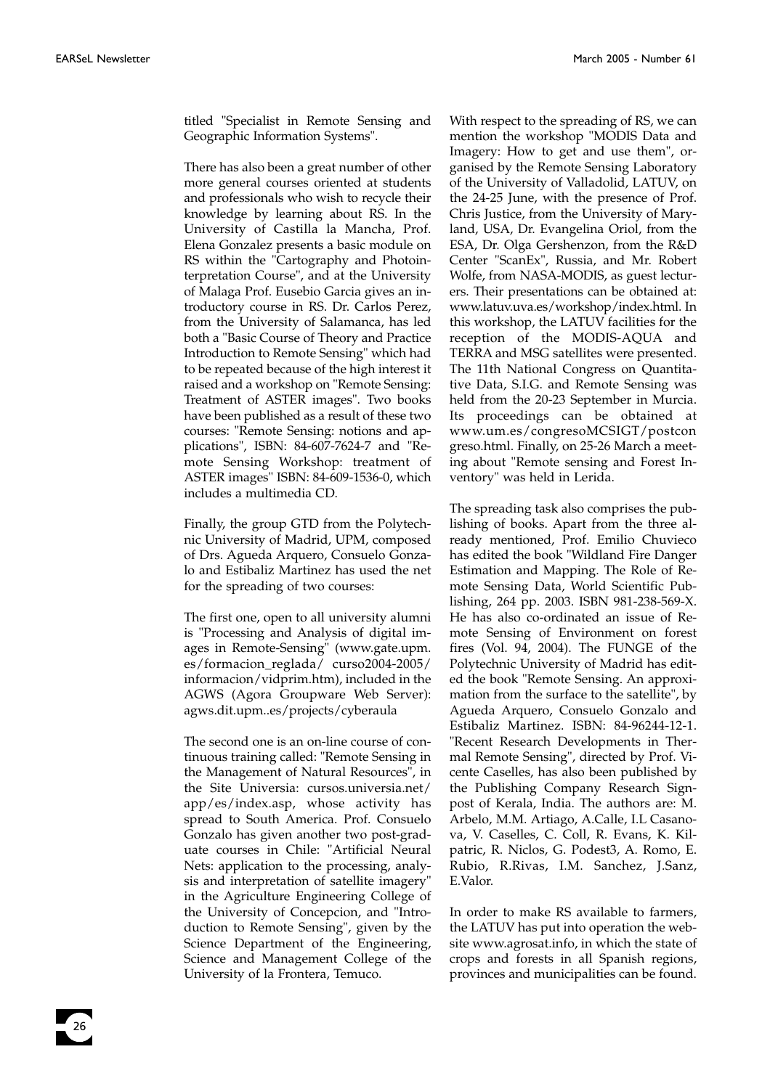titled "Specialist in Remote Sensing and Geographic Information Systems".

There has also been a great number of other more general courses oriented at students and professionals who wish to recycle their knowledge by learning about RS. In the University of Castilla la Mancha, Prof. Elena Gonzalez presents a basic module on RS within the "Cartography and Photointerpretation Course", and at the University of Malaga Prof. Eusebio Garcia gives an introductory course in RS. Dr. Carlos Perez, from the University of Salamanca, has led both a "Basic Course of Theory and Practice Introduction to Remote Sensing" which had to be repeated because of the high interest it raised and a workshop on "Remote Sensing: Treatment of ASTER images". Two books have been published as a result of these two courses: "Remote Sensing: notions and applications", ISBN: 84-607-7624-7 and "Remote Sensing Workshop: treatment of ASTER images" ISBN: 84-609-1536-0, which includes a multimedia CD.

Finally, the group GTD from the Polytechnic University of Madrid, UPM, composed of Drs. Agueda Arquero, Consuelo Gonzalo and Estibaliz Martinez has used the net for the spreading of two courses:

The first one, open to all university alumni is "Processing and Analysis of digital images in Remote-Sensing" (www.gate.upm. es/formacion\_reglada/ curso2004-2005/ informacion/vidprim.htm), included in the AGWS (Agora Groupware Web Server): agws.dit.upm..es/projects/cyberaula

The second one is an on-line course of continuous training called: "Remote Sensing in the Management of Natural Resources", in the Site Universia: cursos.universia.net/ app/es/index.asp, whose activity has spread to South America. Prof. Consuelo Gonzalo has given another two post-graduate courses in Chile: "Artificial Neural Nets: application to the processing, analysis and interpretation of satellite imagery" in the Agriculture Engineering College of the University of Concepcion, and "Introduction to Remote Sensing", given by the Science Department of the Engineering, Science and Management College of the University of la Frontera, Temuco.

With respect to the spreading of RS, we can mention the workshop "MODIS Data and Imagery: How to get and use them", organised by the Remote Sensing Laboratory of the University of Valladolid, LATUV, on the 24-25 June, with the presence of Prof. Chris Justice, from the University of Maryland, USA, Dr. Evangelina Oriol, from the ESA, Dr. Olga Gershenzon, from the R&D Center "ScanEx", Russia, and Mr. Robert Wolfe, from NASA-MODIS, as guest lecturers. Their presentations can be obtained at: www.latuv.uva.es/workshop/index.html. In this workshop, the LATUV facilities for the reception of the MODIS-AQUA and TERRA and MSG satellites were presented. The 11th National Congress on Quantitative Data, S.I.G. and Remote Sensing was held from the 20-23 September in Murcia. Its proceedings can be obtained at www.um.es/congresoMCSIGT/postcon greso.html. Finally, on 25-26 March a meeting about "Remote sensing and Forest Inventory" was held in Lerida.

The spreading task also comprises the publishing of books. Apart from the three already mentioned, Prof. Emilio Chuvieco has edited the book "Wildland Fire Danger Estimation and Mapping. The Role of Remote Sensing Data, World Scientific Publishing, 264 pp. 2003. ISBN 981-238-569-X. He has also co-ordinated an issue of Remote Sensing of Environment on forest fires (Vol. 94, 2004). The FUNGE of the Polytechnic University of Madrid has edited the book "Remote Sensing. An approximation from the surface to the satellite", by Agueda Arquero, Consuelo Gonzalo and Estibaliz Martinez. ISBN: 84-96244-12-1. "Recent Research Developments in Thermal Remote Sensing", directed by Prof. Vicente Caselles, has also been published by the Publishing Company Research Signpost of Kerala, India. The authors are: M. Arbelo, M.M. Artiago, A.Calle, I.L Casanova, V. Caselles, C. Coll, R. Evans, K. Kilpatric, R. Niclos, G. Podest3, A. Romo, E. Rubio, R.Rivas, I.M. Sanchez, J.Sanz, E.Valor.

In order to make RS available to farmers, the LATUV has put into operation the website www.agrosat.info, in which the state of crops and forests in all Spanish regions, provinces and municipalities can be found.

26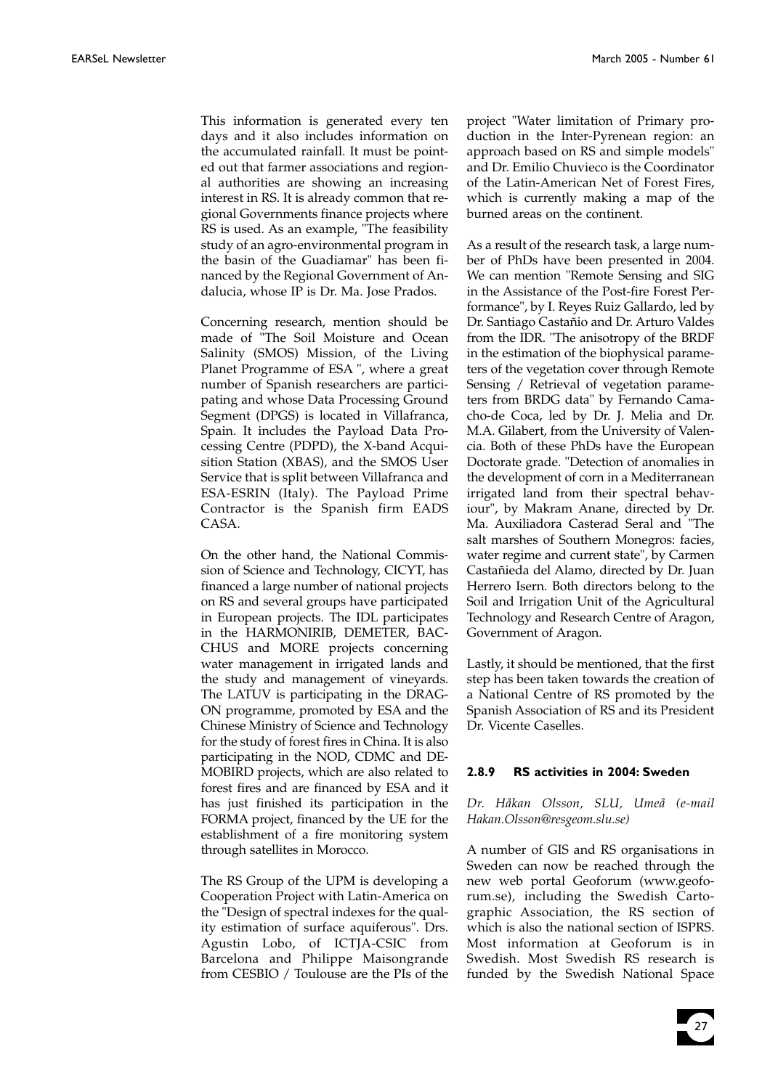This information is generated every ten days and it also includes information on the accumulated rainfall. It must be pointed out that farmer associations and regional authorities are showing an increasing interest in RS. It is already common that regional Governments finance projects where RS is used. As an example, "The feasibility study of an agro-environmental program in the basin of the Guadiamar" has been financed by the Regional Government of Andalucia, whose IP is Dr. Ma. Jose Prados.

Concerning research, mention should be made of "The Soil Moisture and Ocean Salinity (SMOS) Mission, of the Living Planet Programme of ESA ", where a great number of Spanish researchers are participating and whose Data Processing Ground Segment (DPGS) is located in Villafranca, Spain. It includes the Payload Data Processing Centre (PDPD), the X-band Acquisition Station (XBAS), and the SMOS User Service that is split between Villafranca and ESA-ESRIN (Italy). The Payload Prime Contractor is the Spanish firm EADS CASA.

On the other hand, the National Commission of Science and Technology, CICYT, has financed a large number of national projects on RS and several groups have participated in European projects. The IDL participates in the HARMONIRIB, DEMETER, BAC-CHUS and MORE projects concerning water management in irrigated lands and the study and management of vineyards. The LATUV is participating in the DRAG-ON programme, promoted by ESA and the Chinese Ministry of Science and Technology for the study of forest fires in China. It is also participating in the NOD, CDMC and DE-MOBIRD projects, which are also related to forest fires and are financed by ESA and it has just finished its participation in the FORMA project, financed by the UE for the establishment of a fire monitoring system through satellites in Morocco.

The RS Group of the UPM is developing a Cooperation Project with Latin-America on the "Design of spectral indexes for the quality estimation of surface aquiferous". Drs. Agustin Lobo, of ICTJA-CSIC from Barcelona and Philippe Maisongrande from CESBIO / Toulouse are the PIs of the

project "Water limitation of Primary production in the Inter-Pyrenean region: an approach based on RS and simple models" and Dr. Emilio Chuvieco is the Coordinator of the Latin-American Net of Forest Fires, which is currently making a map of the burned areas on the continent.

As a result of the research task, a large number of PhDs have been presented in 2004. We can mention "Remote Sensing and SIG in the Assistance of the Post-fire Forest Performance", by I. Reyes Ruiz Gallardo, led by Dr. Santiago Castañio and Dr. Arturo Valdes from the IDR. "The anisotropy of the BRDF in the estimation of the biophysical parameters of the vegetation cover through Remote Sensing / Retrieval of vegetation parameters from BRDG data" by Fernando Camacho-de Coca, led by Dr. J. Melia and Dr. M.A. Gilabert, from the University of Valencia. Both of these PhDs have the European Doctorate grade. "Detection of anomalies in the development of corn in a Mediterranean irrigated land from their spectral behaviour", by Makram Anane, directed by Dr. Ma. Auxiliadora Casterad Seral and "The salt marshes of Southern Monegros: facies, water regime and current state", by Carmen Castañieda del Alamo, directed by Dr. Juan Herrero Isern. Both directors belong to the Soil and Irrigation Unit of the Agricultural Technology and Research Centre of Aragon, Government of Aragon.

Lastly, it should be mentioned, that the first step has been taken towards the creation of a National Centre of RS promoted by the Spanish Association of RS and its President Dr. Vicente Caselles.

#### **2.8.9 RS activities in 2004: Sweden**

*Dr. Håkan Olsson, SLU, Umeå (e-mail Hakan.Olsson@resgeom.slu.se)*

A number of GIS and RS organisations in Sweden can now be reached through the new web portal Geoforum (www.geoforum.se), including the Swedish Cartographic Association, the RS section of which is also the national section of ISPRS. Most information at Geoforum is in Swedish. Most Swedish RS research is funded by the Swedish National Space

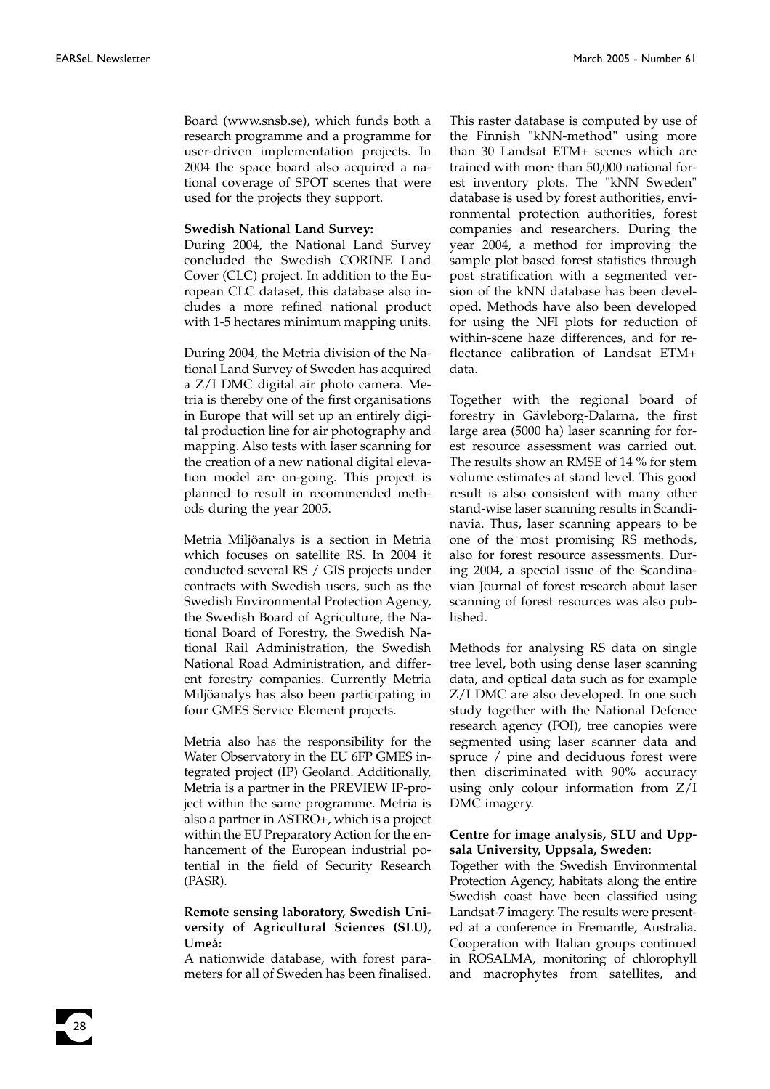28

Board (www.snsb.se), which funds both a research programme and a programme for user-driven implementation projects. In 2004 the space board also acquired a national coverage of SPOT scenes that were used for the projects they support.

#### **Swedish National Land Survey:**

During 2004, the National Land Survey concluded the Swedish CORINE Land Cover (CLC) project. In addition to the European CLC dataset, this database also includes a more refined national product with 1-5 hectares minimum mapping units.

During 2004, the Metria division of the National Land Survey of Sweden has acquired a Z/I DMC digital air photo camera. Metria is thereby one of the first organisations in Europe that will set up an entirely digital production line for air photography and mapping. Also tests with laser scanning for the creation of a new national digital elevation model are on-going. This project is planned to result in recommended methods during the year 2005.

Metria Miljöanalys is a section in Metria which focuses on satellite RS. In 2004 it conducted several RS / GIS projects under contracts with Swedish users, such as the Swedish Environmental Protection Agency, the Swedish Board of Agriculture, the National Board of Forestry, the Swedish National Rail Administration, the Swedish National Road Administration, and different forestry companies. Currently Metria Miljöanalys has also been participating in four GMES Service Element projects.

Metria also has the responsibility for the Water Observatory in the EU 6FP GMES integrated project (IP) Geoland. Additionally, Metria is a partner in the PREVIEW IP-project within the same programme. Metria is also a partner in ASTRO+, which is a project within the EU Preparatory Action for the enhancement of the European industrial potential in the field of Security Research (PASR).

#### **Remote sensing laboratory, Swedish University of Agricultural Sciences (SLU), Umeå:**

A nationwide database, with forest parameters for all of Sweden has been finalised. This raster database is computed by use of the Finnish "kNN-method" using more than 30 Landsat ETM+ scenes which are trained with more than 50,000 national forest inventory plots. The "kNN Sweden" database is used by forest authorities, environmental protection authorities, forest companies and researchers. During the year 2004, a method for improving the sample plot based forest statistics through post stratification with a segmented version of the kNN database has been developed. Methods have also been developed for using the NFI plots for reduction of within-scene haze differences, and for reflectance calibration of Landsat ETM+ data.

Together with the regional board of forestry in Gävleborg-Dalarna, the first large area (5000 ha) laser scanning for forest resource assessment was carried out. The results show an RMSE of 14 % for stem volume estimates at stand level. This good result is also consistent with many other stand-wise laser scanning results in Scandinavia. Thus, laser scanning appears to be one of the most promising RS methods, also for forest resource assessments. During 2004, a special issue of the Scandinavian Journal of forest research about laser scanning of forest resources was also published.

Methods for analysing RS data on single tree level, both using dense laser scanning data, and optical data such as for example Z/I DMC are also developed. In one such study together with the National Defence research agency (FOI), tree canopies were segmented using laser scanner data and spruce / pine and deciduous forest were then discriminated with 90% accuracy using only colour information from Z/I DMC imagery.

#### **Centre for image analysis, SLU and Uppsala University, Uppsala, Sweden:**

Together with the Swedish Environmental Protection Agency, habitats along the entire Swedish coast have been classified using Landsat-7 imagery. The results were presented at a conference in Fremantle, Australia. Cooperation with Italian groups continued in ROSALMA, monitoring of chlorophyll and macrophytes from satellites, and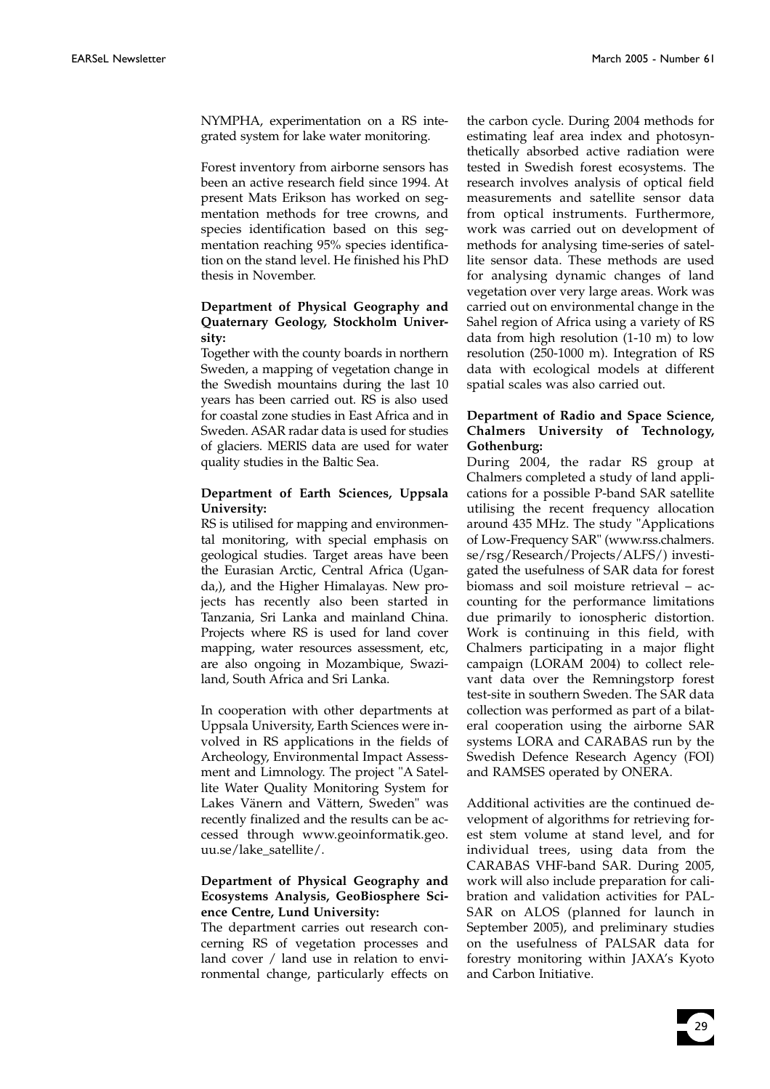NYMPHA, experimentation on a RS integrated system for lake water monitoring.

Forest inventory from airborne sensors has been an active research field since 1994. At present Mats Erikson has worked on segmentation methods for tree crowns, and species identification based on this segmentation reaching 95% species identification on the stand level. He finished his PhD thesis in November.

#### **Department of Physical Geography and Quaternary Geology, Stockholm University:**

Together with the county boards in northern Sweden, a mapping of vegetation change in the Swedish mountains during the last 10 years has been carried out. RS is also used for coastal zone studies in East Africa and in Sweden. ASAR radar data is used for studies of glaciers. MERIS data are used for water quality studies in the Baltic Sea.

#### **Department of Earth Sciences, Uppsala University:**

RS is utilised for mapping and environmental monitoring, with special emphasis on geological studies. Target areas have been the Eurasian Arctic, Central Africa (Uganda,), and the Higher Himalayas. New projects has recently also been started in Tanzania, Sri Lanka and mainland China. Projects where RS is used for land cover mapping, water resources assessment, etc, are also ongoing in Mozambique, Swaziland, South Africa and Sri Lanka.

In cooperation with other departments at Uppsala University, Earth Sciences were involved in RS applications in the fields of Archeology, Environmental Impact Assessment and Limnology. The project "A Satellite Water Quality Monitoring System for Lakes Vänern and Vättern, Sweden" was recently finalized and the results can be accessed through www.geoinformatik.geo. uu.se/lake\_satellite/.

#### **Department of Physical Geography and Ecosystems Analysis, GeoBiosphere Science Centre, Lund University:**

The department carries out research concerning RS of vegetation processes and land cover / land use in relation to environmental change, particularly effects on

the carbon cycle. During 2004 methods for estimating leaf area index and photosynthetically absorbed active radiation were tested in Swedish forest ecosystems. The research involves analysis of optical field measurements and satellite sensor data from optical instruments. Furthermore, work was carried out on development of methods for analysing time-series of satellite sensor data. These methods are used for analysing dynamic changes of land vegetation over very large areas. Work was carried out on environmental change in the Sahel region of Africa using a variety of RS data from high resolution (1-10 m) to low resolution (250-1000 m). Integration of RS data with ecological models at different spatial scales was also carried out.

#### **Department of Radio and Space Science, Chalmers University of Technology, Gothenburg:**

During 2004, the radar RS group at Chalmers completed a study of land applications for a possible P-band SAR satellite utilising the recent frequency allocation around 435 MHz. The study "Applications of Low-Frequency SAR" (www.rss.chalmers. se/rsg/Research/Projects/ALFS/) investigated the usefulness of SAR data for forest biomass and soil moisture retrieval – accounting for the performance limitations due primarily to ionospheric distortion. Work is continuing in this field, with Chalmers participating in a major flight campaign (LORAM 2004) to collect relevant data over the Remningstorp forest test-site in southern Sweden. The SAR data collection was performed as part of a bilateral cooperation using the airborne SAR systems LORA and CARABAS run by the Swedish Defence Research Agency (FOI) and RAMSES operated by ONERA.

Additional activities are the continued development of algorithms for retrieving forest stem volume at stand level, and for individual trees, using data from the CARABAS VHF-band SAR. During 2005, work will also include preparation for calibration and validation activities for PAL-SAR on ALOS (planned for launch in September 2005), and preliminary studies on the usefulness of PALSAR data for forestry monitoring within JAXA's Kyoto and Carbon Initiative.

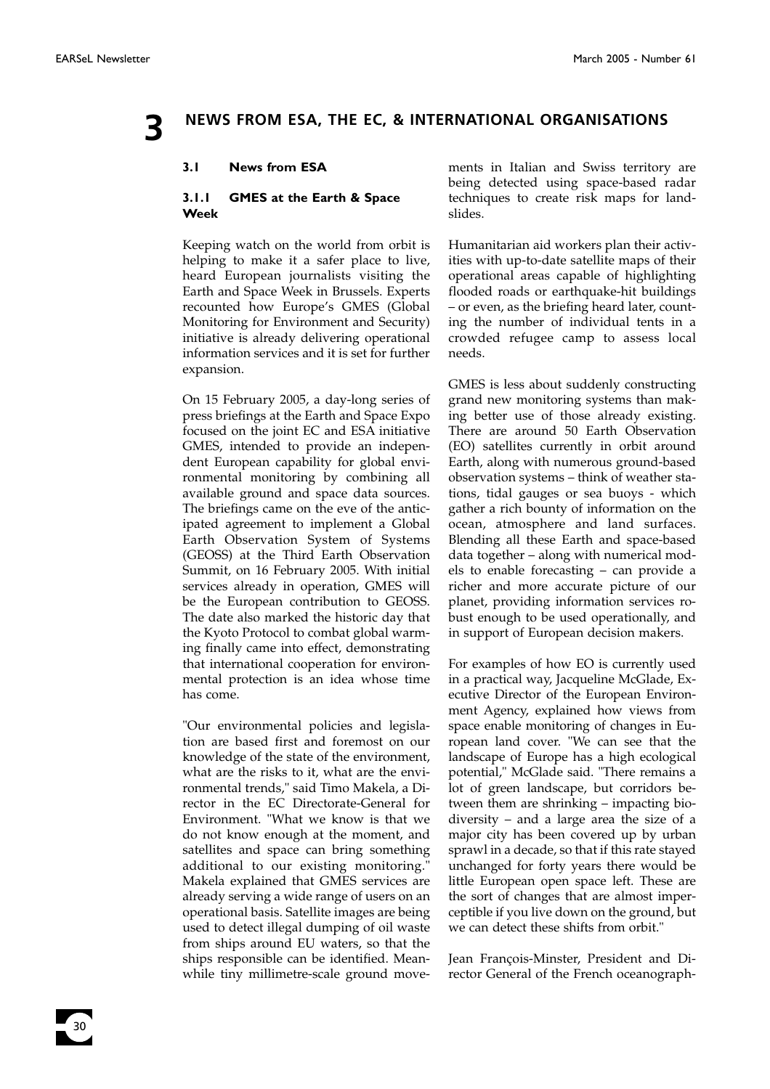30

### **3 NEWS FROM ESA, THE EC, & INTERNATIONAL ORGANISATIONS**

#### **3.1 News from ESA**

#### **3.1.1 GMES at the Earth & Space Week**

Keeping watch on the world from orbit is helping to make it a safer place to live, heard European journalists visiting the Earth and Space Week in Brussels. Experts recounted how Europe's GMES (Global Monitoring for Environment and Security) initiative is already delivering operational information services and it is set for further expansion.

On 15 February 2005, a day-long series of press briefings at the Earth and Space Expo focused on the joint EC and ESA initiative GMES, intended to provide an independent European capability for global environmental monitoring by combining all available ground and space data sources. The briefings came on the eve of the anticipated agreement to implement a Global Earth Observation System of Systems (GEOSS) at the Third Earth Observation Summit, on 16 February 2005. With initial services already in operation, GMES will be the European contribution to GEOSS. The date also marked the historic day that the Kyoto Protocol to combat global warming finally came into effect, demonstrating that international cooperation for environmental protection is an idea whose time has come.

"Our environmental policies and legislation are based first and foremost on our knowledge of the state of the environment, what are the risks to it, what are the environmental trends," said Timo Makela, a Director in the EC Directorate-General for Environment. "What we know is that we do not know enough at the moment, and satellites and space can bring something additional to our existing monitoring." Makela explained that GMES services are already serving a wide range of users on an operational basis. Satellite images are being used to detect illegal dumping of oil waste from ships around EU waters, so that the ships responsible can be identified. Meanwhile tiny millimetre-scale ground movements in Italian and Swiss territory are being detected using space-based radar techniques to create risk maps for landslides.

Humanitarian aid workers plan their activities with up-to-date satellite maps of their operational areas capable of highlighting flooded roads or earthquake-hit buildings – or even, as the briefing heard later, counting the number of individual tents in a crowded refugee camp to assess local needs.

GMES is less about suddenly constructing grand new monitoring systems than making better use of those already existing. There are around 50 Earth Observation (EO) satellites currently in orbit around Earth, along with numerous ground-based observation systems – think of weather stations, tidal gauges or sea buoys - which gather a rich bounty of information on the ocean, atmosphere and land surfaces. Blending all these Earth and space-based data together – along with numerical models to enable forecasting – can provide a richer and more accurate picture of our planet, providing information services robust enough to be used operationally, and in support of European decision makers.

For examples of how EO is currently used in a practical way, Jacqueline McGlade, Executive Director of the European Environment Agency, explained how views from space enable monitoring of changes in European land cover. "We can see that the landscape of Europe has a high ecological potential," McGlade said. "There remains a lot of green landscape, but corridors between them are shrinking – impacting biodiversity – and a large area the size of a major city has been covered up by urban sprawl in a decade, so that if this rate stayed unchanged for forty years there would be little European open space left. These are the sort of changes that are almost imperceptible if you live down on the ground, but we can detect these shifts from orbit."

Jean François-Minster, President and Director General of the French oceanograph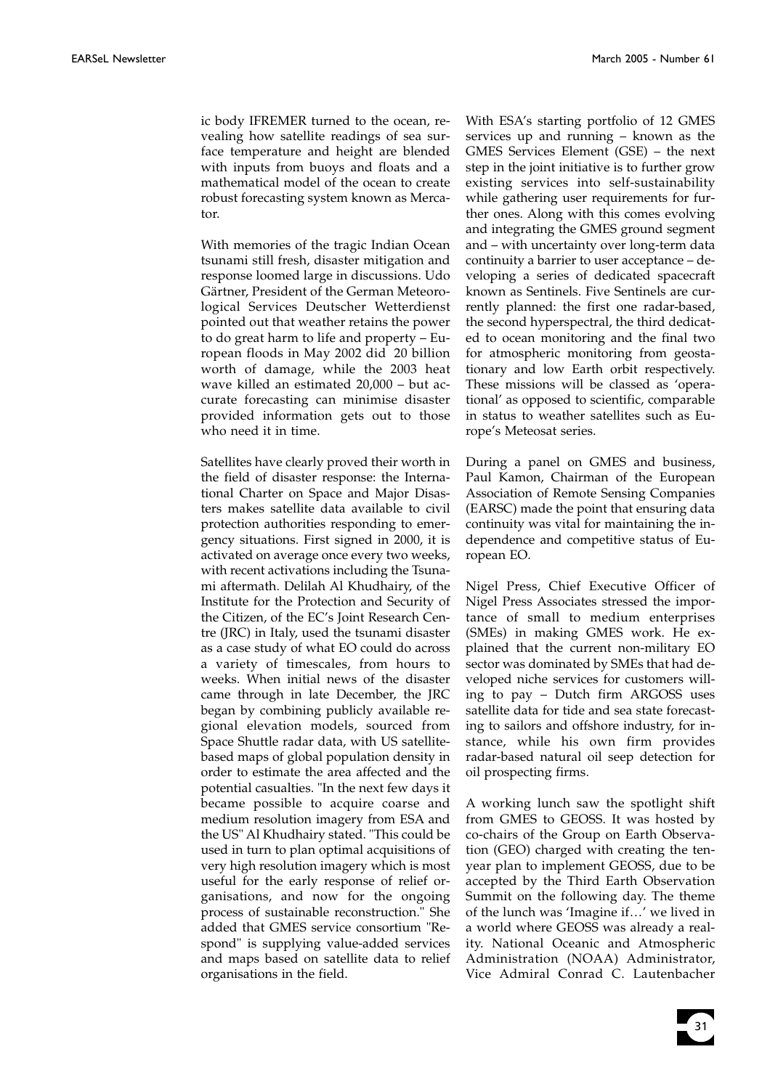ic body IFREMER turned to the ocean, revealing how satellite readings of sea surface temperature and height are blended with inputs from buoys and floats and a mathematical model of the ocean to create robust forecasting system known as Mercator.

With memories of the tragic Indian Ocean tsunami still fresh, disaster mitigation and response loomed large in discussions. Udo Gärtner, President of the German Meteorological Services Deutscher Wetterdienst pointed out that weather retains the power to do great harm to life and property – European floods in May 2002 did 20 billion worth of damage, while the 2003 heat wave killed an estimated 20,000 – but accurate forecasting can minimise disaster provided information gets out to those who need it in time.

Satellites have clearly proved their worth in the field of disaster response: the International Charter on Space and Major Disasters makes satellite data available to civil protection authorities responding to emergency situations. First signed in 2000, it is activated on average once every two weeks, with recent activations including the Tsunami aftermath. Delilah Al Khudhairy, of the Institute for the Protection and Security of the Citizen, of the EC's Joint Research Centre (JRC) in Italy, used the tsunami disaster as a case study of what EO could do across a variety of timescales, from hours to weeks. When initial news of the disaster came through in late December, the JRC began by combining publicly available regional elevation models, sourced from Space Shuttle radar data, with US satellitebased maps of global population density in order to estimate the area affected and the potential casualties. "In the next few days it became possible to acquire coarse and medium resolution imagery from ESA and the US" Al Khudhairy stated. "This could be used in turn to plan optimal acquisitions of very high resolution imagery which is most useful for the early response of relief organisations, and now for the ongoing process of sustainable reconstruction." She added that GMES service consortium "Respond" is supplying value-added services and maps based on satellite data to relief organisations in the field.

With ESA's starting portfolio of 12 GMES services up and running – known as the GMES Services Element (GSE) – the next step in the joint initiative is to further grow existing services into self-sustainability while gathering user requirements for further ones. Along with this comes evolving and integrating the GMES ground segment and – with uncertainty over long-term data continuity a barrier to user acceptance – developing a series of dedicated spacecraft known as Sentinels. Five Sentinels are currently planned: the first one radar-based, the second hyperspectral, the third dedicated to ocean monitoring and the final two for atmospheric monitoring from geostationary and low Earth orbit respectively. These missions will be classed as 'operational' as opposed to scientific, comparable in status to weather satellites such as Europe's Meteosat series.

During a panel on GMES and business, Paul Kamon, Chairman of the European Association of Remote Sensing Companies (EARSC) made the point that ensuring data continuity was vital for maintaining the independence and competitive status of European EO.

Nigel Press, Chief Executive Officer of Nigel Press Associates stressed the importance of small to medium enterprises (SMEs) in making GMES work. He explained that the current non-military EO sector was dominated by SMEs that had developed niche services for customers willing to pay – Dutch firm ARGOSS uses satellite data for tide and sea state forecasting to sailors and offshore industry, for instance, while his own firm provides radar-based natural oil seep detection for oil prospecting firms.

A working lunch saw the spotlight shift from GMES to GEOSS. It was hosted by co-chairs of the Group on Earth Observation (GEO) charged with creating the tenyear plan to implement GEOSS, due to be accepted by the Third Earth Observation Summit on the following day. The theme of the lunch was 'Imagine if…' we lived in a world where GEOSS was already a reality. National Oceanic and Atmospheric Administration (NOAA) Administrator, Vice Admiral Conrad C. Lautenbacher

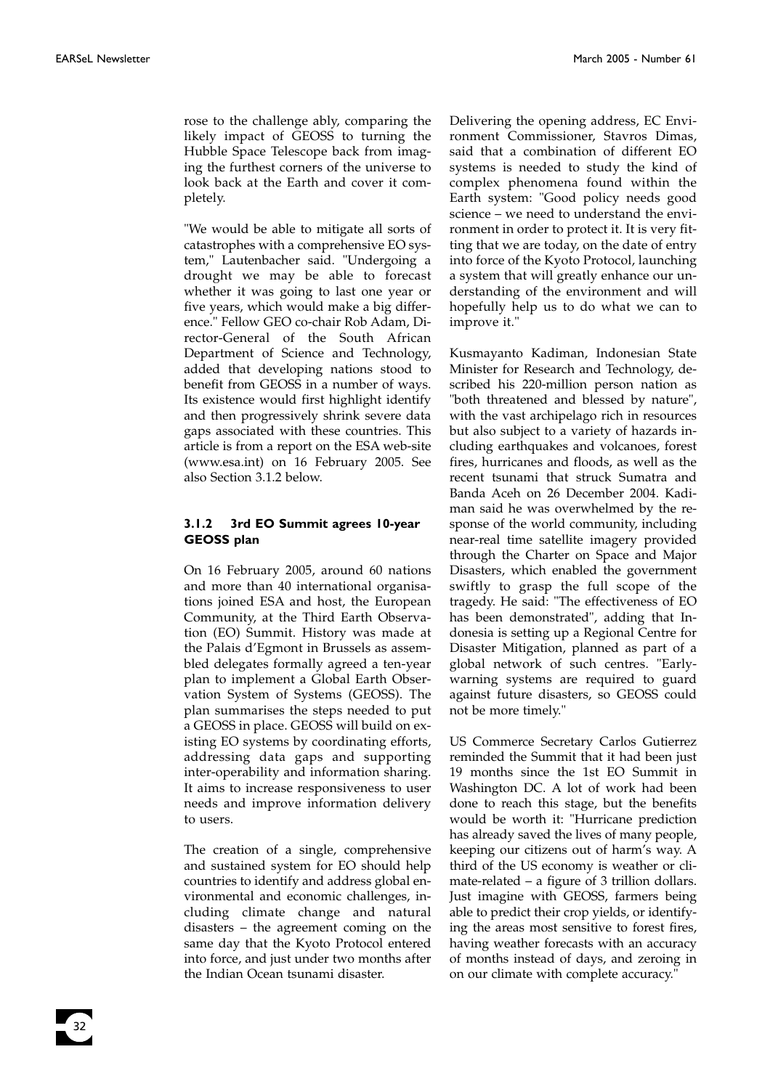rose to the challenge ably, comparing the likely impact of GEOSS to turning the Hubble Space Telescope back from imaging the furthest corners of the universe to look back at the Earth and cover it completely.

"We would be able to mitigate all sorts of catastrophes with a comprehensive EO system," Lautenbacher said. "Undergoing a drought we may be able to forecast whether it was going to last one year or five years, which would make a big difference." Fellow GEO co-chair Rob Adam, Director-General of the South African Department of Science and Technology, added that developing nations stood to benefit from GEOSS in a number of ways. Its existence would first highlight identify and then progressively shrink severe data gaps associated with these countries. This article is from a report on the ESA web-site (www.esa.int) on 16 February 2005. See also Section 3.1.2 below.

#### **3.1.2 3rd EO Summit agrees 10-year GEOSS plan**

On 16 February 2005, around 60 nations and more than 40 international organisations joined ESA and host, the European Community, at the Third Earth Observation (EO) Summit. History was made at the Palais d'Egmont in Brussels as assembled delegates formally agreed a ten-year plan to implement a Global Earth Observation System of Systems (GEOSS). The plan summarises the steps needed to put a GEOSS in place. GEOSS will build on existing EO systems by coordinating efforts, addressing data gaps and supporting inter-operability and information sharing. It aims to increase responsiveness to user needs and improve information delivery to users.

The creation of a single, comprehensive and sustained system for EO should help countries to identify and address global environmental and economic challenges, including climate change and natural disasters – the agreement coming on the same day that the Kyoto Protocol entered into force, and just under two months after the Indian Ocean tsunami disaster.

Delivering the opening address, EC Environment Commissioner, Stavros Dimas, said that a combination of different EO systems is needed to study the kind of complex phenomena found within the Earth system: "Good policy needs good science – we need to understand the environment in order to protect it. It is very fitting that we are today, on the date of entry into force of the Kyoto Protocol, launching a system that will greatly enhance our understanding of the environment and will hopefully help us to do what we can to improve it."

Kusmayanto Kadiman, Indonesian State Minister for Research and Technology, described his 220-million person nation as "both threatened and blessed by nature", with the vast archipelago rich in resources but also subject to a variety of hazards including earthquakes and volcanoes, forest fires, hurricanes and floods, as well as the recent tsunami that struck Sumatra and Banda Aceh on 26 December 2004. Kadiman said he was overwhelmed by the response of the world community, including near-real time satellite imagery provided through the Charter on Space and Major Disasters, which enabled the government swiftly to grasp the full scope of the tragedy. He said: "The effectiveness of EO has been demonstrated", adding that Indonesia is setting up a Regional Centre for Disaster Mitigation, planned as part of a global network of such centres. "Earlywarning systems are required to guard against future disasters, so GEOSS could not be more timely."

US Commerce Secretary Carlos Gutierrez reminded the Summit that it had been just 19 months since the 1st EO Summit in Washington DC. A lot of work had been done to reach this stage, but the benefits would be worth it: "Hurricane prediction has already saved the lives of many people, keeping our citizens out of harm's way. A third of the US economy is weather or climate-related – a figure of 3 trillion dollars. Just imagine with GEOSS, farmers being able to predict their crop yields, or identifying the areas most sensitive to forest fires, having weather forecasts with an accuracy of months instead of days, and zeroing in on our climate with complete accuracy."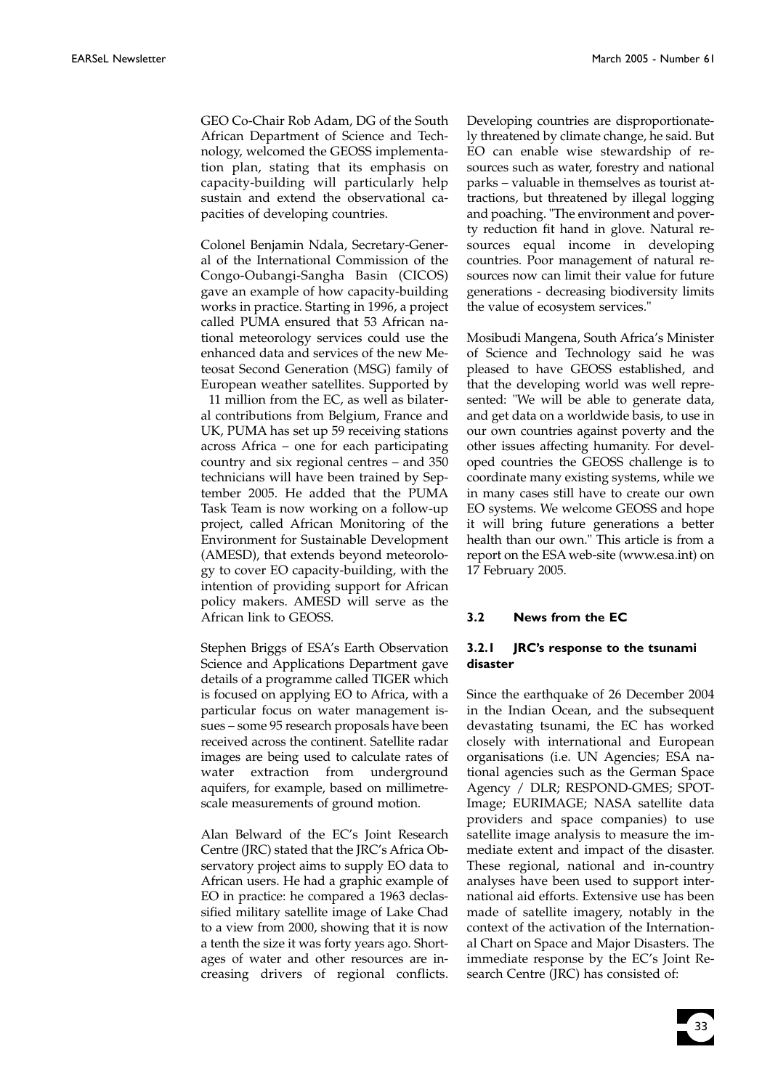GEO Co-Chair Rob Adam, DG of the South African Department of Science and Technology, welcomed the GEOSS implementation plan, stating that its emphasis on capacity-building will particularly help sustain and extend the observational capacities of developing countries.

Colonel Benjamin Ndala, Secretary-General of the International Commission of the Congo-Oubangi-Sangha Basin (CICOS) gave an example of how capacity-building works in practice. Starting in 1996, a project called PUMA ensured that 53 African national meteorology services could use the enhanced data and services of the new Meteosat Second Generation (MSG) family of European weather satellites. Supported by

11 million from the EC, as well as bilateral contributions from Belgium, France and UK, PUMA has set up 59 receiving stations across Africa – one for each participating country and six regional centres – and 350 technicians will have been trained by September 2005. He added that the PUMA Task Team is now working on a follow-up project, called African Monitoring of the Environment for Sustainable Development (AMESD), that extends beyond meteorology to cover EO capacity-building, with the intention of providing support for African policy makers. AMESD will serve as the African link to GEOSS.

Stephen Briggs of ESA's Earth Observation Science and Applications Department gave details of a programme called TIGER which is focused on applying EO to Africa, with a particular focus on water management issues – some 95 research proposals have been received across the continent. Satellite radar images are being used to calculate rates of water extraction from underground aquifers, for example, based on millimetrescale measurements of ground motion.

Alan Belward of the EC's Joint Research Centre (JRC) stated that the JRC's Africa Observatory project aims to supply EO data to African users. He had a graphic example of EO in practice: he compared a 1963 declassified military satellite image of Lake Chad to a view from 2000, showing that it is now a tenth the size it was forty years ago. Shortages of water and other resources are increasing drivers of regional conflicts.

Developing countries are disproportionately threatened by climate change, he said. But EO can enable wise stewardship of resources such as water, forestry and national parks – valuable in themselves as tourist attractions, but threatened by illegal logging and poaching. "The environment and poverty reduction fit hand in glove. Natural resources equal income in developing countries. Poor management of natural resources now can limit their value for future generations - decreasing biodiversity limits the value of ecosystem services."

Mosibudi Mangena, South Africa's Minister of Science and Technology said he was pleased to have GEOSS established, and that the developing world was well represented: "We will be able to generate data, and get data on a worldwide basis, to use in our own countries against poverty and the other issues affecting humanity. For developed countries the GEOSS challenge is to coordinate many existing systems, while we in many cases still have to create our own EO systems. We welcome GEOSS and hope it will bring future generations a better health than our own." This article is from a report on the ESA web-site (www.esa.int) on 17 February 2005.

#### **3.2 News from the EC**

#### **3.2.1 JRC's response to the tsunami disaster**

Since the earthquake of 26 December 2004 in the Indian Ocean, and the subsequent devastating tsunami, the EC has worked closely with international and European organisations (i.e. UN Agencies; ESA national agencies such as the German Space Agency / DLR; RESPOND-GMES; SPOT-Image; EURIMAGE; NASA satellite data providers and space companies) to use satellite image analysis to measure the immediate extent and impact of the disaster. These regional, national and in-country analyses have been used to support international aid efforts. Extensive use has been made of satellite imagery, notably in the context of the activation of the International Chart on Space and Major Disasters. The immediate response by the EC's Joint Research Centre (JRC) has consisted of:

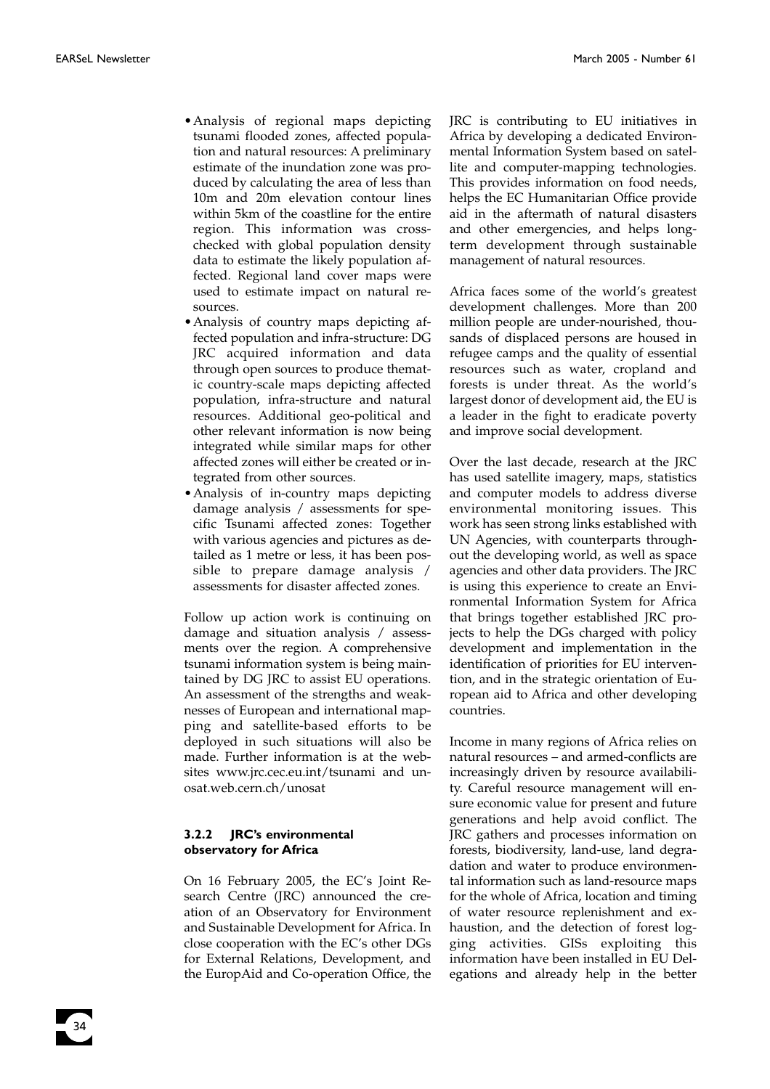- •Analysis of regional maps depicting tsunami flooded zones, affected population and natural resources: A preliminary estimate of the inundation zone was produced by calculating the area of less than 10m and 20m elevation contour lines within 5km of the coastline for the entire region. This information was crosschecked with global population density data to estimate the likely population affected. Regional land cover maps were used to estimate impact on natural resources.
- •Analysis of country maps depicting affected population and infra-structure: DG JRC acquired information and data through open sources to produce thematic country-scale maps depicting affected population, infra-structure and natural resources. Additional geo-political and other relevant information is now being integrated while similar maps for other affected zones will either be created or integrated from other sources.
- •Analysis of in-country maps depicting damage analysis / assessments for specific Tsunami affected zones: Together with various agencies and pictures as detailed as 1 metre or less, it has been possible to prepare damage analysis / assessments for disaster affected zones.

Follow up action work is continuing on damage and situation analysis / assessments over the region. A comprehensive tsunami information system is being maintained by DG JRC to assist EU operations. An assessment of the strengths and weaknesses of European and international mapping and satellite-based efforts to be deployed in such situations will also be made. Further information is at the websites www.jrc.cec.eu.int/tsunami and unosat.web.cern.ch/unosat

#### **3.2.2 JRC's environmental observatory for Africa**

On 16 February 2005, the EC's Joint Research Centre (JRC) announced the creation of an Observatory for Environment and Sustainable Development for Africa. In close cooperation with the EC's other DGs for External Relations, Development, and the EuropAid and Co-operation Office, the

JRC is contributing to EU initiatives in Africa by developing a dedicated Environmental Information System based on satellite and computer-mapping technologies. This provides information on food needs, helps the EC Humanitarian Office provide aid in the aftermath of natural disasters and other emergencies, and helps longterm development through sustainable management of natural resources.

Africa faces some of the world's greatest development challenges. More than 200 million people are under-nourished, thousands of displaced persons are housed in refugee camps and the quality of essential resources such as water, cropland and forests is under threat. As the world's largest donor of development aid, the EU is a leader in the fight to eradicate poverty and improve social development.

Over the last decade, research at the JRC has used satellite imagery, maps, statistics and computer models to address diverse environmental monitoring issues. This work has seen strong links established with UN Agencies, with counterparts throughout the developing world, as well as space agencies and other data providers. The JRC is using this experience to create an Environmental Information System for Africa that brings together established JRC projects to help the DGs charged with policy development and implementation in the identification of priorities for EU intervention, and in the strategic orientation of European aid to Africa and other developing countries.

Income in many regions of Africa relies on natural resources – and armed-conflicts are increasingly driven by resource availability. Careful resource management will ensure economic value for present and future generations and help avoid conflict. The JRC gathers and processes information on forests, biodiversity, land-use, land degradation and water to produce environmental information such as land-resource maps for the whole of Africa, location and timing of water resource replenishment and exhaustion, and the detection of forest logging activities. GISs exploiting this information have been installed in EU Delegations and already help in the better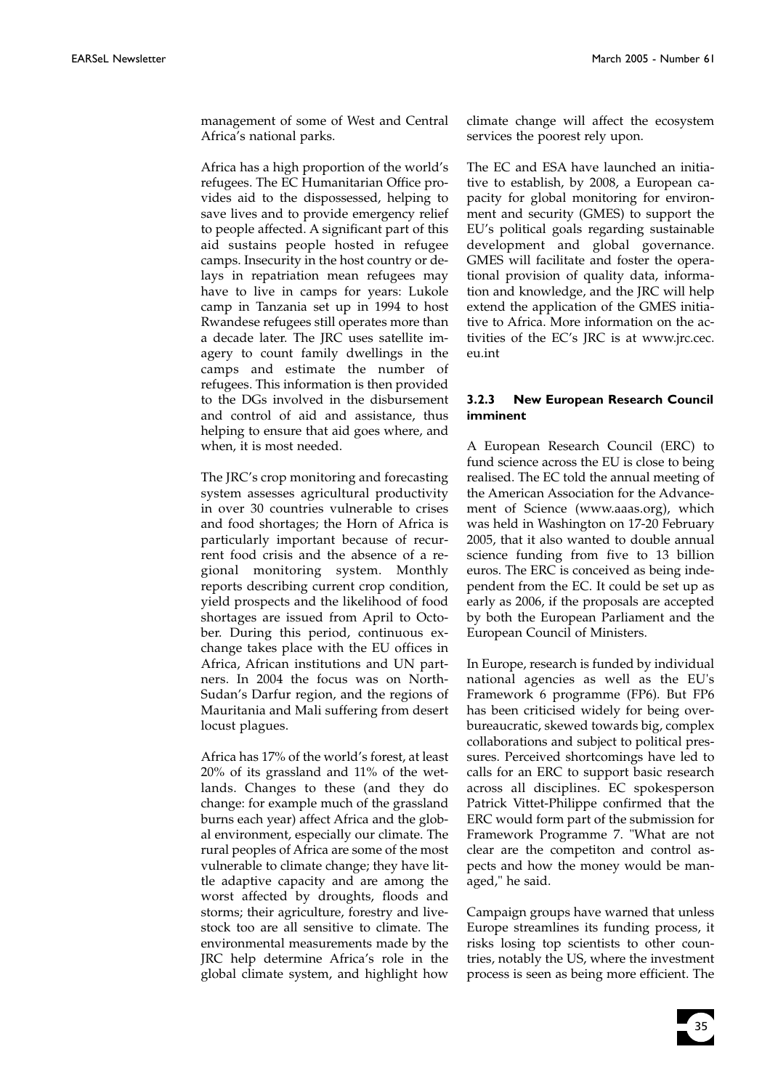management of some of West and Central Africa's national parks.

Africa has a high proportion of the world's refugees. The EC Humanitarian Office provides aid to the dispossessed, helping to save lives and to provide emergency relief to people affected. A significant part of this aid sustains people hosted in refugee camps. Insecurity in the host country or delays in repatriation mean refugees may have to live in camps for years: Lukole camp in Tanzania set up in 1994 to host Rwandese refugees still operates more than a decade later. The JRC uses satellite imagery to count family dwellings in the camps and estimate the number of refugees. This information is then provided to the DGs involved in the disbursement and control of aid and assistance, thus helping to ensure that aid goes where, and when, it is most needed.

The JRC's crop monitoring and forecasting system assesses agricultural productivity in over 30 countries vulnerable to crises and food shortages; the Horn of Africa is particularly important because of recurrent food crisis and the absence of a regional monitoring system. Monthly reports describing current crop condition, yield prospects and the likelihood of food shortages are issued from April to October. During this period, continuous exchange takes place with the EU offices in Africa, African institutions and UN partners. In 2004 the focus was on North-Sudan's Darfur region, and the regions of Mauritania and Mali suffering from desert locust plagues.

Africa has 17% of the world's forest, at least 20% of its grassland and 11% of the wetlands. Changes to these (and they do change: for example much of the grassland burns each year) affect Africa and the global environment, especially our climate. The rural peoples of Africa are some of the most vulnerable to climate change; they have little adaptive capacity and are among the worst affected by droughts, floods and storms; their agriculture, forestry and livestock too are all sensitive to climate. The environmental measurements made by the JRC help determine Africa's role in the global climate system, and highlight how

climate change will affect the ecosystem services the poorest rely upon.

The EC and ESA have launched an initiative to establish, by 2008, a European capacity for global monitoring for environment and security (GMES) to support the EU's political goals regarding sustainable development and global governance. GMES will facilitate and foster the operational provision of quality data, information and knowledge, and the JRC will help extend the application of the GMES initiative to Africa. More information on the activities of the EC's JRC is at www.jrc.cec. eu.int

#### **3.2.3 New European Research Council imminent**

A European Research Council (ERC) to fund science across the EU is close to being realised. The EC told the annual meeting of the American Association for the Advancement of Science (www.aaas.org), which was held in Washington on 17-20 February 2005, that it also wanted to double annual science funding from five to 13 billion euros. The ERC is conceived as being independent from the EC. It could be set up as early as 2006, if the proposals are accepted by both the European Parliament and the European Council of Ministers.

In Europe, research is funded by individual national agencies as well as the EU's Framework 6 programme (FP6). But FP6 has been criticised widely for being overbureaucratic, skewed towards big, complex collaborations and subject to political pressures. Perceived shortcomings have led to calls for an ERC to support basic research across all disciplines. EC spokesperson Patrick Vittet-Philippe confirmed that the ERC would form part of the submission for Framework Programme 7. "What are not clear are the competiton and control aspects and how the money would be managed," he said.

Campaign groups have warned that unless Europe streamlines its funding process, it risks losing top scientists to other countries, notably the US, where the investment process is seen as being more efficient. The

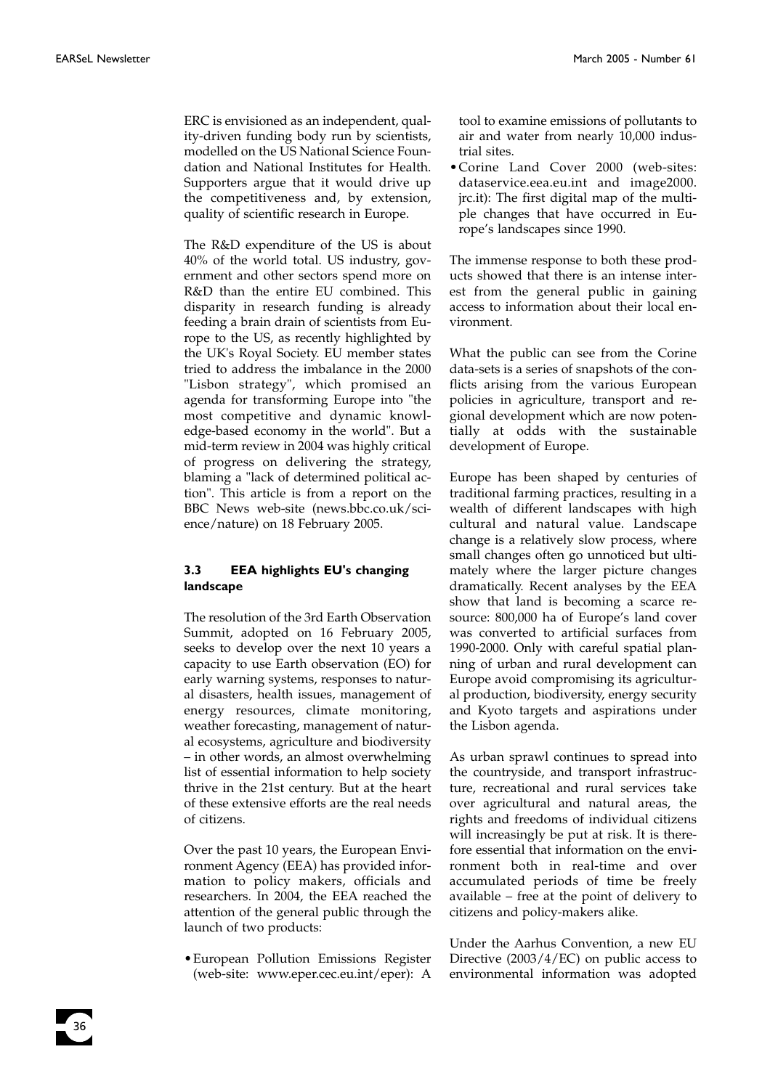ERC is envisioned as an independent, quality-driven funding body run by scientists, modelled on the US National Science Foundation and National Institutes for Health. Supporters argue that it would drive up the competitiveness and, by extension, quality of scientific research in Europe.

The R&D expenditure of the US is about 40% of the world total. US industry, government and other sectors spend more on R&D than the entire EU combined. This disparity in research funding is already feeding a brain drain of scientists from Europe to the US, as recently highlighted by the UK's Royal Society. EU member states tried to address the imbalance in the 2000 "Lisbon strategy", which promised an agenda for transforming Europe into "the most competitive and dynamic knowledge-based economy in the world". But a mid-term review in 2004 was highly critical of progress on delivering the strategy, blaming a "lack of determined political action". This article is from a report on the BBC News web-site (news.bbc.co.uk/science/nature) on 18 February 2005.

#### **3.3 EEA highlights EU's changing landscape**

The resolution of the 3rd Earth Observation Summit, adopted on 16 February 2005, seeks to develop over the next 10 years a capacity to use Earth observation (EO) for early warning systems, responses to natural disasters, health issues, management of energy resources, climate monitoring, weather forecasting, management of natural ecosystems, agriculture and biodiversity – in other words, an almost overwhelming list of essential information to help society thrive in the 21st century. But at the heart of these extensive efforts are the real needs of citizens.

Over the past 10 years, the European Environment Agency (EEA) has provided information to policy makers, officials and researchers. In 2004, the EEA reached the attention of the general public through the launch of two products:

•European Pollution Emissions Register (web-site: www.eper.cec.eu.int/eper): A

tool to examine emissions of pollutants to air and water from nearly 10,000 industrial sites.

•Corine Land Cover 2000 (web-sites: dataservice.eea.eu.int and image2000. jrc.it): The first digital map of the multiple changes that have occurred in Europe's landscapes since 1990.

The immense response to both these products showed that there is an intense interest from the general public in gaining access to information about their local environment.

What the public can see from the Corine data-sets is a series of snapshots of the conflicts arising from the various European policies in agriculture, transport and regional development which are now potentially at odds with the sustainable development of Europe.

Europe has been shaped by centuries of traditional farming practices, resulting in a wealth of different landscapes with high cultural and natural value. Landscape change is a relatively slow process, where small changes often go unnoticed but ultimately where the larger picture changes dramatically. Recent analyses by the EEA show that land is becoming a scarce resource: 800,000 ha of Europe's land cover was converted to artificial surfaces from 1990-2000. Only with careful spatial planning of urban and rural development can Europe avoid compromising its agricultural production, biodiversity, energy security and Kyoto targets and aspirations under the Lisbon agenda.

As urban sprawl continues to spread into the countryside, and transport infrastructure, recreational and rural services take over agricultural and natural areas, the rights and freedoms of individual citizens will increasingly be put at risk. It is therefore essential that information on the environment both in real-time and over accumulated periods of time be freely available – free at the point of delivery to citizens and policy-makers alike.

Under the Aarhus Convention, a new EU Directive (2003/4/EC) on public access to environmental information was adopted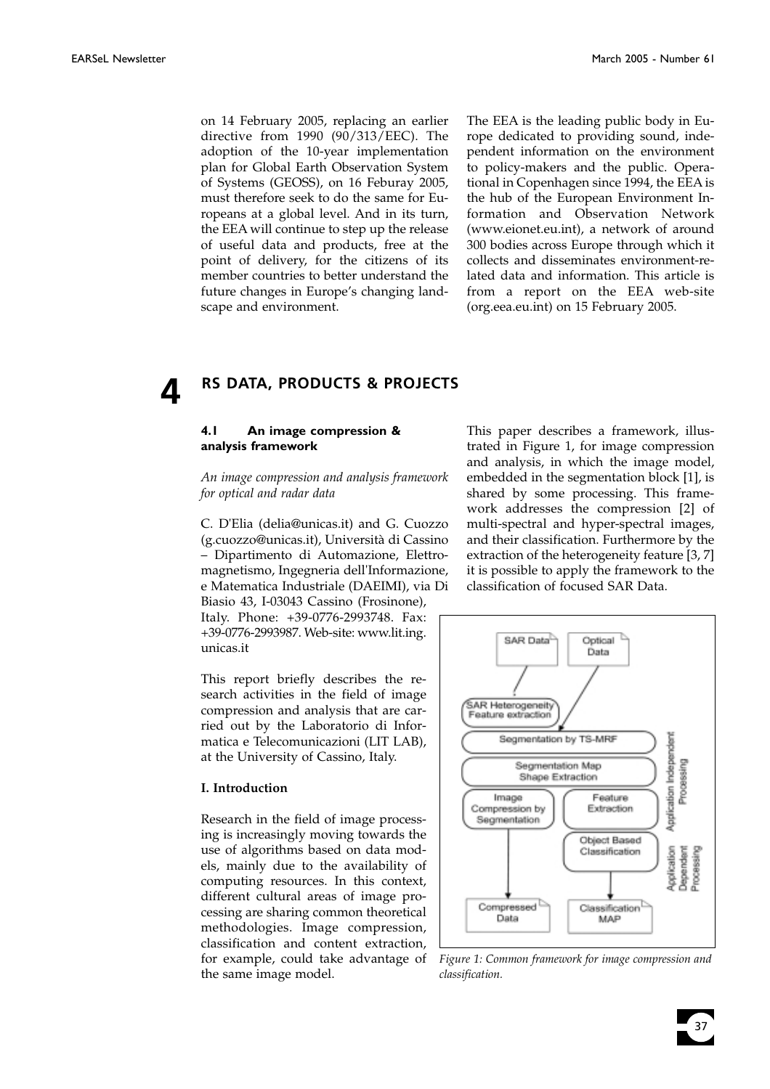on 14 February 2005, replacing an earlier directive from 1990 (90/313/EEC). The adoption of the 10-year implementation plan for Global Earth Observation System of Systems (GEOSS), on 16 Feburay 2005, must therefore seek to do the same for Europeans at a global level. And in its turn, the EEA will continue to step up the release of useful data and products, free at the point of delivery, for the citizens of its member countries to better understand the future changes in Europe's changing landscape and environment.

The EEA is the leading public body in Europe dedicated to providing sound, independent information on the environment to policy-makers and the public. Operational in Copenhagen since 1994, the EEA is the hub of the European Environment Information and Observation Network (www.eionet.eu.int), a network of around 300 bodies across Europe through which it collects and disseminates environment-related data and information. This article is from a report on the EEA web-site (org.eea.eu.int) on 15 February 2005.

## **4 RS DATA, PRODUCTS & PROJECTS**

#### **4.1 An image compression & analysis framework**

*An image compression and analysis framework for optical and radar data*

C. D'Elia (delia@unicas.it) and G. Cuozzo (g.cuozzo@unicas.it), Università di Cassino – Dipartimento di Automazione, Elettromagnetismo, Ingegneria dell'Informazione, e Matematica Industriale (DAEIMI), via Di Biasio 43, I-03043 Cassino (Frosinone), Italy. Phone: +39-0776-2993748. Fax:

+39-0776-2993987. Web-site: www.lit.ing. unicas.it

This report briefly describes the research activities in the field of image compression and analysis that are carried out by the Laboratorio di Informatica e Telecomunicazioni (LIT LAB), at the University of Cassino, Italy.

#### **I. Introduction**

Research in the field of image processing is increasingly moving towards the use of algorithms based on data models, mainly due to the availability of computing resources. In this context, different cultural areas of image processing are sharing common theoretical methodologies. Image compression, classification and content extraction, for example, could take advantage of the same image model.

This paper describes a framework, illustrated in Figure 1, for image compression and analysis, in which the image model, embedded in the segmentation block [1], is shared by some processing. This framework addresses the compression [2] of multi-spectral and hyper-spectral images, and their classification. Furthermore by the extraction of the heterogeneity feature [3, 7] it is possible to apply the framework to the classification of focused SAR Data.



*Figure 1: Common framework for image compression and classification.*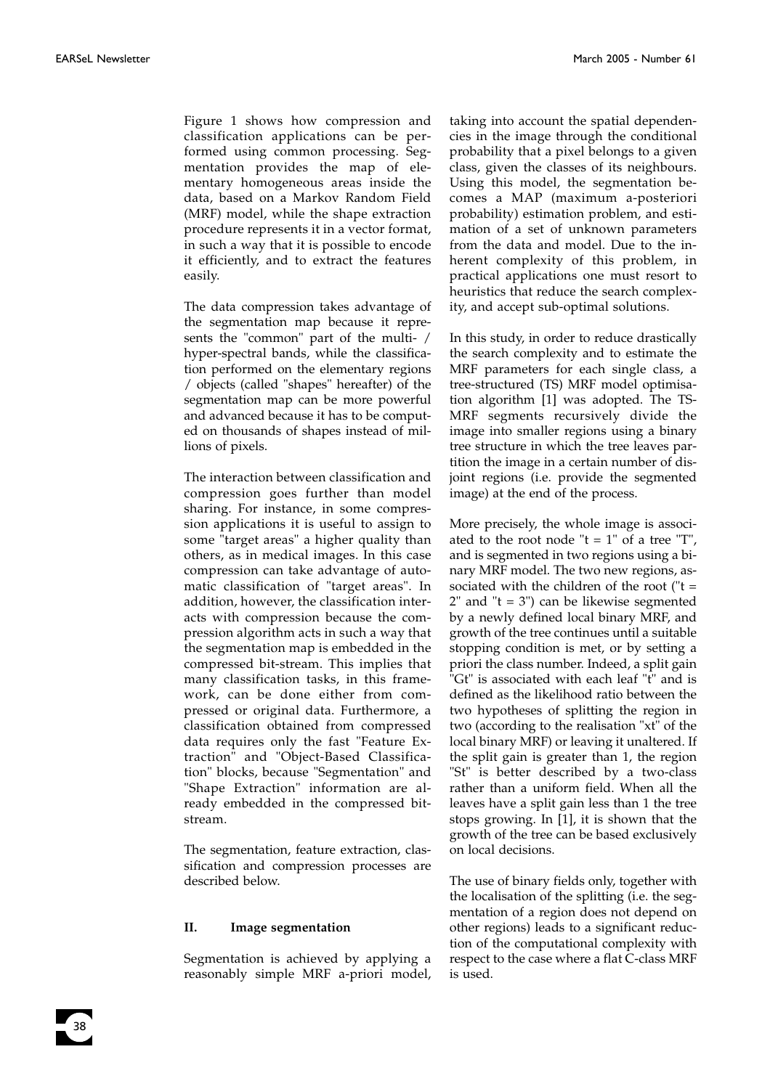Figure 1 shows how compression and classification applications can be performed using common processing. Segmentation provides the map of elementary homogeneous areas inside the data, based on a Markov Random Field (MRF) model, while the shape extraction procedure represents it in a vector format, in such a way that it is possible to encode it efficiently, and to extract the features easily.

The data compression takes advantage of the segmentation map because it represents the "common" part of the multi- / hyper-spectral bands, while the classification performed on the elementary regions / objects (called "shapes" hereafter) of the segmentation map can be more powerful and advanced because it has to be computed on thousands of shapes instead of millions of pixels.

The interaction between classification and compression goes further than model sharing. For instance, in some compression applications it is useful to assign to some "target areas" a higher quality than others, as in medical images. In this case compression can take advantage of automatic classification of "target areas". In addition, however, the classification interacts with compression because the compression algorithm acts in such a way that the segmentation map is embedded in the compressed bit-stream. This implies that many classification tasks, in this framework, can be done either from compressed or original data. Furthermore, a classification obtained from compressed data requires only the fast "Feature Extraction" and "Object-Based Classification" blocks, because "Segmentation" and "Shape Extraction" information are already embedded in the compressed bitstream.

The segmentation, feature extraction, classification and compression processes are described below.

#### **II. Image segmentation**

Segmentation is achieved by applying a reasonably simple MRF a-priori model, taking into account the spatial dependencies in the image through the conditional probability that a pixel belongs to a given class, given the classes of its neighbours. Using this model, the segmentation becomes a MAP (maximum a-posteriori probability) estimation problem, and estimation of a set of unknown parameters from the data and model. Due to the inherent complexity of this problem, in practical applications one must resort to heuristics that reduce the search complexity, and accept sub-optimal solutions.

In this study, in order to reduce drastically the search complexity and to estimate the MRF parameters for each single class, a tree-structured (TS) MRF model optimisation algorithm [1] was adopted. The TS-MRF segments recursively divide the image into smaller regions using a binary tree structure in which the tree leaves partition the image in a certain number of disjoint regions (i.e. provide the segmented image) at the end of the process.

More precisely, the whole image is associated to the root node " $t = 1$ " of a tree "T", and is segmented in two regions using a binary MRF model. The two new regions, associated with the children of the root ("t =  $2"$  and " $t = 3"$ ) can be likewise segmented by a newly defined local binary MRF, and growth of the tree continues until a suitable stopping condition is met, or by setting a priori the class number. Indeed, a split gain "Gt" is associated with each leaf "t" and is defined as the likelihood ratio between the two hypotheses of splitting the region in two (according to the realisation "xt" of the local binary MRF) or leaving it unaltered. If the split gain is greater than 1, the region "St" is better described by a two-class rather than a uniform field. When all the leaves have a split gain less than 1 the tree stops growing. In [1], it is shown that the growth of the tree can be based exclusively on local decisions.

The use of binary fields only, together with the localisation of the splitting (i.e. the segmentation of a region does not depend on other regions) leads to a significant reduction of the computational complexity with respect to the case where a flat C-class MRF is used.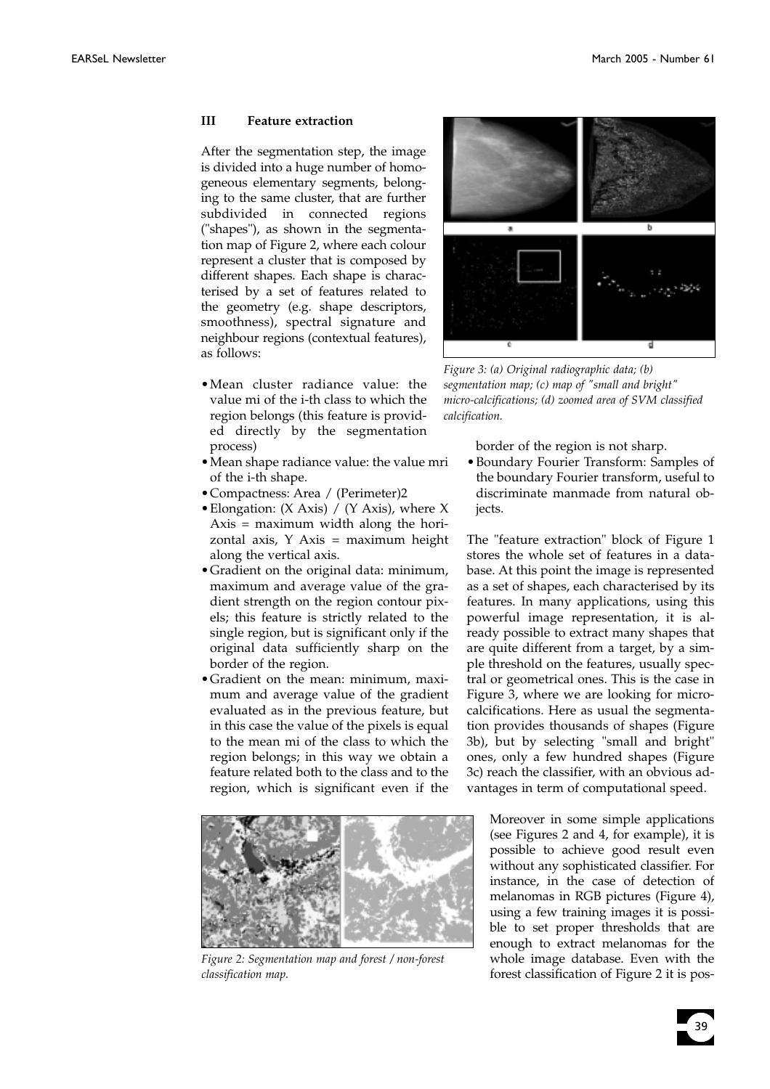#### **III Feature extraction**

After the segmentation step, the image is divided into a huge number of homogeneous elementary segments, belonging to the same cluster, that are further subdivided in connected regions ("shapes"), as shown in the segmentation map of Figure 2, where each colour represent a cluster that is composed by different shapes. Each shape is characterised by a set of features related to the geometry (e.g. shape descriptors, smoothness), spectral signature and neighbour regions (contextual features), as follows:

- •Mean cluster radiance value: the value mi of the i-th class to which the region belongs (this feature is provided directly by the segmentation process)
- •Mean shape radiance value: the value mri of the i-th shape.
- •Compactness: Area / (Perimeter)2
- •Elongation: (X Axis) / (Y Axis), where X Axis = maximum width along the horizontal axis,  $Y$  Axis = maximum height along the vertical axis.
- •Gradient on the original data: minimum, maximum and average value of the gradient strength on the region contour pixels; this feature is strictly related to the single region, but is significant only if the original data sufficiently sharp on the border of the region.
- •Gradient on the mean: minimum, maximum and average value of the gradient evaluated as in the previous feature, but in this case the value of the pixels is equal to the mean mi of the class to which the region belongs; in this way we obtain a feature related both to the class and to the region, which is significant even if the



*Figure 2: Segmentation map and forest / non-forest classification map.*



*Figure 3: (a) Original radiographic data; (b) segmentation map; (c) map of "small and bright" micro-calcifications; (d) zoomed area of SVM classified calcification.*

border of the region is not sharp.

•Boundary Fourier Transform: Samples of the boundary Fourier transform, useful to discriminate manmade from natural objects.

The "feature extraction" block of Figure 1 stores the whole set of features in a database. At this point the image is represented as a set of shapes, each characterised by its features. In many applications, using this powerful image representation, it is already possible to extract many shapes that are quite different from a target, by a simple threshold on the features, usually spectral or geometrical ones. This is the case in Figure 3, where we are looking for microcalcifications. Here as usual the segmentation provides thousands of shapes (Figure 3b), but by selecting "small and bright" ones, only a few hundred shapes (Figure 3c) reach the classifier, with an obvious advantages in term of computational speed.

Moreover in some simple applications (see Figures 2 and 4, for example), it is possible to achieve good result even without any sophisticated classifier. For instance, in the case of detection of melanomas in RGB pictures (Figure 4), using a few training images it is possible to set proper thresholds that are enough to extract melanomas for the whole image database. Even with the forest classification of Figure 2 it is pos-

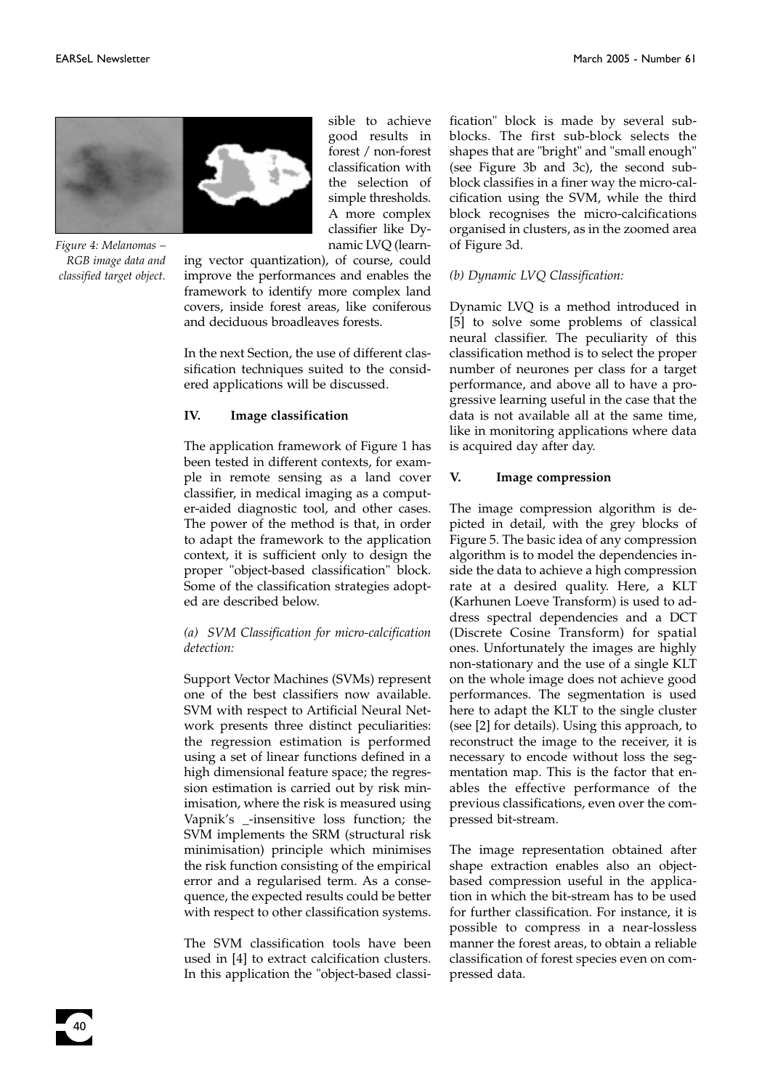

*Figure 4: Melanomas – RGB image data and classified target object.*

40

sible to achieve good results in forest / non-forest classification with the selection of simple thresholds. A more complex classifier like Dynamic LVQ (learn-

ing vector quantization), of course, could improve the performances and enables the framework to identify more complex land covers, inside forest areas, like coniferous and deciduous broadleaves forests.

In the next Section, the use of different classification techniques suited to the considered applications will be discussed.

#### **IV. Image classification**

The application framework of Figure 1 has been tested in different contexts, for example in remote sensing as a land cover classifier, in medical imaging as a computer-aided diagnostic tool, and other cases. The power of the method is that, in order to adapt the framework to the application context, it is sufficient only to design the proper "object-based classification" block. Some of the classification strategies adopted are described below.

#### *(a) SVM Classification for micro-calcification detection:*

Support Vector Machines (SVMs) represent one of the best classifiers now available. SVM with respect to Artificial Neural Network presents three distinct peculiarities: the regression estimation is performed using a set of linear functions defined in a high dimensional feature space; the regression estimation is carried out by risk minimisation, where the risk is measured using Vapnik's \_-insensitive loss function; the SVM implements the SRM (structural risk minimisation) principle which minimises the risk function consisting of the empirical error and a regularised term. As a consequence, the expected results could be better with respect to other classification systems.

The SVM classification tools have been used in [4] to extract calcification clusters. In this application the "object-based classification" block is made by several subblocks. The first sub-block selects the shapes that are "bright" and "small enough" (see Figure 3b and 3c), the second subblock classifies in a finer way the micro-calcification using the SVM, while the third block recognises the micro-calcifications organised in clusters, as in the zoomed area of Figure 3d.

#### *(b) Dynamic LVQ Classification:*

Dynamic LVQ is a method introduced in [5] to solve some problems of classical neural classifier. The peculiarity of this classification method is to select the proper number of neurones per class for a target performance, and above all to have a progressive learning useful in the case that the data is not available all at the same time, like in monitoring applications where data is acquired day after day.

#### **V. Image compression**

The image compression algorithm is depicted in detail, with the grey blocks of Figure 5. The basic idea of any compression algorithm is to model the dependencies inside the data to achieve a high compression rate at a desired quality. Here, a KLT (Karhunen Loeve Transform) is used to address spectral dependencies and a DCT (Discrete Cosine Transform) for spatial ones. Unfortunately the images are highly non-stationary and the use of a single KLT on the whole image does not achieve good performances. The segmentation is used here to adapt the KLT to the single cluster (see [2] for details). Using this approach, to reconstruct the image to the receiver, it is necessary to encode without loss the segmentation map. This is the factor that enables the effective performance of the previous classifications, even over the compressed bit-stream.

The image representation obtained after shape extraction enables also an objectbased compression useful in the application in which the bit-stream has to be used for further classification. For instance, it is possible to compress in a near-lossless manner the forest areas, to obtain a reliable classification of forest species even on compressed data.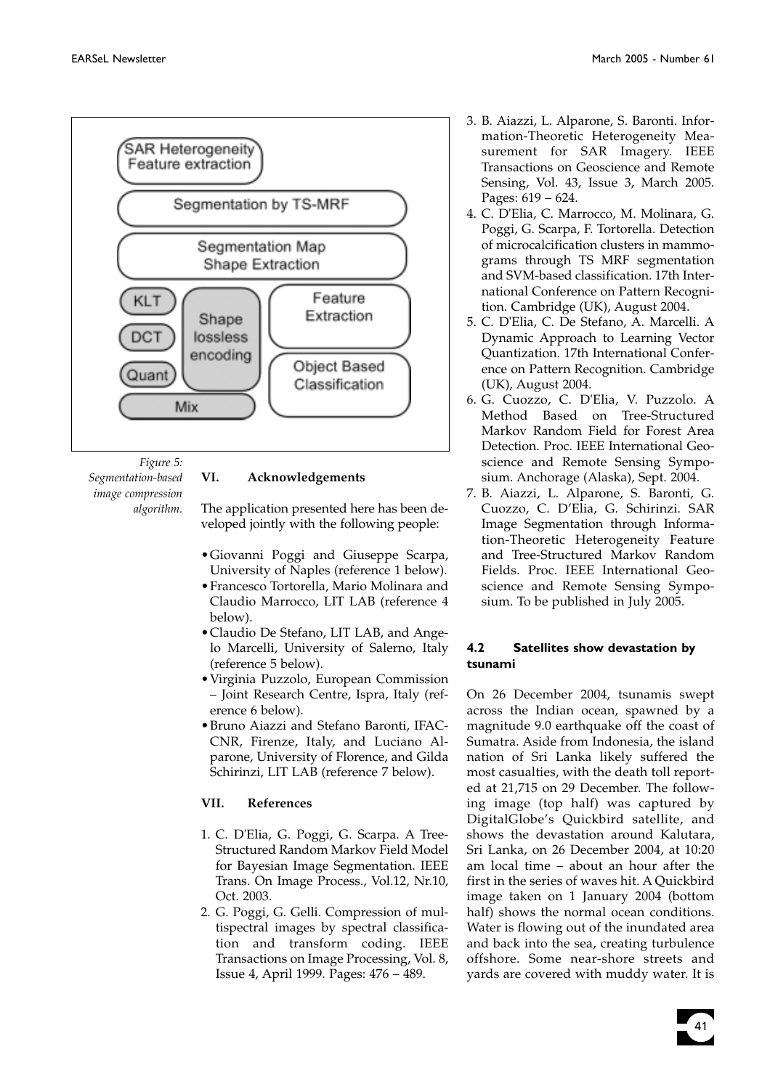

*Figure 5: Segmentation-based image compression algorithm.*

#### **VI. Acknowledgements**

The application presented here has been developed jointly with the following people:

- •Giovanni Poggi and Giuseppe Scarpa, University of Naples (reference 1 below).
- •Francesco Tortorella, Mario Molinara and Claudio Marrocco, LIT LAB (reference 4 below).
- •Claudio De Stefano, LIT LAB, and Angelo Marcelli, University of Salerno, Italy (reference 5 below).
- •Virginia Puzzolo, European Commission – Joint Research Centre, Ispra, Italy (reference 6 below).
- •Bruno Aiazzi and Stefano Baronti, IFAC-CNR, Firenze, Italy, and Luciano Alparone, University of Florence, and Gilda Schirinzi, LIT LAB (reference 7 below).

### **VII. References**

- 1. C. D'Elia, G. Poggi, G. Scarpa. A Tree-Structured Random Markov Field Model for Bayesian Image Segmentation. IEEE Trans. On Image Process., Vol.12, Nr.10, Oct. 2003.
- 2. G. Poggi, G. Gelli. Compression of multispectral images by spectral classification and transform coding. IEEE Transactions on Image Processing, Vol. 8, Issue 4, April 1999. Pages: 476 – 489.
- 3. B. Aiazzi, L. Alparone, S. Baronti. Information-Theoretic Heterogeneity Measurement for SAR Imagery. IEEE Transactions on Geoscience and Remote Sensing, Vol. 43, Issue 3, March 2005. Pages: 619 – 624.
- 4. C. D'Elia, C. Marrocco, M. Molinara, G. Poggi, G. Scarpa, F. Tortorella. Detection of microcalcification clusters in mammograms through TS MRF segmentation and SVM-based classification. 17th International Conference on Pattern Recognition. Cambridge (UK), August 2004.
- 5. C. D'Elia, C. De Stefano, A. Marcelli. A Dynamic Approach to Learning Vector Quantization. 17th International Conference on Pattern Recognition. Cambridge (UK), August 2004.
- 6. G. Cuozzo, C. D'Elia, V. Puzzolo. A Method Based on Tree-Structured Markov Random Field for Forest Area Detection. Proc. IEEE International Geoscience and Remote Sensing Symposium. Anchorage (Alaska), Sept. 2004.
- 7. B. Aiazzi, L. Alparone, S. Baronti, G. Cuozzo, C. D'Elia, G. Schirinzi. SAR Image Segmentation through Information-Theoretic Heterogeneity Feature and Tree-Structured Markov Random Fields. Proc. IEEE International Geoscience and Remote Sensing Symposium. To be published in July 2005.

### **4.2 Satellites show devastation by tsunami**

On 26 December 2004, tsunamis swept across the Indian ocean, spawned by a magnitude 9.0 earthquake off the coast of Sumatra. Aside from Indonesia, the island nation of Sri Lanka likely suffered the most casualties, with the death toll reported at 21,715 on 29 December. The following image (top half) was captured by DigitalGlobe's Quickbird satellite, and shows the devastation around Kalutara, Sri Lanka, on 26 December 2004, at 10:20 am local time – about an hour after the first in the series of waves hit. A Quickbird image taken on 1 January 2004 (bottom half) shows the normal ocean conditions. Water is flowing out of the inundated area and back into the sea, creating turbulence offshore. Some near-shore streets and yards are covered with muddy water. It is

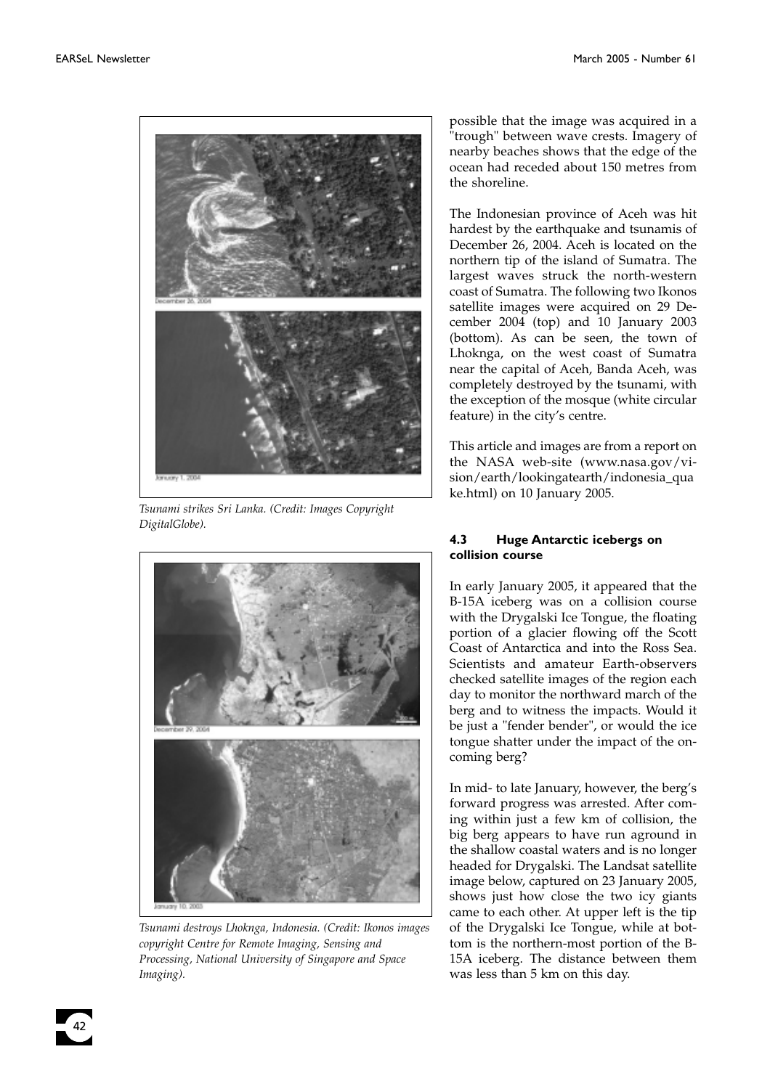

*Tsunami strikes Sri Lanka. (Credit: Images Copyright DigitalGlobe).*



*Tsunami destroys Lhoknga, Indonesia. (Credit: Ikonos images copyright Centre for Remote Imaging, Sensing and Processing, National University of Singapore and Space Imaging).*

possible that the image was acquired in a "trough" between wave crests. Imagery of nearby beaches shows that the edge of the ocean had receded about 150 metres from the shoreline.

The Indonesian province of Aceh was hit hardest by the earthquake and tsunamis of December 26, 2004. Aceh is located on the northern tip of the island of Sumatra. The largest waves struck the north-western coast of Sumatra. The following two Ikonos satellite images were acquired on 29 December 2004 (top) and 10 January 2003 (bottom). As can be seen, the town of Lhoknga, on the west coast of Sumatra near the capital of Aceh, Banda Aceh, was completely destroyed by the tsunami, with the exception of the mosque (white circular feature) in the city's centre.

This article and images are from a report on the NASA web-site (www.nasa.gov/vision/earth/lookingatearth/indonesia\_qua ke.html) on 10 January 2005.

#### **4.3 Huge Antarctic icebergs on collision course**

In early January 2005, it appeared that the B-15A iceberg was on a collision course with the Drygalski Ice Tongue, the floating portion of a glacier flowing off the Scott Coast of Antarctica and into the Ross Sea. Scientists and amateur Earth-observers checked satellite images of the region each day to monitor the northward march of the berg and to witness the impacts. Would it be just a "fender bender", or would the ice tongue shatter under the impact of the oncoming berg?

In mid- to late January, however, the berg's forward progress was arrested. After coming within just a few km of collision, the big berg appears to have run aground in the shallow coastal waters and is no longer headed for Drygalski. The Landsat satellite image below, captured on 23 January 2005, shows just how close the two icy giants came to each other. At upper left is the tip of the Drygalski Ice Tongue, while at bottom is the northern-most portion of the B-15A iceberg. The distance between them was less than 5 km on this day.

42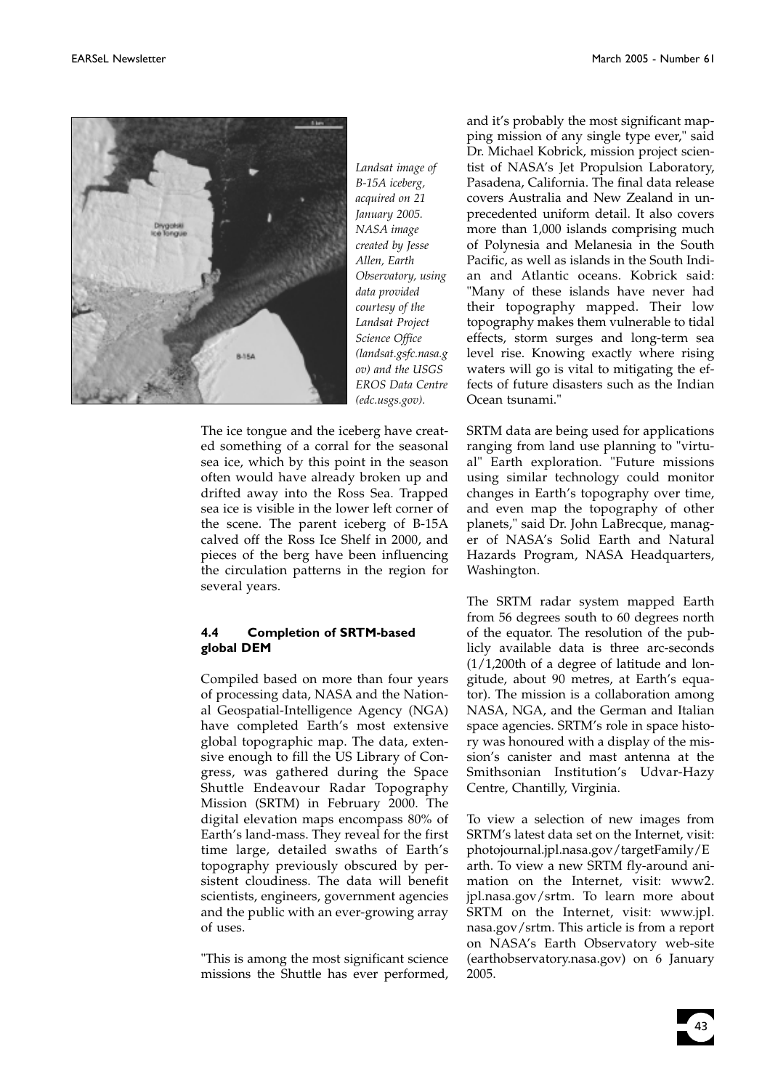

*Landsat image of B-15A iceberg, acquired on 21 January 2005. NASA image created by Jesse Allen, Earth Observatory, using data provided courtesy of the Landsat Project Science Office (landsat.gsfc.nasa.g ov) and the USGS EROS Data Centre (edc.usgs.gov).*

The ice tongue and the iceberg have created something of a corral for the seasonal sea ice, which by this point in the season often would have already broken up and drifted away into the Ross Sea. Trapped sea ice is visible in the lower left corner of the scene. The parent iceberg of B-15A calved off the Ross Ice Shelf in 2000, and pieces of the berg have been influencing the circulation patterns in the region for several years.

### **4.4 Completion of SRTM-based global DEM**

Compiled based on more than four years of processing data, NASA and the National Geospatial-Intelligence Agency (NGA) have completed Earth's most extensive global topographic map. The data, extensive enough to fill the US Library of Congress, was gathered during the Space Shuttle Endeavour Radar Topography Mission (SRTM) in February 2000. The digital elevation maps encompass 80% of Earth's land-mass. They reveal for the first time large, detailed swaths of Earth's topography previously obscured by persistent cloudiness. The data will benefit scientists, engineers, government agencies and the public with an ever-growing array of uses.

"This is among the most significant science missions the Shuttle has ever performed,

and it's probably the most significant mapping mission of any single type ever," said Dr. Michael Kobrick, mission project scientist of NASA's Jet Propulsion Laboratory, Pasadena, California. The final data release covers Australia and New Zealand in unprecedented uniform detail. It also covers more than 1,000 islands comprising much of Polynesia and Melanesia in the South Pacific, as well as islands in the South Indian and Atlantic oceans. Kobrick said: "Many of these islands have never had their topography mapped. Their low topography makes them vulnerable to tidal effects, storm surges and long-term sea level rise. Knowing exactly where rising waters will go is vital to mitigating the effects of future disasters such as the Indian Ocean tsunami."

SRTM data are being used for applications ranging from land use planning to "virtual" Earth exploration. "Future missions using similar technology could monitor changes in Earth's topography over time, and even map the topography of other planets," said Dr. John LaBrecque, manager of NASA's Solid Earth and Natural Hazards Program, NASA Headquarters, Washington.

The SRTM radar system mapped Earth from 56 degrees south to 60 degrees north of the equator. The resolution of the publicly available data is three arc-seconds (1/1,200th of a degree of latitude and longitude, about 90 metres, at Earth's equator). The mission is a collaboration among NASA, NGA, and the German and Italian space agencies. SRTM's role in space history was honoured with a display of the mission's canister and mast antenna at the Smithsonian Institution's Udvar-Hazy Centre, Chantilly, Virginia.

To view a selection of new images from SRTM's latest data set on the Internet, visit: photojournal.jpl.nasa.gov/targetFamily/E arth. To view a new SRTM fly-around animation on the Internet, visit: www2. jpl.nasa.gov/srtm. To learn more about SRTM on the Internet, visit: www.jpl. nasa.gov/srtm. This article is from a report on NASA's Earth Observatory web-site (earthobservatory.nasa.gov) on 6 January 2005.

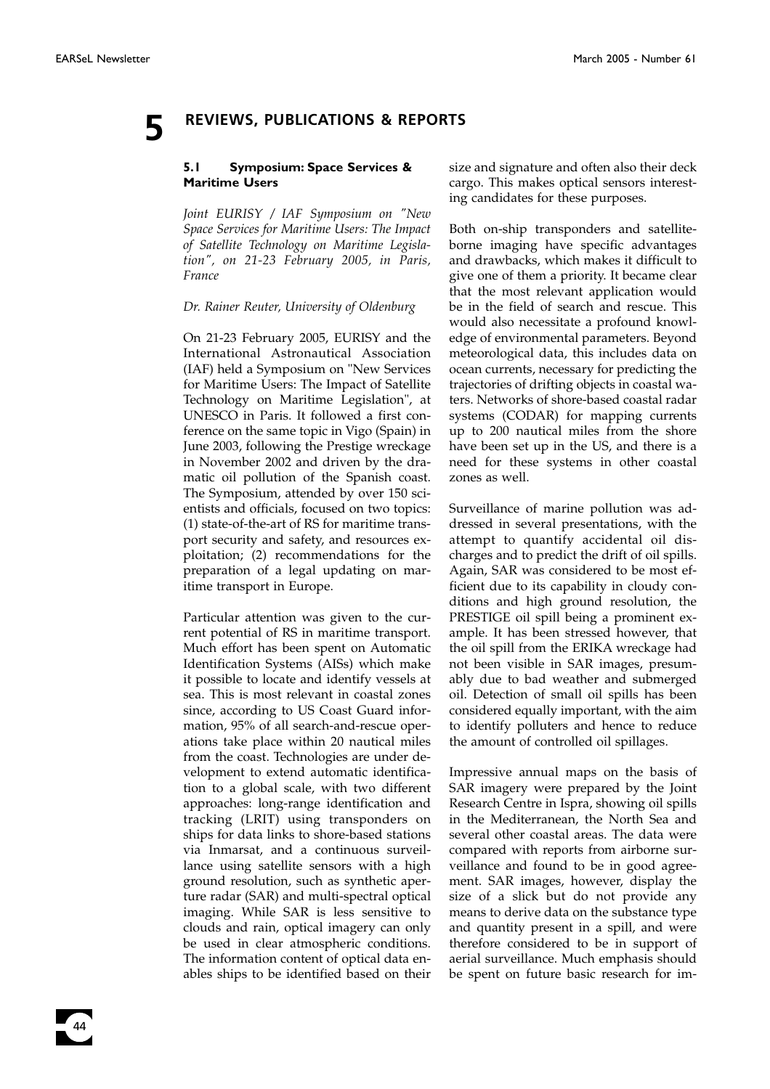### **5 REVIEWS, PUBLICATIONS & REPORTS**

#### **5.1 Symposium: Space Services & Maritime Users**

*Joint EURISY / IAF Symposium on "New Space Services for Maritime Users: The Impact of Satellite Technology on Maritime Legislation", on 21-23 February 2005, in Paris, France*

#### *Dr. Rainer Reuter, University of Oldenburg*

On 21-23 February 2005, EURISY and the International Astronautical Association (IAF) held a Symposium on "New Services for Maritime Users: The Impact of Satellite Technology on Maritime Legislation", at UNESCO in Paris. It followed a first conference on the same topic in Vigo (Spain) in June 2003, following the Prestige wreckage in November 2002 and driven by the dramatic oil pollution of the Spanish coast. The Symposium, attended by over 150 scientists and officials, focused on two topics: (1) state-of-the-art of RS for maritime transport security and safety, and resources exploitation; (2) recommendations for the preparation of a legal updating on maritime transport in Europe.

Particular attention was given to the current potential of RS in maritime transport. Much effort has been spent on Automatic Identification Systems (AISs) which make it possible to locate and identify vessels at sea. This is most relevant in coastal zones since, according to US Coast Guard information, 95% of all search-and-rescue operations take place within 20 nautical miles from the coast. Technologies are under development to extend automatic identification to a global scale, with two different approaches: long-range identification and tracking (LRIT) using transponders on ships for data links to shore-based stations via Inmarsat, and a continuous surveillance using satellite sensors with a high ground resolution, such as synthetic aperture radar (SAR) and multi-spectral optical imaging. While SAR is less sensitive to clouds and rain, optical imagery can only be used in clear atmospheric conditions. The information content of optical data enables ships to be identified based on their

size and signature and often also their deck cargo. This makes optical sensors interesting candidates for these purposes.

Both on-ship transponders and satelliteborne imaging have specific advantages and drawbacks, which makes it difficult to give one of them a priority. It became clear that the most relevant application would be in the field of search and rescue. This would also necessitate a profound knowledge of environmental parameters. Beyond meteorological data, this includes data on ocean currents, necessary for predicting the trajectories of drifting objects in coastal waters. Networks of shore-based coastal radar systems (CODAR) for mapping currents up to 200 nautical miles from the shore have been set up in the US, and there is a need for these systems in other coastal zones as well.

Surveillance of marine pollution was addressed in several presentations, with the attempt to quantify accidental oil discharges and to predict the drift of oil spills. Again, SAR was considered to be most efficient due to its capability in cloudy conditions and high ground resolution, the PRESTIGE oil spill being a prominent example. It has been stressed however, that the oil spill from the ERIKA wreckage had not been visible in SAR images, presumably due to bad weather and submerged oil. Detection of small oil spills has been considered equally important, with the aim to identify polluters and hence to reduce the amount of controlled oil spillages.

Impressive annual maps on the basis of SAR imagery were prepared by the Joint Research Centre in Ispra, showing oil spills in the Mediterranean, the North Sea and several other coastal areas. The data were compared with reports from airborne surveillance and found to be in good agreement. SAR images, however, display the size of a slick but do not provide any means to derive data on the substance type and quantity present in a spill, and were therefore considered to be in support of aerial surveillance. Much emphasis should be spent on future basic research for im-

44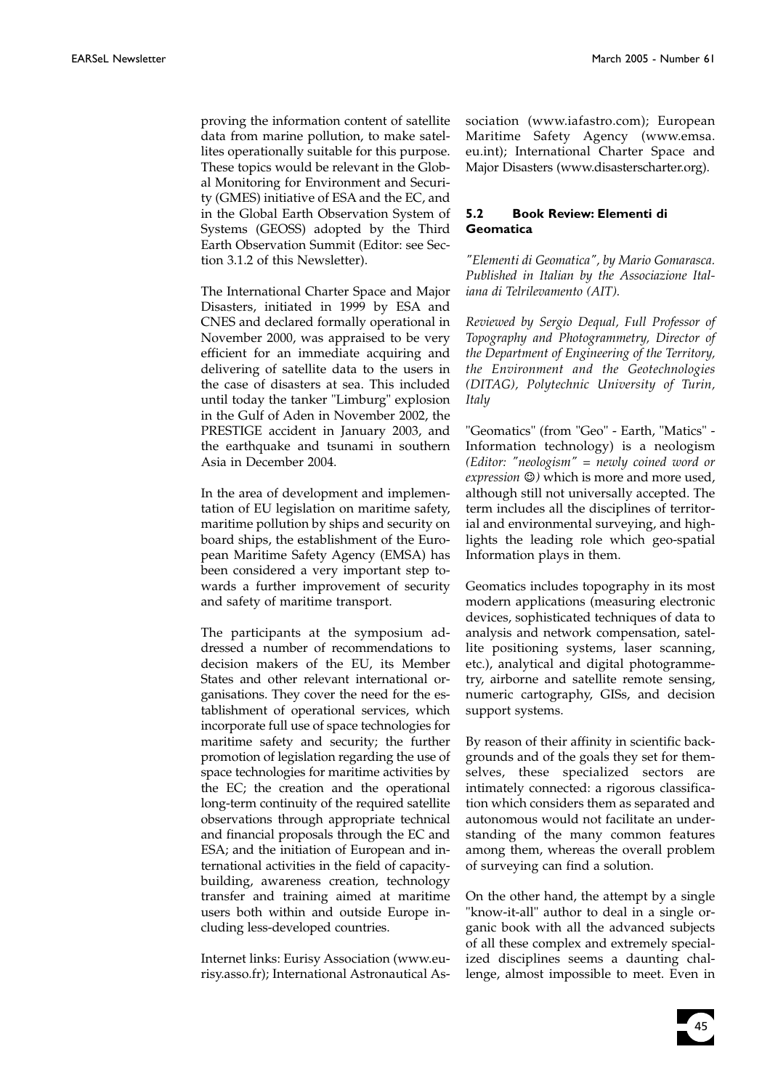proving the information content of satellite data from marine pollution, to make satellites operationally suitable for this purpose. These topics would be relevant in the Global Monitoring for Environment and Security (GMES) initiative of ESA and the EC, and in the Global Earth Observation System of Systems (GEOSS) adopted by the Third Earth Observation Summit (Editor: see Section 3.1.2 of this Newsletter).

The International Charter Space and Major Disasters, initiated in 1999 by ESA and CNES and declared formally operational in November 2000, was appraised to be very efficient for an immediate acquiring and delivering of satellite data to the users in the case of disasters at sea. This included until today the tanker "Limburg" explosion in the Gulf of Aden in November 2002, the PRESTIGE accident in January 2003, and the earthquake and tsunami in southern Asia in December 2004.

In the area of development and implementation of EU legislation on maritime safety, maritime pollution by ships and security on board ships, the establishment of the European Maritime Safety Agency (EMSA) has been considered a very important step towards a further improvement of security and safety of maritime transport.

The participants at the symposium addressed a number of recommendations to decision makers of the EU, its Member States and other relevant international organisations. They cover the need for the establishment of operational services, which incorporate full use of space technologies for maritime safety and security; the further promotion of legislation regarding the use of space technologies for maritime activities by the EC; the creation and the operational long-term continuity of the required satellite observations through appropriate technical and financial proposals through the EC and ESA; and the initiation of European and international activities in the field of capacitybuilding, awareness creation, technology transfer and training aimed at maritime users both within and outside Europe including less-developed countries.

Internet links: Eurisy Association (www.eurisy.asso.fr); International Astronautical Association (www.iafastro.com); European Maritime Safety Agency (www.emsa. eu.int); International Charter Space and Major Disasters (www.disasterscharter.org).

#### **5.2 Book Review: Elementi di Geomatica**

*"Elementi di Geomatica", by Mario Gomarasca. Published in Italian by the Associazione Italiana di Telrilevamento (AIT).*

*Reviewed by Sergio Dequal, Full Professor of Topography and Photogrammetry, Director of the Department of Engineering of the Territory, the Environment and the Geotechnologies (DITAG), Polytechnic University of Turin, Italy*

"Geomatics" (from "Geo" - Earth, "Matics" - Information technology) is a neologism *(Editor: "neologism" = newly coined word or expression*  $\circledcirc$ ) which is more and more used, although still not universally accepted. The term includes all the disciplines of territorial and environmental surveying, and highlights the leading role which geo-spatial Information plays in them.

Geomatics includes topography in its most modern applications (measuring electronic devices, sophisticated techniques of data to analysis and network compensation, satellite positioning systems, laser scanning, etc.), analytical and digital photogrammetry, airborne and satellite remote sensing, numeric cartography, GISs, and decision support systems.

By reason of their affinity in scientific backgrounds and of the goals they set for themselves, these specialized sectors are intimately connected: a rigorous classification which considers them as separated and autonomous would not facilitate an understanding of the many common features among them, whereas the overall problem of surveying can find a solution.

On the other hand, the attempt by a single "know-it-all" author to deal in a single organic book with all the advanced subjects of all these complex and extremely specialized disciplines seems a daunting challenge, almost impossible to meet. Even in

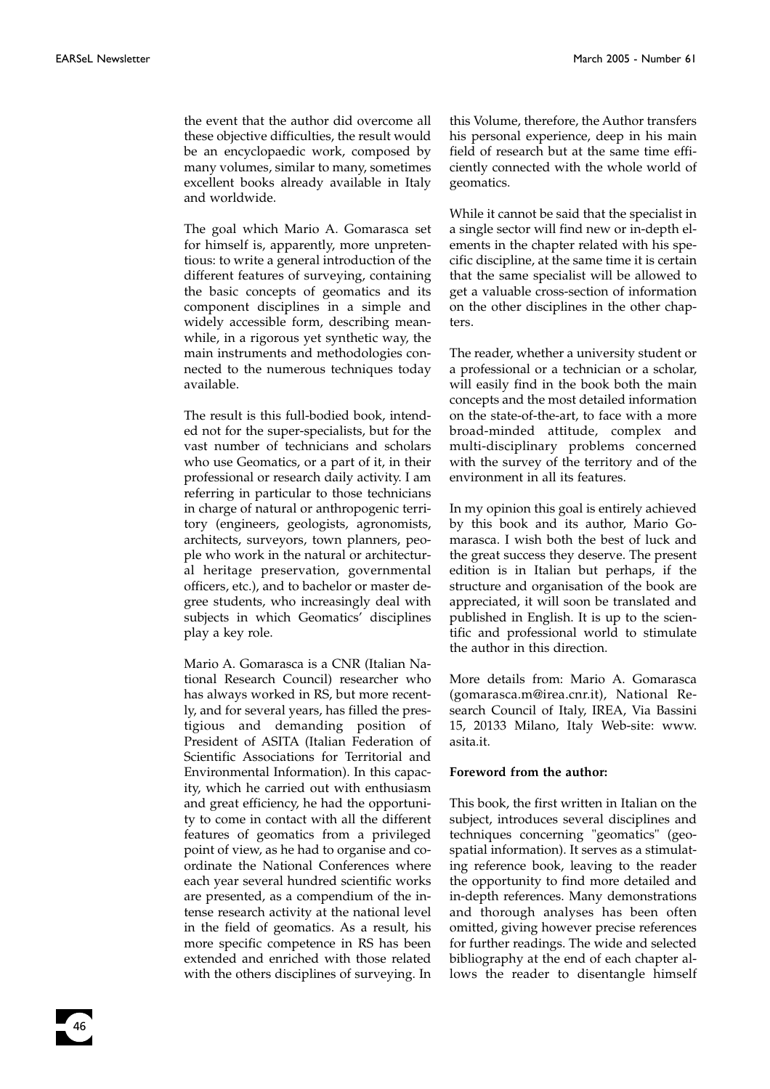the event that the author did overcome all these objective difficulties, the result would be an encyclopaedic work, composed by many volumes, similar to many, sometimes excellent books already available in Italy and worldwide.

The goal which Mario A. Gomarasca set for himself is, apparently, more unpretentious: to write a general introduction of the different features of surveying, containing the basic concepts of geomatics and its component disciplines in a simple and widely accessible form, describing meanwhile, in a rigorous yet synthetic way, the main instruments and methodologies connected to the numerous techniques today available.

The result is this full-bodied book, intended not for the super-specialists, but for the vast number of technicians and scholars who use Geomatics, or a part of it, in their professional or research daily activity. I am referring in particular to those technicians in charge of natural or anthropogenic territory (engineers, geologists, agronomists, architects, surveyors, town planners, people who work in the natural or architectural heritage preservation, governmental officers, etc.), and to bachelor or master degree students, who increasingly deal with subjects in which Geomatics' disciplines play a key role.

Mario A. Gomarasca is a CNR (Italian National Research Council) researcher who has always worked in RS, but more recently, and for several years, has filled the prestigious and demanding position of President of ASITA (Italian Federation of Scientific Associations for Territorial and Environmental Information). In this capacity, which he carried out with enthusiasm and great efficiency, he had the opportunity to come in contact with all the different features of geomatics from a privileged point of view, as he had to organise and coordinate the National Conferences where each year several hundred scientific works are presented, as a compendium of the intense research activity at the national level in the field of geomatics. As a result, his more specific competence in RS has been extended and enriched with those related with the others disciplines of surveying. In

this Volume, therefore, the Author transfers his personal experience, deep in his main field of research but at the same time efficiently connected with the whole world of geomatics.

While it cannot be said that the specialist in a single sector will find new or in-depth elements in the chapter related with his specific discipline, at the same time it is certain that the same specialist will be allowed to get a valuable cross-section of information on the other disciplines in the other chapters.

The reader, whether a university student or a professional or a technician or a scholar, will easily find in the book both the main concepts and the most detailed information on the state-of-the-art, to face with a more broad-minded attitude, complex and multi-disciplinary problems concerned with the survey of the territory and of the environment in all its features.

In my opinion this goal is entirely achieved by this book and its author, Mario Gomarasca. I wish both the best of luck and the great success they deserve. The present edition is in Italian but perhaps, if the structure and organisation of the book are appreciated, it will soon be translated and published in English. It is up to the scientific and professional world to stimulate the author in this direction.

More details from: Mario A. Gomarasca (gomarasca.m@irea.cnr.it), National Research Council of Italy, IREA, Via Bassini 15, 20133 Milano, Italy Web-site: www. asita.it.

#### **Foreword from the author:**

This book, the first written in Italian on the subject, introduces several disciplines and techniques concerning "geomatics" (geospatial information). It serves as a stimulating reference book, leaving to the reader the opportunity to find more detailed and in-depth references. Many demonstrations and thorough analyses has been often omitted, giving however precise references for further readings. The wide and selected bibliography at the end of each chapter allows the reader to disentangle himself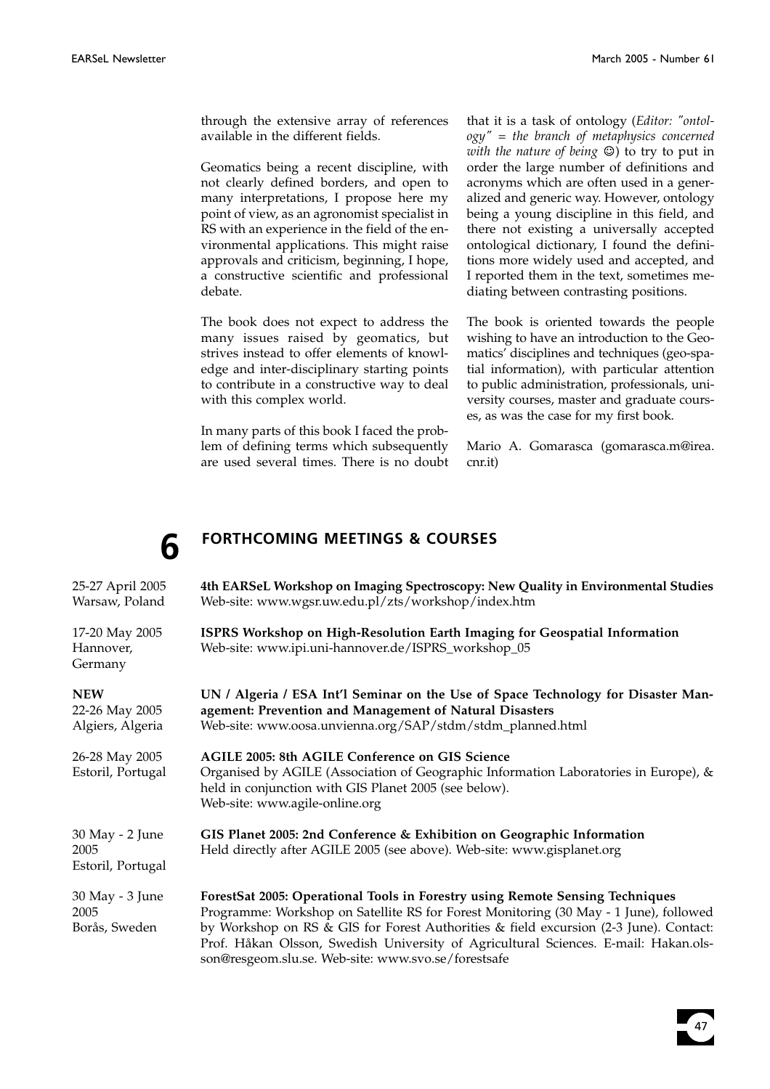through the extensive array of references available in the different fields.

Geomatics being a recent discipline, with not clearly defined borders, and open to many interpretations, I propose here my point of view, as an agronomist specialist in RS with an experience in the field of the environmental applications. This might raise approvals and criticism, beginning, I hope, a constructive scientific and professional debate.

The book does not expect to address the many issues raised by geomatics, but strives instead to offer elements of knowledge and inter-disciplinary starting points to contribute in a constructive way to deal with this complex world.

In many parts of this book I faced the problem of defining terms which subsequently are used several times. There is no doubt that it is a task of ontology (*Editor: "ontology" = the branch of metaphysics concerned with the nature of being*  $\odot$ ) to try to put in order the large number of definitions and acronyms which are often used in a generalized and generic way. However, ontology being a young discipline in this field, and there not existing a universally accepted ontological dictionary, I found the definitions more widely used and accepted, and I reported them in the text, sometimes mediating between contrasting positions.

The book is oriented towards the people wishing to have an introduction to the Geomatics' disciplines and techniques (geo-spatial information), with particular attention to public administration, professionals, university courses, master and graduate courses, as was the case for my first book.

Mario A. Gomarasca (gomarasca.m@irea. cnr.it)

# **6 FORTHCOMING MEETINGS & COURSES**

| 25-27 April 2005<br>Warsaw, Poland               | 4th EARSeL Workshop on Imaging Spectroscopy: New Quality in Environmental Studies<br>Web-site: www.wgsr.uw.edu.pl/zts/workshop/index.htm                                                                                                                                                                                                                                                                      |
|--------------------------------------------------|---------------------------------------------------------------------------------------------------------------------------------------------------------------------------------------------------------------------------------------------------------------------------------------------------------------------------------------------------------------------------------------------------------------|
| 17-20 May 2005<br>Hannover,<br>Germany           | ISPRS Workshop on High-Resolution Earth Imaging for Geospatial Information<br>Web-site: www.ipi.uni-hannover.de/ISPRS_workshop_05                                                                                                                                                                                                                                                                             |
| <b>NEW</b><br>22-26 May 2005<br>Algiers, Algeria | UN / Algeria / ESA Int'l Seminar on the Use of Space Technology for Disaster Man-<br>agement: Prevention and Management of Natural Disasters<br>Web-site: www.oosa.unvienna.org/SAP/stdm/stdm_planned.html                                                                                                                                                                                                    |
| 26-28 May 2005<br>Estoril, Portugal              | AGILE 2005: 8th AGILE Conference on GIS Science<br>Organised by AGILE (Association of Geographic Information Laboratories in Europe), &<br>held in conjunction with GIS Planet 2005 (see below).<br>Web-site: www.agile-online.org                                                                                                                                                                            |
| 30 May - 2 June<br>2005<br>Estoril, Portugal     | GIS Planet 2005: 2nd Conference & Exhibition on Geographic Information<br>Held directly after AGILE 2005 (see above). Web-site: www.gisplanet.org                                                                                                                                                                                                                                                             |
| 30 May - 3 June<br>2005<br>Borås, Sweden         | ForestSat 2005: Operational Tools in Forestry using Remote Sensing Techniques<br>Programme: Workshop on Satellite RS for Forest Monitoring (30 May - 1 June), followed<br>by Workshop on RS & GIS for Forest Authorities & field excursion (2-3 June). Contact:<br>Prof. Håkan Olsson, Swedish University of Agricultural Sciences. E-mail: Hakan.ols-<br>son@resgeom.slu.se. Web-site: www.svo.se/forestsafe |